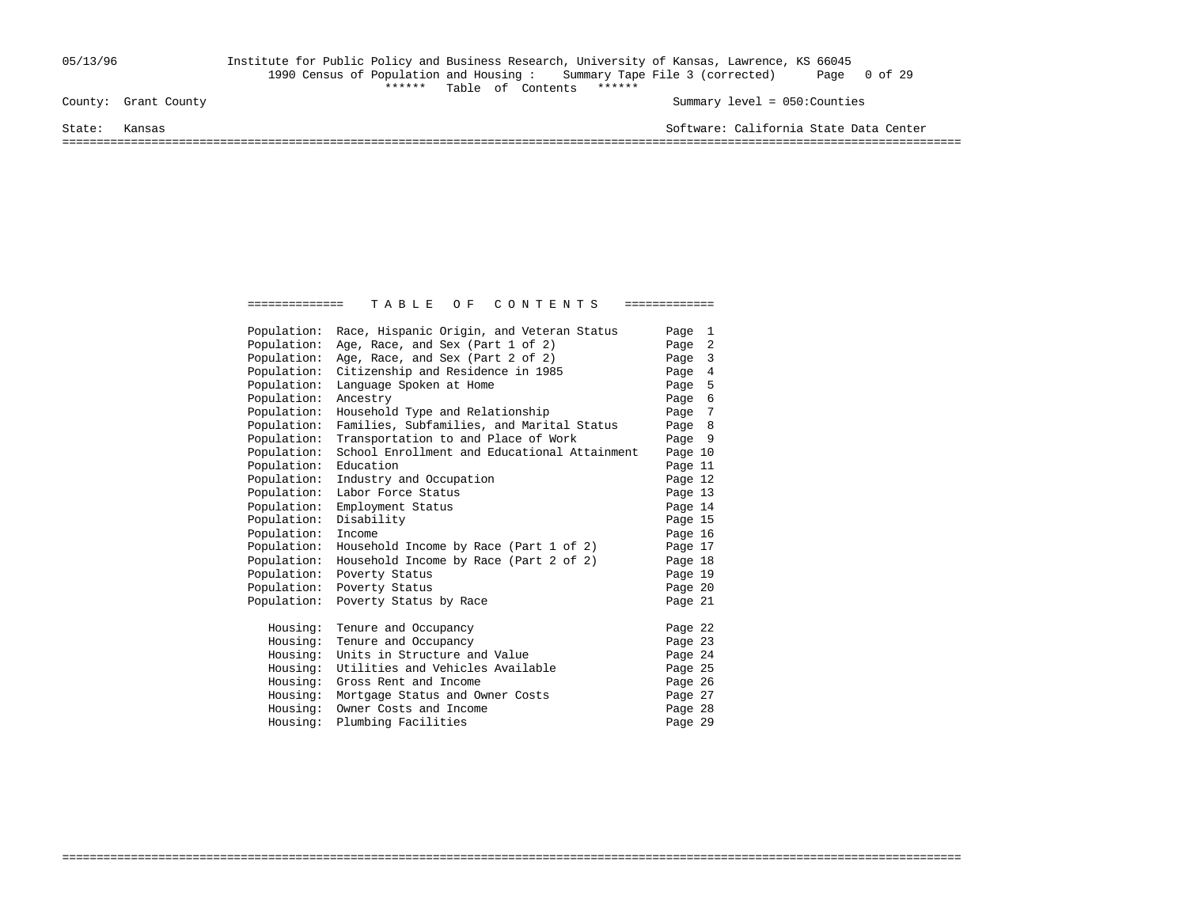## 05/13/96 Institute for Public Policy and Business Research, University of Kansas, Lawrence, KS 66045 1990 Census of Population and Housing : Summary Tape File 3 (corrected) Page 0 of 29 County: Grant County<br>
County: Grant County

Summary level =  $050$ : Counties

State: Kansas Software: California State Data Center

===================================================================================================================================

| Population: | Race, Hispanic Origin, and Veteran Status    | Page 1  |  |
|-------------|----------------------------------------------|---------|--|
| Population: | Age, Race, and Sex (Part 1 of 2)             | Page 2  |  |
| Population: | Age, Race, and Sex (Part 2 of 2)             | Page 3  |  |
| Population: | Citizenship and Residence in 1985            | Page 4  |  |
| Population: | Language Spoken at Home                      | Page 5  |  |
| Population: | Ancestry                                     | Page 6  |  |
| Population: | Household Type and Relationship              | Page 7  |  |
| Population: | Families, Subfamilies, and Marital Status    | Page 8  |  |
| Population: | Transportation to and Place of Work          | Page 9  |  |
| Population: | School Enrollment and Educational Attainment | Page 10 |  |
| Population: | Education                                    | Page 11 |  |
| Population: | Industry and Occupation                      | Page 12 |  |
| Population: | Labor Force Status                           | Page 13 |  |
| Population: | Employment Status                            | Page 14 |  |
| Population: | Disability                                   | Page 15 |  |
| Population: | Income                                       | Page 16 |  |
| Population: | Household Income by Race (Part 1 of 2)       | Page 17 |  |
| Population: | Household Income by Race (Part 2 of 2)       | Page 18 |  |
| Population: | Poverty Status                               | Page 19 |  |
| Population: | Poverty Status                               | Page 20 |  |
| Population: | Poverty Status by Race                       | Page 21 |  |
| Housing:    | Tenure and Occupancy                         | Page 22 |  |
| Housing:    | Tenure and Occupancy                         | Page 23 |  |
| Housing:    | Units in Structure and Value                 | Page 24 |  |
| Housing:    | Utilities and Vehicles Available             | Page 25 |  |
| Housing:    | Gross Rent and Income                        | Page 26 |  |
| Housing:    | Mortgage Status and Owner Costs              | Page 27 |  |
| Housing:    | Owner Costs and Income                       | Page 28 |  |
| Housing:    | Plumbing Facilities                          | Page 29 |  |
|             |                                              |         |  |

===================================================================================================================================

============== T A B L E O F C O N T E N T S =============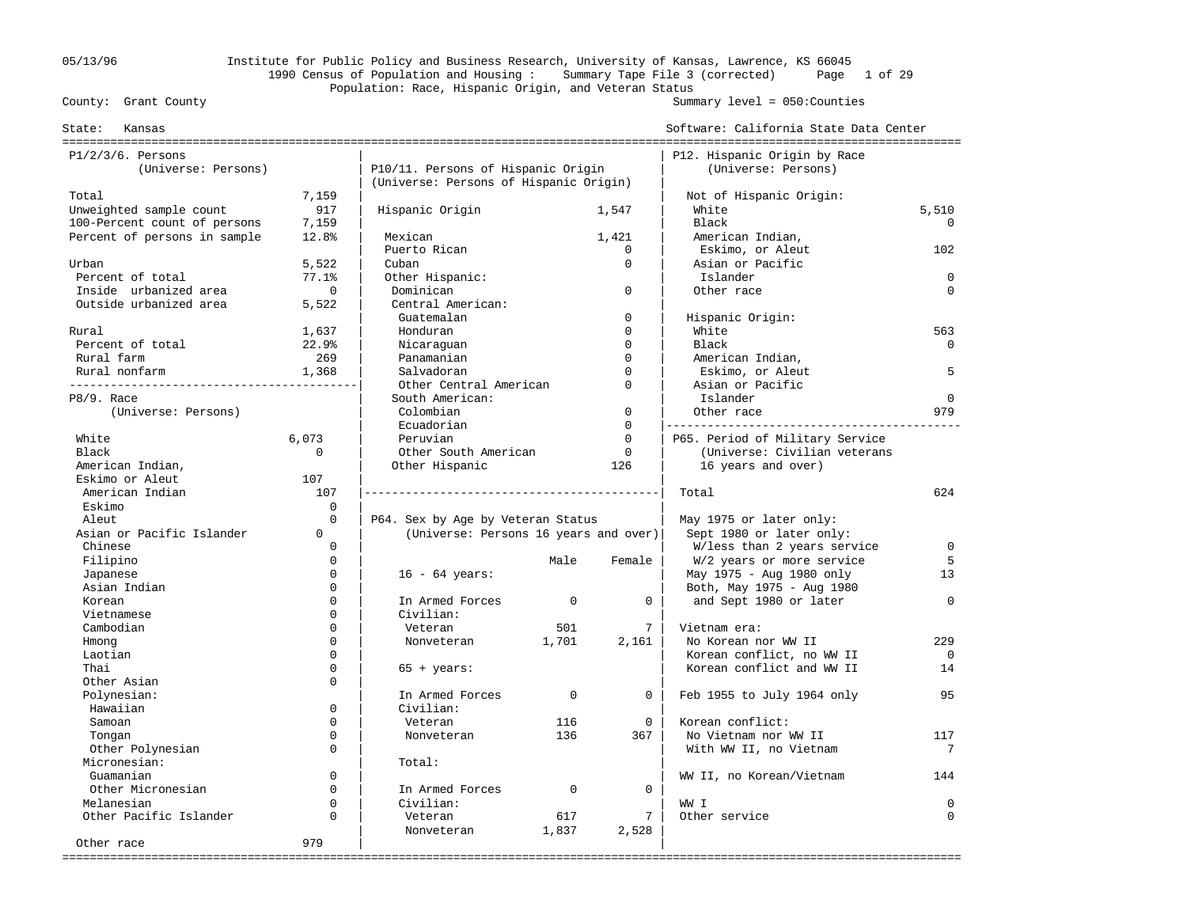## 05/13/96 Institute for Public Policy and Business Research, University of Kansas, Lawrence, KS 66045 1990 Census of Population and Housing : Summary Tape File 3 (corrected) Page 1 of 29 Population: Race, Hispanic Origin, and Veteran Status<br>County: Grant County

| Kansas<br>State:             |             |                                        |             |              | Software: California State Data Center |             |
|------------------------------|-------------|----------------------------------------|-------------|--------------|----------------------------------------|-------------|
| $P1/2/3/6$ . Persons         |             |                                        |             |              | P12. Hispanic Origin by Race           |             |
| (Universe: Persons)          |             | P10/11. Persons of Hispanic Origin     |             |              | (Universe: Persons)                    |             |
|                              |             | (Universe: Persons of Hispanic Origin) |             |              |                                        |             |
| Total                        | 7,159       |                                        |             |              | Not of Hispanic Origin:                |             |
| Unweighted sample count      | 917         | Hispanic Origin                        |             | 1,547        | White                                  | 5,510       |
| 100-Percent count of persons | 7,159       |                                        |             |              | Black                                  | $\Omega$    |
| Percent of persons in sample | 12.8%       | Mexican                                |             | 1,421        | American Indian,                       |             |
|                              |             | Puerto Rican                           |             | $\mathbf 0$  | Eskimo, or Aleut                       | 102         |
| Urban                        | 5,522       | Cuban                                  |             | $\mathbf 0$  | Asian or Pacific                       |             |
| Percent of total             | 77.1%       | Other Hispanic:                        |             |              | Islander                               | $\Omega$    |
| Inside urbanized area        | $\mathbf 0$ | Dominican                              |             | $\mathbf 0$  | Other race                             | $\Omega$    |
| Outside urbanized area       | 5,522       | Central American:                      |             |              |                                        |             |
|                              |             | Guatemalan                             |             | $\mathbf 0$  | Hispanic Origin:                       |             |
| Rural                        | 1,637       | Honduran                               |             | $\Omega$     | White                                  | 563         |
| Percent of total             | 22.9%       | Nicaraquan                             |             | $\Omega$     | Black                                  | $\Omega$    |
| Rural farm                   | 269         | Panamanian                             |             | $\Omega$     | American Indian,                       |             |
| Rural nonfarm                | 1,368       | Salvadoran                             |             | $\Omega$     | Eskimo, or Aleut                       | 5           |
|                              |             | Other Central American                 |             | $\Omega$     | Asian or Pacific                       |             |
| P8/9. Race                   |             | South American:                        |             |              | Islander                               | $\mathbf 0$ |
| (Universe: Persons)          |             | Colombian                              |             | $\mathbf{0}$ | Other race                             | 979         |
|                              |             | Ecuadorian                             |             | $\mathbf 0$  |                                        |             |
| White                        | 6,073       | Peruvian                               |             | $\Omega$     | P65. Period of Military Service        |             |
| Black                        | $\Omega$    | Other South American                   |             | $\mathbf 0$  | (Universe: Civilian veterans           |             |
| American Indian,             |             | Other Hispanic                         |             | 126          | 16 years and over)                     |             |
| Eskimo or Aleut              | 107         |                                        |             |              |                                        |             |
| American Indian              | 107         |                                        |             |              | Total                                  | 624         |
| Eskimo                       | $\Omega$    |                                        |             |              |                                        |             |
| Aleut                        | $\Omega$    | P64. Sex by Age by Veteran Status      |             |              | May 1975 or later only:                |             |
| Asian or Pacific Islander    | $\Omega$    | (Universe: Persons 16 years and over)  |             |              | Sept 1980 or later only:               |             |
| Chinese                      | $\Omega$    |                                        |             |              | W/less than 2 years service            | $\Omega$    |
| Filipino                     | $\mathbf 0$ |                                        | Male        | Female       | W/2 years or more service              | 5           |
| Japanese                     | $\Omega$    | $16 - 64 \text{ years}$ :              |             |              | May 1975 - Aug 1980 only               | 13          |
| Asian Indian                 | $\Omega$    |                                        |             |              | Both, May 1975 - Aug 1980              |             |
| Korean                       | $\Omega$    | In Armed Forces                        | $\mathbf 0$ | $\mathbf 0$  | and Sept 1980 or later                 | $\Omega$    |
| Vietnamese                   | $\Omega$    | Civilian:                              |             |              |                                        |             |
| Cambodian                    | $\Omega$    | Veteran                                | 501         | 7            | Vietnam era:                           |             |
| Hmong                        | $\Omega$    | Nonveteran                             | 1,701       | 2,161        | No Korean nor WW II                    | 229         |
| Laotian                      | $\Omega$    |                                        |             |              | Korean conflict, no WW II              | $\Omega$    |
| Thai                         | $\Omega$    | $65 + years$ :                         |             |              | Korean conflict and WW II              | 14          |
| Other Asian                  | $\Omega$    |                                        |             |              |                                        |             |
| Polynesian:                  |             | In Armed Forces                        | $\Omega$    | $\Omega$     | Feb 1955 to July 1964 only             | 95          |
| Hawaiian                     | $\Omega$    | Civilian:                              |             |              |                                        |             |
| Samoan                       | $\Omega$    | Veteran                                | 116         | $\mathbf 0$  | Korean conflict:                       |             |
| Tongan                       | $\Omega$    | Nonveteran                             | 136         | 367          | No Vietnam nor WW II                   | 117         |
| Other Polynesian             | $\Omega$    |                                        |             |              | With WW II, no Vietnam                 | 7           |
| Micronesian:                 |             | Total:                                 |             |              |                                        |             |
| Guamanian                    | $\Omega$    |                                        |             |              | WW II, no Korean/Vietnam               | 144         |
| Other Micronesian            | $\Omega$    | In Armed Forces                        | $\mathbf 0$ | $\mathbf 0$  |                                        |             |
| Melanesian                   | $\Omega$    | Civilian:                              |             |              | WW I                                   | $\Omega$    |
| Other Pacific Islander       | $\Omega$    | Veteran                                | 617         | $7^{\circ}$  | Other service                          | $\Omega$    |
|                              |             | Nonveteran                             | 1,837       | 2,528        |                                        |             |
| Other race                   | 979         |                                        |             |              |                                        |             |
|                              |             |                                        |             |              |                                        |             |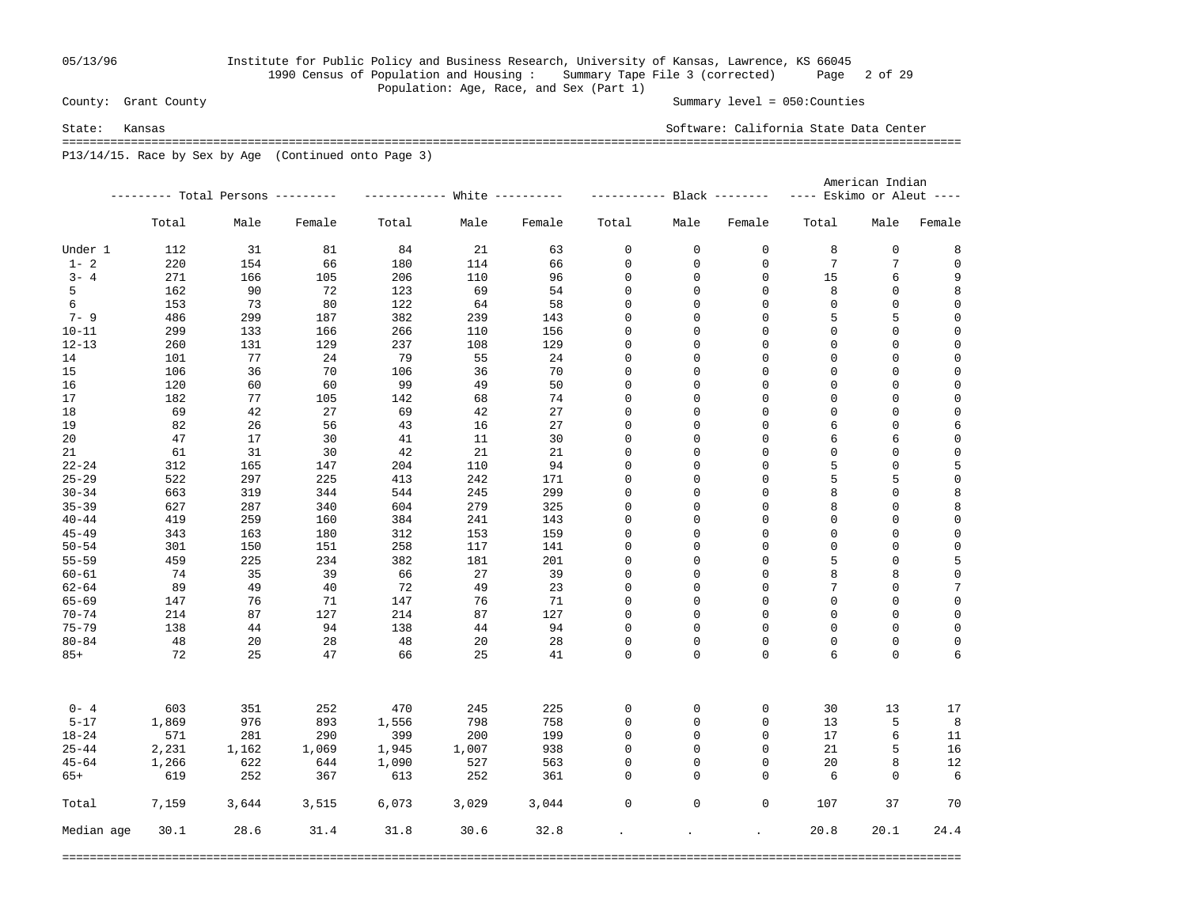## 05/13/96 Institute for Public Policy and Business Research, University of Kansas, Lawrence, KS 66045 1990 Census of Population and Housing : Summary Tape File 3 (corrected) Page 2 of 29 Population: Age, Race, and Sex (Part 1)<br>County: Grant County

Summary level =  $050$ : Counties

State: Kansas Software: California State Data Center =================================================================================================================================== P13/14/15. Race by Sex by Age (Continued onto Page 3)

|            |       |                                   |        |       |       |        | American Indian            |             |                           |                           |             |             |  |
|------------|-------|-----------------------------------|--------|-------|-------|--------|----------------------------|-------------|---------------------------|---------------------------|-------------|-------------|--|
|            |       | --------- Total Persons --------- |        |       |       |        | ----------- Black -------- |             |                           | ---- Eskimo or Aleut ---- |             |             |  |
|            | Total | Male                              | Female | Total | Male  | Female | Total                      | Male        | Female                    | Total                     | Male        | Female      |  |
| Under 1    | 112   | 31                                | 81     | 84    | 21    | 63     | 0                          | $\mathbf 0$ | $\mathbf 0$               | 8                         | $\mathsf 0$ | 8           |  |
| $1 - 2$    | 220   | 154                               | 66     | 180   | 114   | 66     | 0                          | 0           | $\mathbf 0$               | 7                         | 7           | 0           |  |
| $3 - 4$    | 271   | 166                               | 105    | 206   | 110   | 96     | 0                          | 0           | 0                         | 15                        | 6           | 9           |  |
| 5          | 162   | 90                                | 72     | 123   | 69    | 54     | 0                          | 0           | 0                         | 8                         | 0           | 8           |  |
| 6          | 153   | 73                                | 80     | 122   | 64    | 58     | 0                          | 0           | $\mathbf 0$               | $\mathbf 0$               | $\mathsf 0$ | $\mathsf 0$ |  |
| $7 - 9$    | 486   | 299                               | 187    | 382   | 239   | 143    | $\mathbf 0$                | 0           | $\mathbf 0$               | 5                         | 5           | $\mathbf 0$ |  |
| $10 - 11$  | 299   | 133                               | 166    | 266   | 110   | 156    | $\mathbf 0$                | 0           | $\mathbf 0$               | $\mathbf 0$               | $\mathsf 0$ | $\mathbf 0$ |  |
| $12 - 13$  | 260   | 131                               | 129    | 237   | 108   | 129    | 0                          | 0           | $\mathbf 0$               | $\mathbf 0$               | 0           | $\mathbf 0$ |  |
| 14         | 101   | 77                                | 24     | 79    | 55    | 24     | 0                          | 0           | 0                         | $\mathbf 0$               | $\mathsf 0$ | $\mathsf 0$ |  |
| 15         | 106   | 36                                | 70     | 106   | 36    | 70     | 0                          | 0           | 0                         | $\mathbf 0$               | 0           | $\mathbf 0$ |  |
| 16         | 120   | 60                                | 60     | 99    | 49    | 50     | 0                          | 0           | 0                         | 0                         | 0           | $\mathsf 0$ |  |
| 17         | 182   | 77                                | 105    | 142   | 68    | 74     | 0                          | 0           | 0                         | $\Omega$                  | 0           | $\mathbf 0$ |  |
| 18         | 69    | 42                                | 27     | 69    | 42    | 27     | $\mathbf 0$                | 0           | $\mathbf 0$               | $\mathbf 0$               | $\mathbf 0$ | $\mathsf 0$ |  |
| 19         | 82    | 26                                | 56     | 43    | 16    | 27     | $\mathbf 0$                | 0           | $\mathbf 0$               | 6                         | $\mathsf 0$ | $\epsilon$  |  |
| 20         | 47    | 17                                | 30     | 41    | 11    | 30     | $\mathbf 0$                | 0           | $\mathbf 0$               | 6                         | 6           | $\mathbf 0$ |  |
| 21         | 61    | 31                                | 30     | 42    | 21    | 21     | $\mathsf 0$                | 0           | $\mathbf 0$               | $\mathbf 0$               | $\mathsf 0$ | $\mathsf 0$ |  |
| $22 - 24$  | 312   | 165                               | 147    | 204   | 110   | 94     | 0                          | 0           | $\mathbf 0$               | 5                         | $\mathsf 0$ | 5           |  |
| $25 - 29$  | 522   | 297                               | 225    | 413   | 242   | 171    | $\mathsf 0$                | 0           | $\mathbf 0$               | 5                         | 5           | $\mathsf 0$ |  |
| $30 - 34$  | 663   | 319                               | 344    | 544   | 245   | 299    | 0                          | 0           | 0                         | 8                         | $\mathsf 0$ | 8           |  |
| $35 - 39$  | 627   | 287                               | 340    | 604   | 279   | 325    | 0                          | 0           | 0                         | 8                         | $\mathsf 0$ | 8           |  |
| $40 - 44$  | 419   | 259                               | 160    | 384   | 241   | 143    | $\mathsf 0$                | 0           | $\mathbf 0$               | $\Omega$                  | $\mathsf 0$ | $\mathsf 0$ |  |
| $45 - 49$  | 343   | 163                               | 180    | 312   | 153   | 159    | $\mathsf 0$                | 0           | $\mathbf 0$               | $\Omega$                  | $\mathsf 0$ | $\mathsf 0$ |  |
| $50 - 54$  | 301   | 150                               | 151    | 258   | 117   | 141    | 0                          | 0           | $\mathbf 0$               | $\Omega$                  | $\mathbf 0$ | $\mathsf 0$ |  |
| $55 - 59$  | 459   | 225                               | 234    | 382   | 181   | 201    | 0                          | 0           | $\mathbf 0$               | 5                         | $\mathsf 0$ | 5           |  |
| $60 - 61$  | -74   | 35                                | 39     | 66    | 27    | 39     | 0                          | 0           | $\mathbf 0$               | 8                         | 8           | $\mathsf 0$ |  |
| $62 - 64$  | -89   | 49                                | 40     | 72    | 49    | 23     | $\mathsf 0$                | 0           | $\mathbf 0$               | 7                         | $\mathsf 0$ | 7           |  |
| $65 - 69$  | 147   | 76                                | 71     | 147   | 76    | 71     | 0                          | 0           | 0                         | $\mathbf 0$               | 0           | $\mathsf 0$ |  |
| $70 - 74$  | 214   | 87                                | 127    | 214   | 87    | 127    | 0                          | 0           | $\mathbf 0$               | $\mathbf 0$               | 0           | $\mathsf 0$ |  |
| $75 - 79$  | 138   | 44                                | 94     | 138   | 44    | 94     | 0                          | 0           | $\Omega$                  | $\Omega$                  | 0           | $\mathbf 0$ |  |
| $80 - 84$  | 48    | 20                                | 28     | 48    | 20    | 28     | $\mathbf 0$                | 0           | $\Omega$                  | $\Omega$                  | $\mathsf 0$ | $\mathbf 0$ |  |
| $85+$      | 72    | 25                                | 47     | 66    | 25    | 41     | $\Omega$                   | $\Omega$    | $\Omega$                  | 6                         | $\Omega$    | 6           |  |
| $0 - 4$    | 603   | 351                               | 252    | 470   | 245   | 225    | 0                          | 0           | 0                         | 30                        | 13          | 17          |  |
| $5 - 17$   | 1,869 | 976                               | 893    | 1,556 | 798   | 758    | 0                          | 0           | 0                         | 13                        | 5           | 8           |  |
| $18 - 24$  | 571   | 281                               | 290    | 399   | 200   | 199    | $\mathbf 0$                | 0           | $\mathbf 0$               | 17                        | 6           | 11          |  |
| $25 - 44$  | 2,231 | 1,162                             | 1,069  | 1,945 | 1,007 | 938    | $\mathbf 0$                | $\mathsf 0$ | $\mathbf 0$               | 21                        | 5           | 16          |  |
| $45 - 64$  | 1,266 | 622                               | 644    | 1,090 | 527   | 563    | 0                          | $\mathbf 0$ | $\Omega$                  | 20                        | 8           | 12          |  |
| $65+$      | 619   | 252                               | 367    | 613   | 252   | 361    | 0                          | $\mathbf 0$ | $\mathbf 0$               | 6                         | $\mathbf 0$ | 6           |  |
| Total      | 7,159 | 3,644                             | 3,515  | 6,073 | 3,029 | 3,044  | $\mathbf 0$                | $\mathsf 0$ | $\mathbf 0$               | 107                       | 37          | 70          |  |
| Median age | 30.1  | 28.6                              | 31.4   | 31.8  | 30.6  | 32.8   | $\mathcal{L}^{\text{max}}$ |             | $\mathbf{a} = \mathbf{a}$ | 20.8                      | 20.1        | 24.4        |  |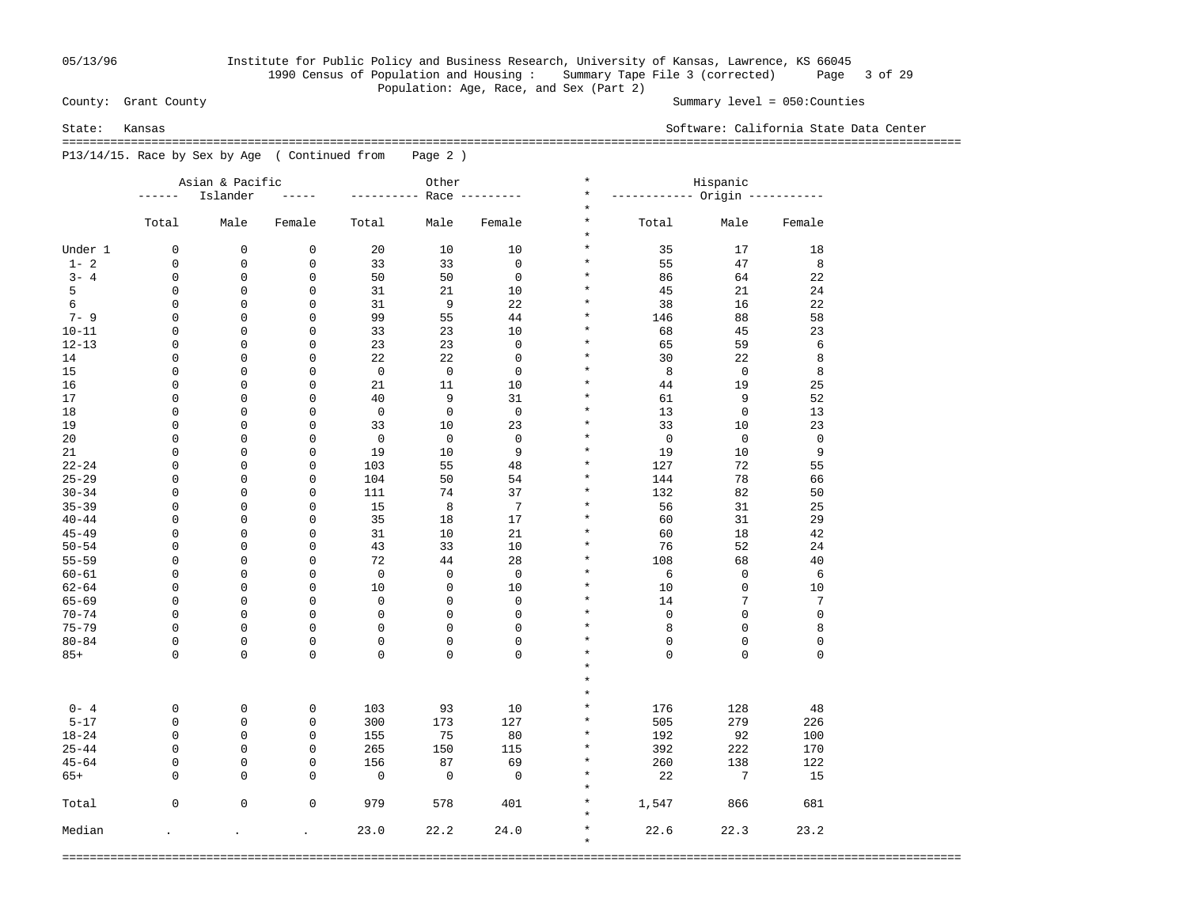## 05/13/96 Institute for Public Policy and Business Research, University of Kansas, Lawrence, KS 66045 1990 Census of Population and Housing : Summary Tape File 3 (corrected) Page 3 of 29 Population: Age, Race, and Sex (Part 2)<br>County: Grant County

Summary level =  $050$ : Counties

State: Kansas Software: California State Data Center

 =================================================================================================================================== P13/14/15. Race by Sex by Age ( Continued from Page 2 )

|           |               | Asian & Pacific |             |             | Other        |                | $^\star$                        | Hispanic                      |             |             |
|-----------|---------------|-----------------|-------------|-------------|--------------|----------------|---------------------------------|-------------------------------|-------------|-------------|
|           | $- - - - - -$ | Islander        |             |             |              | Race --------- | $^\star$                        | ----------- Origin ---------- |             |             |
|           | Total         | Male            | Female      | Total       | Male         | Female         | $^\star$<br>$^\star$<br>$\star$ | Total                         | Male        | Female      |
| Under 1   | 0             | 0               | $\mathbf 0$ | 20          | 10           | 10             | $\star$                         | 35                            | 17          | 18          |
| $1 - 2$   | 0             | 0               | 0           | 33          | 33           | $\mathsf 0$    | $\star$                         | 55                            | 47          | 8           |
| $3 - 4$   | 0             | 0               | $\mathbf 0$ | 50          | 50           | $\mathbf 0$    | $^\star$                        | 86                            | 64          | 22          |
| 5         | 0             | 0               | 0           | 31          | 21           | 10             | $\star$                         | 45                            | 21          | 24          |
| 6         | 0             | 0               | $\mathbf 0$ | 31          | 9            | 22             | $^\ast$                         | 38                            | 16          | 22          |
| $7 - 9$   | 0             | $\mathbf 0$     | 0           | 99          | 55           | 44             | $\star$                         | 146                           | 88          | 58          |
| $10 - 11$ | 0             | 0               | $\mathbf 0$ | 33          | 23           | 10             | $^\star$                        | 68                            | 45          | 23          |
| $12 - 13$ | 0             | 0               | 0           | 23          | 23           | $\mathsf 0$    | $\star$                         | 65                            | 59          | 6           |
| 14        | 0             | $\mathbf 0$     | $\mathbf 0$ | 22          | 22           | $\mathsf 0$    | $\star$                         | 30                            | 22          | 8           |
| 15        | 0             | 0               | 0           | $\mathbf 0$ | $\mathbf 0$  | $\mathsf 0$    | $\star$                         | 8                             | $\mathbf 0$ | 8           |
| 16        | 0             | 0               | $\mathbf 0$ | 21          | 11           | 10             | $\star$                         | 44                            | 19          | 25          |
| 17        | 0             | 0               | 0           | 40          | 9            | 31             | $\star$                         | 61                            | 9           | 52          |
| 18        | 0             | 0               | 0           | $\mathbf 0$ | $\mathbf 0$  | $\mathbf 0$    | $\star$                         | 13                            | $\mathbf 0$ | 13          |
| 19        | 0             | 0               | 0           | 33          | 10           | 23             | $\star$                         | 33                            | 10          | 23          |
| 20        | 0             | $\mathbf 0$     | $\mathbf 0$ | $\mathbf 0$ | $\mathbf 0$  | $\mathbf 0$    | $\star$                         | $\mathbf 0$                   | $\mathbf 0$ | $\mathbf 0$ |
| 21        | 0             | 0               | 0           | 19          | 10           | 9              | $\star$                         | 19                            | 10          | 9           |
| $22 - 24$ | 0             | $\mathbf 0$     | $\mathbf 0$ | 103         | 55           | 48             | $\star$                         | 127                           | 72          | 55          |
| $25 - 29$ | 0             | $\mathbf 0$     | 0           | 104         | 50           | 54             | $\star$                         | 144                           | 78          | 66          |
| $30 - 34$ | 0             | $\mathbf 0$     | $\mathbf 0$ | 111         | 74           | 37             | $\star$                         |                               | 82          |             |
| $35 - 39$ |               | 0               |             |             |              |                | $\star$                         | 132                           |             | 50          |
|           | 0             |                 | 0           | 15          | 8            | 7              | $\star$                         | 56                            | 31          | 25          |
| $40 - 44$ | 0             | 0               | $\mathbf 0$ | 35          | 18           | 17             | $\star$                         | 60                            | 31          | 29          |
| $45 - 49$ | 0             | 0               | 0           | 31          | 10           | 21             | $\star$                         | 60                            | 18          | 42          |
| $50 - 54$ | 0             | 0               | $\mathbf 0$ | 43          | 33           | 10             | $\star$                         | 76                            | 52          | 24          |
| $55 - 59$ | 0             | 0               | $\mathbf 0$ | 72          | 44           | 28             |                                 | 108                           | 68          | 40          |
| $60 - 61$ | 0             | $\mathbf 0$     | $\mathbf 0$ | $\mathbf 0$ | $\mathbf 0$  | $\mathbf 0$    | $\star$                         | 6                             | $\mathbf 0$ | 6           |
| $62 - 64$ | 0             | $\mathbf 0$     | $\mathbf 0$ | 10          | $\mathbf 0$  | 10             | $\star$                         | 10                            | $\mathsf 0$ | 10          |
| $65 - 69$ | $\mathbf 0$   | $\mathbf 0$     | $\mathbf 0$ | $\mathsf 0$ | $\mathbf{0}$ | $\mathbf 0$    | $\star$                         | 14                            | 7           | 7           |
| $70 - 74$ | 0             | $\mathbf 0$     | $\mathbf 0$ | $\mathsf 0$ | 0            | $\mathbf 0$    | $\star$                         | 0                             | $\mathsf 0$ | $\mathsf 0$ |
| $75 - 79$ | $\mathbf 0$   | 0               | $\mathbf 0$ | $\mathsf 0$ | $\mathbf 0$  | $\mathbf 0$    | $\star$                         | 8                             | $\mathsf 0$ | 8           |
| $80 - 84$ | 0             | 0               | $\mathsf 0$ | $\mathsf 0$ | 0            | $\mathbf 0$    | $\star$                         | 0                             | $\mathsf 0$ | 0           |
| $85+$     | $\Omega$      | $\Omega$        | $\Omega$    | $\Omega$    | $\Omega$     | $\Omega$       | $\star$                         | $\Omega$                      | $\mathbf 0$ | 0           |
|           |               |                 |             |             |              |                | $\star$                         |                               |             |             |
|           |               |                 |             |             |              |                | $\star$                         |                               |             |             |
|           |               |                 |             |             |              |                | $\star$                         |                               |             |             |
| $0 - 4$   | 0             | 0               | $\mathbf 0$ | 103         | 93           | 10             | $\star$                         | 176                           | 128         | 48          |
| $5 - 17$  | 0             | $\mathbf 0$     | $\mathbf 0$ | 300         | 173          | 127            | $\star$                         | 505                           | 279         | 226         |
| $18 - 24$ | $\mathbf 0$   | $\mathbf 0$     | $\mathbf 0$ | 155         | 75           | 80             | $\star$                         | 192                           | 92          | 100         |
| $25 - 44$ | 0             | $\Omega$        | $\mathbf 0$ | 265         | 150          | 115            | $\star$                         | 392                           | 222         | 170         |
| $45 - 64$ | 0             | 0               | $\mathbf 0$ | 156         | 87           | 69             | $\star$                         | 260                           | 138         | 122         |
| $65+$     | 0             | $\Omega$        | $\Omega$    | $\mathbf 0$ | $\mathbf 0$  | $\Omega$       | $\star$                         | 22                            | 7           | 15          |
|           |               |                 |             |             |              |                | $\star$                         |                               |             |             |
| Total     | 0             | $\mathbf 0$     | $\mathbf 0$ | 979         | 578          | 401            | $\star$                         | 1,547                         | 866         | 681         |
|           |               |                 |             |             |              |                | $\star$                         |                               |             |             |
| Median    |               | $\overline{a}$  | $\bullet$   | 23.0        | 22.2         | 24.0           | $\star$                         | 22.6                          | 22.3        | 23.2        |
|           |               |                 |             |             |              |                | $\star$                         |                               |             |             |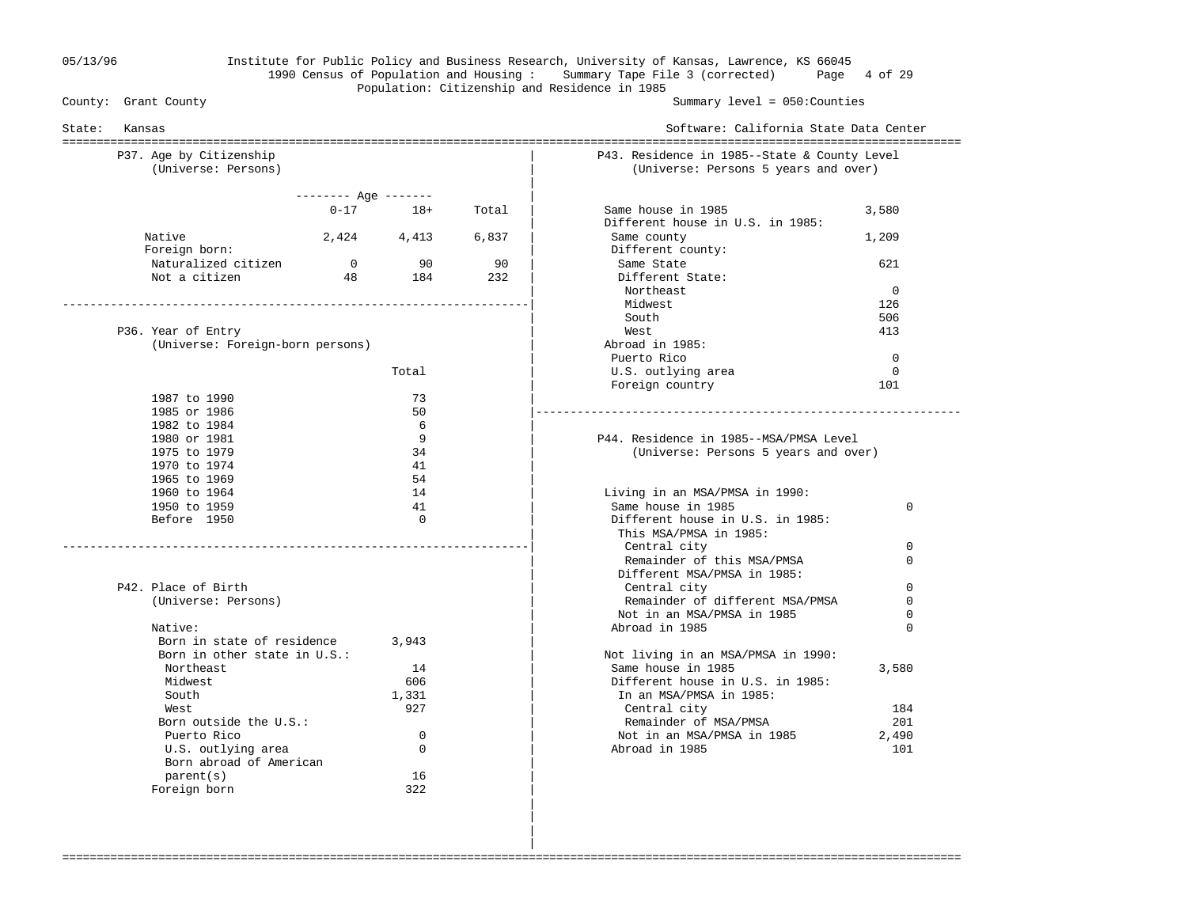### 05/13/96 Institute for Public Policy and Business Research, University of Kansas, Lawrence, KS 66045 1990 Census of Population and Housing : Summary Tape File 3 (corrected) Page 4 of 29 Population: Citizenship and Residence in 1985<br>County: Grant County

Summary level =  $050$ : Counties

| P37. Age by Citizenship<br>(Universe: Persons) |                       |             |       | P43. Residence in 1985--State & County Level<br>(Universe: Persons 5 years and over) |             |
|------------------------------------------------|-----------------------|-------------|-------|--------------------------------------------------------------------------------------|-------------|
|                                                | $------$ Age $------$ |             |       |                                                                                      |             |
|                                                | $0 - 17$              | $18+$       | Total | Same house in 1985                                                                   | 3,580       |
|                                                |                       |             |       | Different house in U.S. in 1985:                                                     |             |
| Native                                         |                       | 2,424 4,413 | 6,837 | Same county                                                                          | 1,209       |
| Foreign born:                                  |                       |             |       | Different county:                                                                    |             |
| Naturalized citizen                            | $\overline{0}$        | 90          | 90    | Same State                                                                           | 621         |
| Not a citizen                                  | 48                    | 184         | 232   | Different State:                                                                     |             |
|                                                |                       |             |       | Northeast                                                                            | $\Omega$    |
|                                                |                       |             |       | Midwest                                                                              | 126         |
|                                                |                       |             |       | South                                                                                | 506         |
| P36. Year of Entry                             |                       |             |       | West                                                                                 | 413         |
| (Universe: Foreign-born persons)               |                       |             |       | Abroad in 1985:                                                                      |             |
|                                                |                       |             |       | Puerto Rico                                                                          | $\mathbf 0$ |
|                                                |                       | Total       |       | U.S. outlying area                                                                   | $\Omega$    |
|                                                |                       |             |       | Foreign country                                                                      | 101         |
| 1987 to 1990                                   |                       | 73          |       |                                                                                      |             |
| 1985 or 1986                                   |                       | 50          |       |                                                                                      |             |
| 1982 to 1984                                   |                       | 6           |       |                                                                                      |             |
| 1980 or 1981                                   |                       | 9           |       | P44. Residence in 1985--MSA/PMSA Level                                               |             |
| 1975 to 1979                                   |                       | 34          |       | (Universe: Persons 5 years and over)                                                 |             |
| 1970 to 1974                                   |                       | 41          |       |                                                                                      |             |
| 1965 to 1969                                   |                       | 54          |       |                                                                                      |             |
| 1960 to 1964                                   |                       | 14          |       | Living in an MSA/PMSA in 1990:                                                       |             |
| 1950 to 1959                                   |                       | 41          |       | Same house in 1985                                                                   | $\Omega$    |
| Before 1950                                    |                       | $\Omega$    |       | Different house in U.S. in 1985:                                                     |             |
|                                                |                       |             |       | This MSA/PMSA in 1985:                                                               |             |
|                                                |                       |             |       | Central city                                                                         | 0           |
|                                                |                       |             |       | Remainder of this MSA/PMSA                                                           | $\Omega$    |
|                                                |                       |             |       | Different MSA/PMSA in 1985:                                                          |             |
| P42. Place of Birth                            |                       |             |       | Central city                                                                         | $\Omega$    |
| (Universe: Persons)                            |                       |             |       | Remainder of different MSA/PMSA                                                      | $\Omega$    |
|                                                |                       |             |       | Not in an MSA/PMSA in 1985                                                           | 0           |
| Native:                                        |                       |             |       | Abroad in 1985                                                                       | $\Omega$    |
| Born in state of residence                     |                       | 3,943       |       |                                                                                      |             |
| Born in other state in U.S.:                   |                       |             |       | Not living in an MSA/PMSA in 1990:                                                   |             |
| Northeast                                      |                       | 14          |       | Same house in 1985                                                                   | 3,580       |
| Midwest                                        |                       | 606         |       | Different house in U.S. in 1985:                                                     |             |
| South                                          |                       | 1,331       |       | In an MSA/PMSA in 1985:                                                              |             |
| West                                           |                       | 927         |       | Central city                                                                         | 184         |
| Born outside the U.S.:                         |                       |             |       | Remainder of MSA/PMSA                                                                | 201         |
| Puerto Rico                                    |                       | $\Omega$    |       | Not in an MSA/PMSA in 1985                                                           | 2,490       |
| U.S. outlying area                             |                       | $\Omega$    |       | Abroad in 1985                                                                       | 101         |
| Born abroad of American                        |                       |             |       |                                                                                      |             |
| parent(s)                                      |                       | 16          |       |                                                                                      |             |
| Foreign born                                   |                       | 322         |       |                                                                                      |             |

===================================================================================================================================

 | |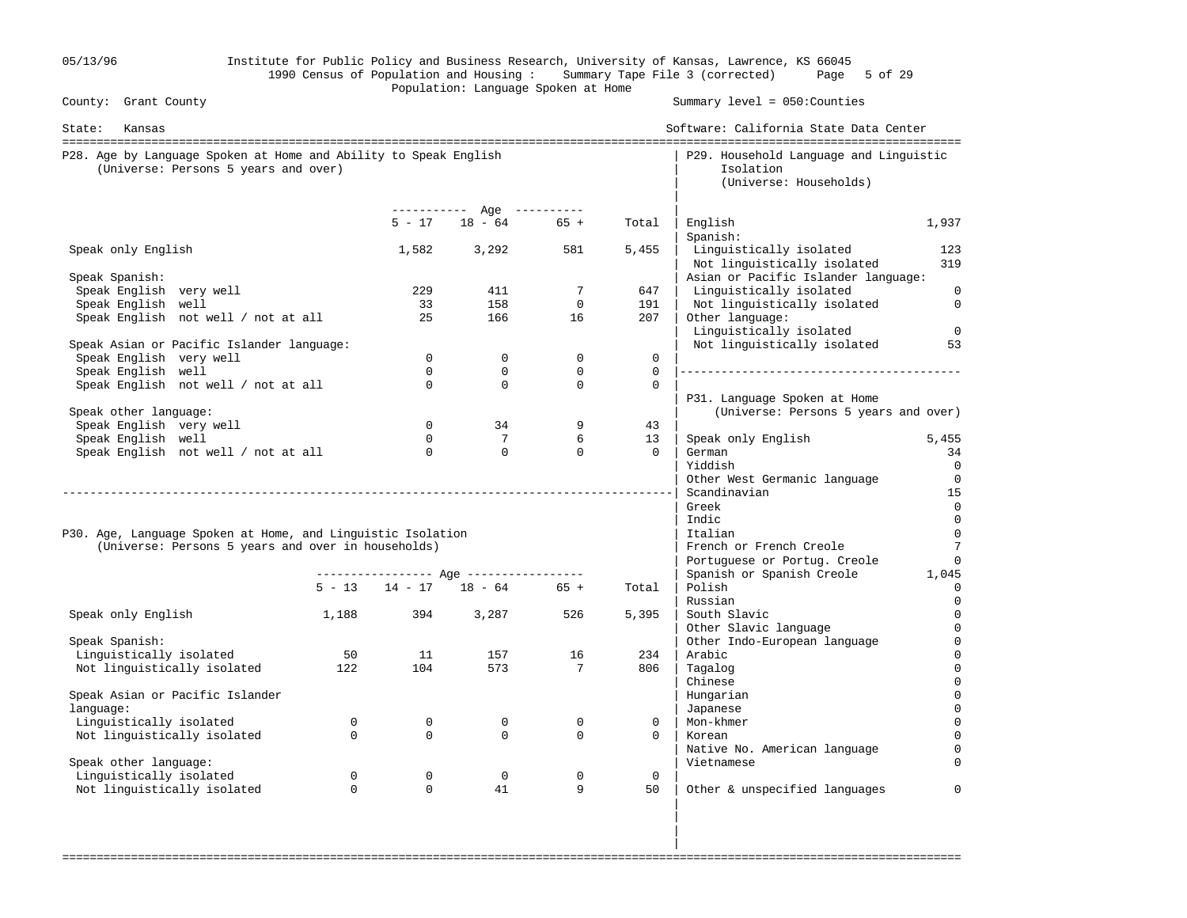| 05/13/96                                                                                                 |             |             |                                         |                                |              | Institute for Public Policy and Business Research, University of Kansas, Lawrence, KS 66045<br>1990 Census of Population and Housing: Summary Tape File 3 (corrected) Page 5 of 29 |                                  |
|----------------------------------------------------------------------------------------------------------|-------------|-------------|-----------------------------------------|--------------------------------|--------------|------------------------------------------------------------------------------------------------------------------------------------------------------------------------------------|----------------------------------|
| County: Grant County                                                                                     |             |             | Population: Language Spoken at Home     |                                |              | Summary level = 050: Counties                                                                                                                                                      |                                  |
| State:<br>Kansas                                                                                         |             |             |                                         |                                |              | Software: California State Data Center                                                                                                                                             |                                  |
| P28. Age by Language Spoken at Home and Ability to Speak English<br>(Universe: Persons 5 years and over) |             |             |                                         |                                |              | P29. Household Language and Linguistic<br>Isolation<br>(Universe: Households)                                                                                                      |                                  |
|                                                                                                          |             | $5 - 17$    | ----------- Age ----------<br>$18 - 64$ |                                |              |                                                                                                                                                                                    |                                  |
|                                                                                                          |             |             |                                         | $65 +$                         | Total        | English<br>Spanish:                                                                                                                                                                | 1,937                            |
| Speak only English                                                                                       |             | 1,582       | 3,292                                   | 581                            | 5,455        | Linguistically isolated<br>Not linguistically isolated                                                                                                                             | 123<br>319                       |
| Speak Spanish:                                                                                           |             |             |                                         |                                |              | Asian or Pacific Islander language:                                                                                                                                                |                                  |
| Speak English very well                                                                                  |             | 229<br>33   | 411<br>158                              | $7\phantom{.0}$<br>$\mathbf 0$ | 647<br>191   | Linguistically isolated                                                                                                                                                            | $\overline{0}$<br>$\overline{0}$ |
| Speak English well<br>Speak English not well / not at all                                                |             | 25          | 166                                     | 16                             | 207          | Not linguistically isolated<br>Other language:<br>Linguistically isolated                                                                                                          | $\overline{0}$                   |
| Speak Asian or Pacific Islander language:                                                                |             |             |                                         |                                |              | Not linguistically isolated                                                                                                                                                        | 53                               |
| Speak English very well                                                                                  |             | $\Omega$    | $\mathbf 0$                             | $\mathbf 0$                    | $\mathbf{0}$ |                                                                                                                                                                                    |                                  |
| Speak English well                                                                                       |             | $\Omega$    | $\mathbf 0$                             | $\mathbf 0$                    | $\Omega$     |                                                                                                                                                                                    |                                  |
| Speak English not well / not at all                                                                      |             | $\Omega$    | $\mathbf 0$                             | $\mathbf 0$                    | $\mathbf 0$  | P31. Language Spoken at Home                                                                                                                                                       |                                  |
| Speak other language:                                                                                    |             |             |                                         |                                |              | (Universe: Persons 5 years and over)                                                                                                                                               |                                  |
| Speak English very well                                                                                  |             | $\Omega$    | 34                                      | 9                              | 43           |                                                                                                                                                                                    |                                  |
| Speak English well                                                                                       |             | $\Omega$    | $7\overline{ }$                         | 6                              | 13           | Speak only English                                                                                                                                                                 | 5,455                            |
| Speak English not well / not at all                                                                      |             | $\Omega$    | $\mathbf 0$                             | $\Omega$                       | $\Omega$     | German                                                                                                                                                                             | 34                               |
|                                                                                                          |             |             |                                         |                                |              | Yiddish                                                                                                                                                                            | 0                                |
|                                                                                                          |             |             |                                         |                                |              | Other West Germanic language                                                                                                                                                       | $\overline{0}$                   |
|                                                                                                          |             |             |                                         |                                |              | Scandinavian                                                                                                                                                                       | 15                               |
|                                                                                                          |             |             |                                         |                                |              | Greek<br>Indic                                                                                                                                                                     | 0<br>$\overline{0}$              |
| P30. Age, Language Spoken at Home, and Linguistic Isolation                                              |             |             |                                         |                                |              | Italian                                                                                                                                                                            | $\overline{0}$                   |
| (Universe: Persons 5 years and over in households)                                                       |             |             |                                         |                                |              | French or French Creole                                                                                                                                                            | $\overline{7}$                   |
|                                                                                                          |             |             |                                         |                                |              | Portuguese or Portug. Creole                                                                                                                                                       | $\mathbf 0$                      |
|                                                                                                          |             |             | ---------------- Age ----------------   |                                |              | Spanish or Spanish Creole                                                                                                                                                          | 1,045                            |
|                                                                                                          |             |             | $5 - 13$ $14 - 17$ $18 - 64$ $65 +$     |                                | Total        | Polish                                                                                                                                                                             |                                  |
|                                                                                                          |             |             |                                         |                                |              | Russian                                                                                                                                                                            |                                  |
| Speak only English                                                                                       | 1,188       | 394         | 3,287                                   | 526                            | 5,395        | South Slavic                                                                                                                                                                       | 0                                |
|                                                                                                          |             |             |                                         |                                |              | Other Slavic language                                                                                                                                                              | $\mathbf 0$                      |
| Speak Spanish:                                                                                           |             |             |                                         |                                |              | Other Indo-European language                                                                                                                                                       | $\mathbf 0$                      |
| Linguistically isolated<br>Not linguistically isolated                                                   | 50<br>122   | 11<br>104   | 157<br>573                              | 16<br>7                        | 234<br>806   | Arabic<br>Tagalog                                                                                                                                                                  | $\Omega$                         |
|                                                                                                          |             |             |                                         |                                |              | Chinese                                                                                                                                                                            |                                  |
| Speak Asian or Pacific Islander                                                                          |             |             |                                         |                                |              | Hungarian                                                                                                                                                                          |                                  |
| language:                                                                                                |             |             |                                         |                                |              | Japanese                                                                                                                                                                           |                                  |
| Linguistically isolated                                                                                  | $\mathbf 0$ | $\mathbf 0$ | $\mathbf 0$                             | $\mathbf 0$                    | 0            | Mon-khmer                                                                                                                                                                          |                                  |
| Not linguistically isolated                                                                              | $\Omega$    | $\Omega$    | $\Omega$                                | $\mathbf 0$                    | $\Omega$     | Korean                                                                                                                                                                             |                                  |
|                                                                                                          |             |             |                                         |                                |              | Native No. American language                                                                                                                                                       |                                  |
| Speak other language:                                                                                    |             |             |                                         |                                |              | Vietnamese                                                                                                                                                                         |                                  |
| Linguistically isolated                                                                                  | $\mathbf 0$ | $\mathbf 0$ | $\mathbf 0$                             | $\mathbf 0$                    | $\mathbf 0$  |                                                                                                                                                                                    |                                  |
| Not linguistically isolated                                                                              | $\mathbf 0$ | $\Omega$    | 41                                      | 9                              | 50           | Other & unspecified languages                                                                                                                                                      | $\Omega$                         |
|                                                                                                          |             |             |                                         |                                |              |                                                                                                                                                                                    |                                  |

===================================================================================================================================

in the contract of the contract of the contract of the contract of the contract of the contract of the contract of in the contract of the contract of the contract of the contract of the contract of the contract of the contract of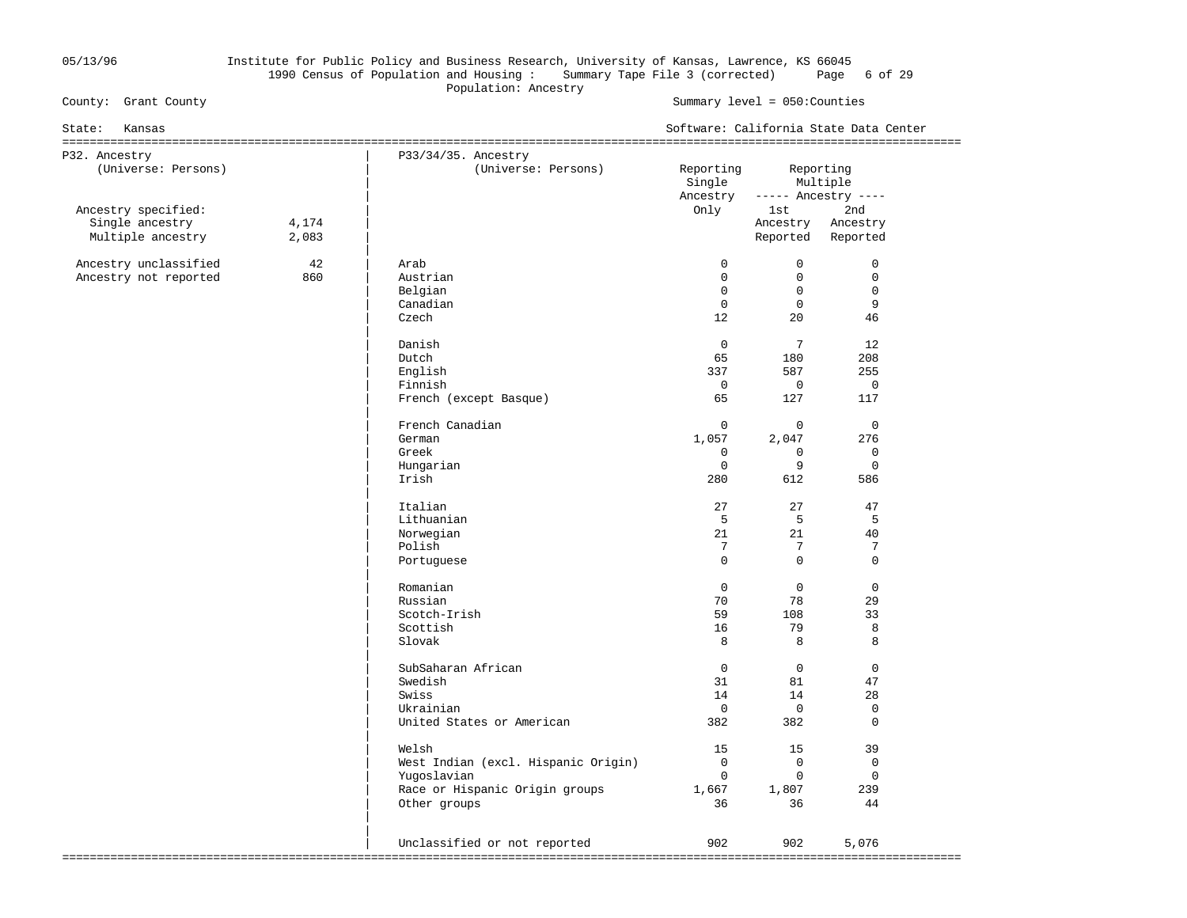### 05/13/96 Institute for Public Policy and Business Research, University of Kansas, Lawrence, KS 66045 1990 Census of Population and Housing : Summary Tape File 3 (corrected) Page 6 of 29 Population: Ancestry<br>
County: Grant County<br>
County: County<br>
County: County<br>
County: County<br>
County: County<br>
County: County<br>
County: County<br>
County: County<br>
County: County<br>
County: County<br>
County: County: County<br>
County: Co

| State:<br>Kansas                       |       |                                            | Software: California State Data Center |                 |                                  |  |  |
|----------------------------------------|-------|--------------------------------------------|----------------------------------------|-----------------|----------------------------------|--|--|
| P32. Ancestry<br>(Universe: Persons)   |       | P33/34/35. Ancestry<br>(Universe: Persons) | Reporting<br>Single<br>Ancestry        | Reporting       | Multiple<br>$---$ Ancestry $---$ |  |  |
| Ancestry specified:<br>Single ancestry | 4,174 |                                            | Only                                   | lst<br>Ancestry | 2nd<br>Ancestry                  |  |  |
| Multiple ancestry                      | 2,083 |                                            |                                        |                 | Reported Reported                |  |  |
| Ancestry unclassified                  | 42    | Arab                                       | $\Omega$                               | $\Omega$        | $\Omega$                         |  |  |
| Ancestry not reported                  | 860   | Austrian                                   | $\mathbf 0$                            | $\mathbf 0$     | $\mathbf 0$                      |  |  |
|                                        |       | Belgian                                    | $\Omega$                               | $\Omega$        | $\mathbf 0$                      |  |  |
|                                        |       | Canadian                                   | $\Omega$                               | $\Omega$        | 9                                |  |  |
|                                        |       | Czech                                      | 12                                     | $20^{\circ}$    | 46                               |  |  |
|                                        |       | Danish                                     | $\mathbf 0$                            | $7\overline{ }$ | 12                               |  |  |
|                                        |       | Dutch                                      | 65                                     | 180             | 208                              |  |  |
|                                        |       | English                                    | 337                                    | 587             | 255                              |  |  |
|                                        |       | Finnish                                    | $\mathbf 0$                            | $\mathbf 0$     | $\mathbf 0$                      |  |  |
|                                        |       | French (except Basque)                     | 65                                     | 127             | 117                              |  |  |
|                                        |       | French Canadian                            | $\mathbf 0$                            | $\mathbf 0$     | $\mathbf 0$                      |  |  |
|                                        |       | German                                     | 1,057                                  | 2,047           | 276                              |  |  |
|                                        |       | Greek                                      | $\Omega$                               | $\Omega$        | $\Omega$                         |  |  |
|                                        |       | Hungarian                                  | $\mathbf 0$                            | 9               | $\Omega$                         |  |  |
|                                        |       | Irish                                      | 280                                    | 612             | 586                              |  |  |
|                                        |       | Italian                                    | 27                                     | 27              | 47                               |  |  |
|                                        |       | Lithuanian                                 | 5                                      | 5               | 5                                |  |  |
|                                        |       | Norwegian                                  | 21                                     | 21              | 40                               |  |  |
|                                        |       | Polish                                     | 7                                      | 7               | 7                                |  |  |
|                                        |       | Portuguese                                 | $\Omega$                               | $\Omega$        | $\Omega$                         |  |  |
|                                        |       | Romanian                                   | $\mathbf 0$                            | $\mathbf 0$     | $\mathbf 0$                      |  |  |
|                                        |       | Russian                                    | 70                                     | 78              | 29                               |  |  |
|                                        |       | Scotch-Irish                               | 59                                     | 108             | 33                               |  |  |
|                                        |       | Scottish                                   | 16                                     | 79              | 8                                |  |  |
|                                        |       | Slovak                                     | 8                                      | 8               | 8                                |  |  |
|                                        |       | SubSaharan African                         | $\Omega$                               | $\Omega$        | $\Omega$                         |  |  |
|                                        |       | Swedish                                    | 31                                     | 81              | 47                               |  |  |
|                                        |       | Swiss                                      | 14                                     | 14              | 28                               |  |  |
|                                        |       | Ukrainian                                  | $\Omega$                               | $\overline{0}$  | $\mathbf 0$<br>$\Omega$          |  |  |
|                                        |       | United States or American                  | 382                                    | 382             |                                  |  |  |
|                                        |       | Welsh                                      | 15                                     | 15              | 39                               |  |  |
|                                        |       | West Indian (excl. Hispanic Origin)        | $\overline{0}$                         | $\mathbf 0$     | $\mathbf 0$                      |  |  |
|                                        |       | Yugoslavian                                | $\Omega$                               | $\Omega$        | $\Omega$                         |  |  |
|                                        |       | Race or Hispanic Origin groups             | 1,667                                  | 1,807           | 239                              |  |  |
|                                        |       | Other groups                               | 36                                     | 36              | 44                               |  |  |
|                                        |       |                                            |                                        |                 |                                  |  |  |
|                                        |       | Unclassified or not reported               | 902                                    | 902             | 5,076                            |  |  |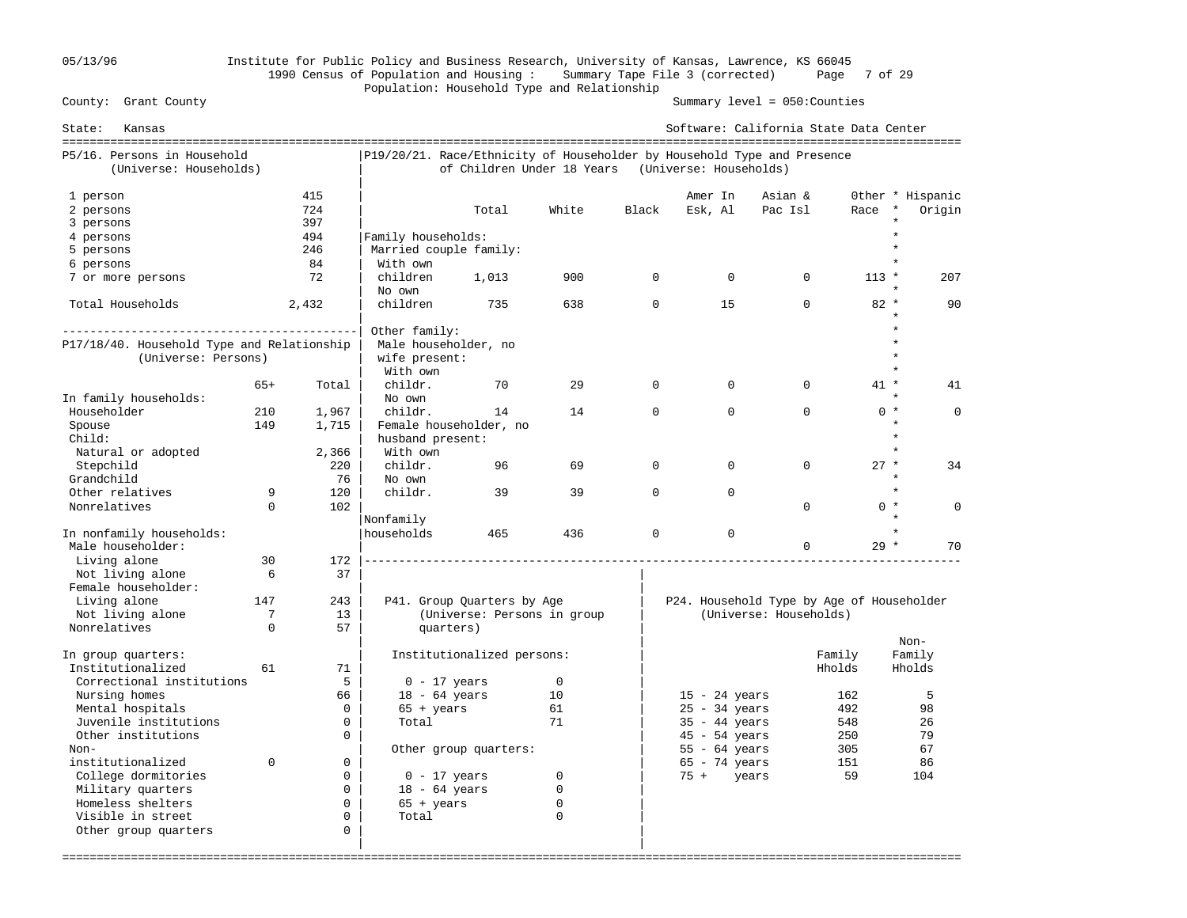## 05/13/96 Institute for Public Policy and Business Research, University of Kansas, Lawrence, KS 66045 1990 Census of Population and Housing : Summary Tape File 3 (corrected) Page 7 of 29 Population: Household Type and Relationship

| State:<br>Kansas                           |             |                |                                                                         |                             |             |             |                        | Software: California State Data Center    |         |                  |
|--------------------------------------------|-------------|----------------|-------------------------------------------------------------------------|-----------------------------|-------------|-------------|------------------------|-------------------------------------------|---------|------------------|
| P5/16. Persons in Household                |             |                | P19/20/21. Race/Ethnicity of Householder by Household Type and Presence |                             |             |             |                        |                                           |         |                  |
| (Universe: Households)                     |             |                |                                                                         | of Children Under 18 Years  |             |             | (Universe: Households) |                                           |         |                  |
| 1 person                                   |             | 415            |                                                                         |                             |             |             | Amer In                | Asian &                                   |         | Other * Hispanic |
| 2 persons                                  |             | 724            |                                                                         | Total                       | White       | Black       | Esk, Al                | Pac Isl                                   | Race    | Origin           |
| 3 persons                                  |             | 397            |                                                                         |                             |             |             |                        |                                           |         |                  |
| 4 persons                                  |             | 494            | Family households:                                                      |                             |             |             |                        |                                           |         |                  |
| 5 persons                                  |             | 246            | Married couple family:                                                  |                             |             |             |                        |                                           |         |                  |
| 6 persons                                  |             | 84             | With own                                                                |                             |             |             |                        |                                           |         |                  |
| 7 or more persons                          |             | 72             | children                                                                | 1,013                       | 900         | $\Omega$    | $\Omega$               | $\Omega$                                  | $113 *$ | 207              |
|                                            |             |                | No own                                                                  |                             |             |             |                        |                                           |         |                  |
| Total Households                           |             | 2,432          | children                                                                | 735                         | 638         | $\mathbf 0$ | 15                     | $\Omega$                                  | $82 *$  | 90               |
|                                            |             |                |                                                                         |                             |             |             |                        |                                           |         |                  |
|                                            |             |                | Other family:                                                           |                             |             |             |                        |                                           |         |                  |
| P17/18/40. Household Type and Relationship |             |                | Male householder, no                                                    |                             |             |             |                        |                                           |         |                  |
| (Universe: Persons)                        |             |                | wife present:                                                           |                             |             |             |                        |                                           |         |                  |
|                                            |             |                | With own                                                                |                             |             |             |                        |                                           |         |                  |
|                                            | $65+$       | Total          | childr.                                                                 | 70                          | 29          | $\Omega$    | $\Omega$               | $\Omega$                                  | $41 *$  | 41               |
| In family households:                      |             |                | No own                                                                  |                             |             |             |                        |                                           |         |                  |
| Householder                                | 210         | 1,967          | childr.                                                                 | 14                          | 14          | $\Omega$    | $\Omega$               | $\Omega$                                  | $0 *$   | $\Omega$         |
| Spouse                                     | 149         | 1,715          |                                                                         | Female householder, no      |             |             |                        |                                           |         |                  |
| Child:                                     |             |                | husband present:                                                        |                             |             |             |                        |                                           |         |                  |
| Natural or adopted                         |             | 2,366          | With own                                                                |                             |             |             |                        |                                           |         |                  |
| Stepchild                                  |             | 220            | childr.                                                                 | 96                          | 69          | $\Omega$    | $\Omega$               | $\Omega$                                  | $27 *$  | 34               |
| Grandchild                                 |             | 76             | No own                                                                  |                             |             |             |                        |                                           |         |                  |
| Other relatives                            | 9           | 120            | childr.                                                                 | 39                          | 39          | $\Omega$    | $\Omega$               |                                           |         |                  |
| Nonrelatives                               | $\Omega$    | 102            |                                                                         |                             |             |             |                        | $\Omega$                                  | $0 *$   | $\Omega$         |
|                                            |             |                | Nonfamily                                                               |                             |             |             |                        |                                           |         |                  |
| In nonfamily households:                   |             |                | households                                                              | 465                         | 436         | $\mathbf 0$ | $\mathbf 0$            |                                           |         |                  |
| Male householder:                          |             |                |                                                                         |                             |             |             |                        | $\Omega$                                  | $29 *$  | 70               |
| Living alone                               | 30          | 172            |                                                                         |                             |             |             |                        |                                           |         |                  |
| Not living alone                           | 6           | 37             |                                                                         |                             |             |             |                        |                                           |         |                  |
| Female householder:                        |             |                |                                                                         |                             |             |             |                        |                                           |         |                  |
| Living alone                               | 147         | 243            |                                                                         | P41. Group Quarters by Age  |             |             |                        | P24. Household Type by Age of Householder |         |                  |
| Not living alone                           | 7           | 13             |                                                                         | (Universe: Persons in group |             |             |                        | (Universe: Households)                    |         |                  |
| Nonrelatives                               | $\mathbf 0$ | 57             | quarters)                                                               |                             |             |             |                        |                                           |         |                  |
|                                            |             |                |                                                                         |                             |             |             |                        |                                           |         | Non-             |
| In group quarters:                         |             | 71             |                                                                         | Institutionalized persons:  |             |             |                        | Family                                    |         | Family           |
| Institutionalized                          | 61          | 5              |                                                                         |                             |             |             |                        | Hholds                                    |         | Hholds           |
| Correctional institutions                  |             |                | $0 - 17$ years                                                          |                             | $\mathbf 0$ |             |                        |                                           |         |                  |
| Nursing homes                              |             | 66<br>$\Omega$ | $18 - 64$ years                                                         |                             | 10          |             | $15 - 24$ years        |                                           | 162     | 5                |
| Mental hospitals                           |             |                | $65 + \text{years}$                                                     |                             | 61          |             | $25 - 34$ years        |                                           | 492     | 98               |
| Juvenile institutions                      |             | $\mathbf 0$    | Total                                                                   |                             | 71          |             | $35 - 44$ years        |                                           | 548     | 26               |
| Other institutions                         |             | $\Omega$       |                                                                         |                             |             |             | $45 - 54$ years        |                                           | 250     | 79               |
| Non-                                       |             |                |                                                                         | Other group quarters:       |             |             | $55 - 64$ years        |                                           | 305     | 67               |
| institutionalized                          | $\Omega$    | $\Omega$       |                                                                         |                             |             |             | $65 - 74$ years        |                                           | 151     | 86               |
| College dormitories                        |             | $\mathbf 0$    | $0 - 17$ years                                                          |                             | $\mathbf 0$ |             | $75 +$<br>years        |                                           | 59      | 104              |
| Military quarters                          |             | $\Omega$       | $18 - 64$ years                                                         |                             | 0           |             |                        |                                           |         |                  |
| Homeless shelters                          |             | $\Omega$       | $65 + \text{years}$                                                     |                             | 0           |             |                        |                                           |         |                  |
| Visible in street                          |             | $\Omega$       | Total                                                                   |                             | $\Omega$    |             |                        |                                           |         |                  |
| Other group quarters                       |             | 0              |                                                                         |                             |             |             |                        |                                           |         |                  |
|                                            |             |                |                                                                         |                             |             |             |                        |                                           |         |                  |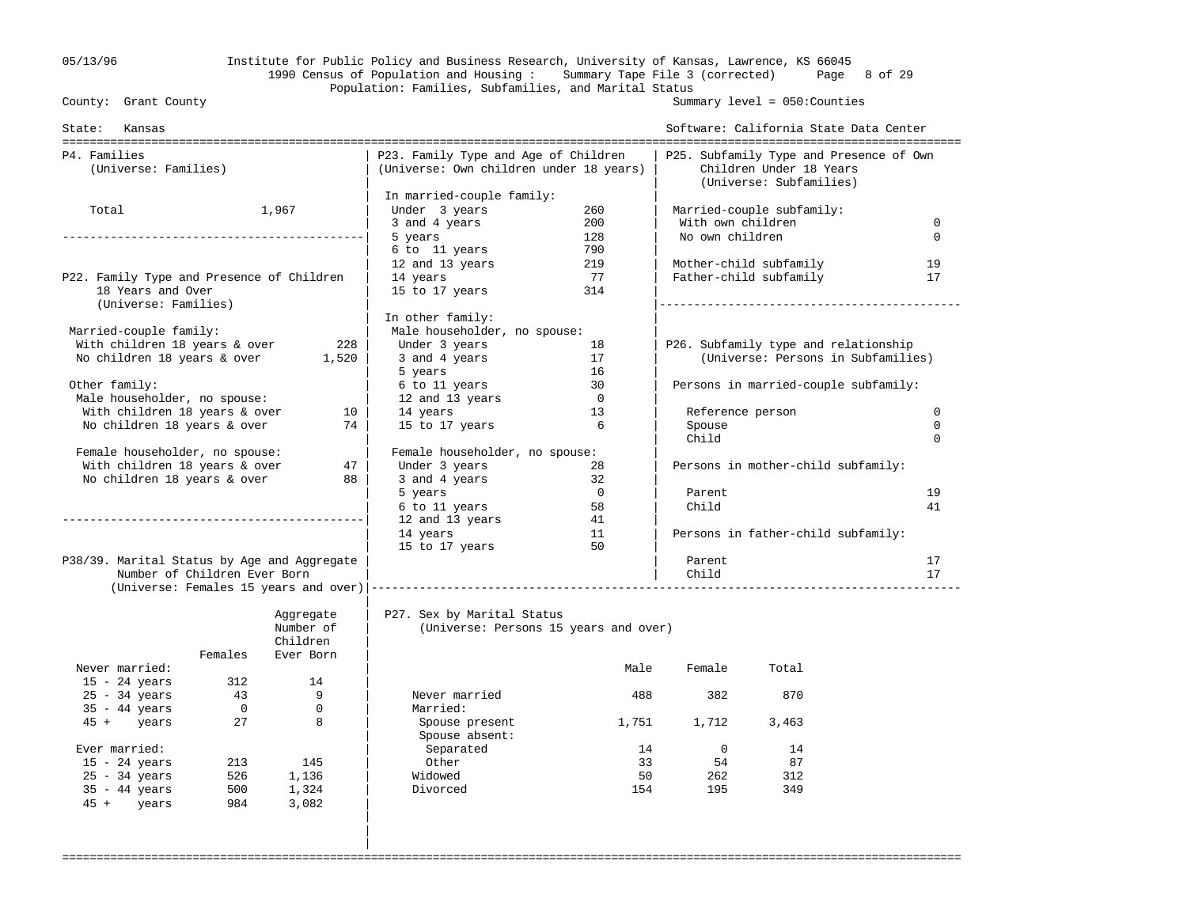### 05/13/96 Institute for Public Policy and Business Research, University of Kansas, Lawrence, KS 66045 1990 Census of Population and Housing : Summary Tape File 3 (corrected) Page 8 of 29 Population: Families, Subfamilies, and Marital Status<br>County: Grant County

Summary level =  $050$ : Counties

| State: Kansas                               |                              |           |                                                                                 |                |                   | Software: California State Data Center                                                        |             |
|---------------------------------------------|------------------------------|-----------|---------------------------------------------------------------------------------|----------------|-------------------|-----------------------------------------------------------------------------------------------|-------------|
| P4. Families<br>(Universe: Families)        |                              |           | P23. Family Type and Age of Children<br>(Universe: Own children under 18 years) |                |                   | P25. Subfamily Type and Presence of Own<br>Children Under 18 Years<br>(Universe: Subfamilies) |             |
|                                             |                              |           | In married-couple family:                                                       |                |                   |                                                                                               |             |
| Total                                       |                              | 1,967     | Under 3 years                                                                   | 260            |                   | Married-couple subfamily:                                                                     |             |
|                                             |                              |           | 3 and 4 years                                                                   | 200            | With own children |                                                                                               | $\mathbf 0$ |
|                                             |                              |           | 5 years                                                                         | 128            | No own children   |                                                                                               | $\Omega$    |
|                                             |                              |           | 6 to 11 years                                                                   | 790            |                   |                                                                                               |             |
|                                             |                              |           | 12 and 13 years                                                                 | 219            |                   | Mother-child subfamily                                                                        | 19          |
| P22. Family Type and Presence of Children   |                              |           | 14 years                                                                        | 77             |                   | Father-child subfamily                                                                        | 17          |
| 18 Years and Over<br>(Universe: Families)   |                              |           | 15 to 17 years                                                                  | 314            |                   |                                                                                               |             |
|                                             |                              |           | In other family:                                                                |                |                   |                                                                                               |             |
| Married-couple family:                      |                              |           | Male householder, no spouse:                                                    |                |                   |                                                                                               |             |
| With children 18 years & over               |                              | 228       | Under 3 years                                                                   | 18             |                   | P26. Subfamily type and relationship                                                          |             |
| No children 18 years & over                 |                              | 1,520     | 3 and 4 years                                                                   | 17             |                   | (Universe: Persons in Subfamilies)                                                            |             |
|                                             |                              |           | 5 years                                                                         | 16             |                   |                                                                                               |             |
| Other family:                               |                              |           | 6 to 11 years                                                                   | 30             |                   | Persons in married-couple subfamily:                                                          |             |
| Male householder, no spouse:                |                              |           | 12 and 13 years                                                                 | $\overline{0}$ |                   |                                                                                               |             |
| With children 18 years & over               |                              | 10        | 14 years                                                                        | 13             |                   | Reference person                                                                              | 0           |
| No children 18 years & over                 |                              | 74        | 15 to 17 years                                                                  | 6              | Spouse            |                                                                                               | $\Omega$    |
|                                             |                              |           |                                                                                 |                | Child             |                                                                                               | $\Omega$    |
| Female householder, no spouse:              |                              |           | Female householder, no spouse:                                                  |                |                   |                                                                                               |             |
| With children 18 years & over               |                              | 47        | Under 3 years                                                                   | 28             |                   | Persons in mother-child subfamily:                                                            |             |
| No children 18 years & over                 |                              | 88        | 3 and 4 years                                                                   | 32             |                   |                                                                                               |             |
|                                             |                              |           | 5 years                                                                         | $\overline{0}$ | Parent            |                                                                                               | 19          |
|                                             |                              |           | 6 to 11 years                                                                   | 58             | Child             |                                                                                               | 41          |
|                                             |                              |           | 12 and 13 years                                                                 | 41             |                   |                                                                                               |             |
|                                             |                              |           | 14 years                                                                        | 11             |                   | Persons in father-child subfamily:                                                            |             |
|                                             |                              |           | 15 to 17 years                                                                  | 50             |                   |                                                                                               |             |
| P38/39. Marital Status by Age and Aggregate | Number of Children Ever Born |           |                                                                                 |                | Parent<br>Child   |                                                                                               | 17<br>17    |
|                                             |                              |           |                                                                                 |                |                   |                                                                                               |             |
|                                             |                              |           |                                                                                 |                |                   |                                                                                               |             |
|                                             |                              | Aggregate | P27. Sex by Marital Status                                                      |                |                   |                                                                                               |             |
|                                             |                              | Number of | (Universe: Persons 15 years and over)                                           |                |                   |                                                                                               |             |
|                                             |                              | Children  |                                                                                 |                |                   |                                                                                               |             |
|                                             | Females                      | Ever Born |                                                                                 |                |                   |                                                                                               |             |
| Never married:                              |                              |           |                                                                                 | Male           | Female            | Total                                                                                         |             |
| $15 - 24$ years                             | 312                          | 14        |                                                                                 |                |                   |                                                                                               |             |
| $25 - 34$ years                             | 43<br>$\overline{0}$         | 9<br>0    | Never married                                                                   | 488            | 382               | 870                                                                                           |             |
| $35 - 44$ years<br>45 + years               | 27                           | 8         | Married:                                                                        |                | 1,712             | 3,463                                                                                         |             |
|                                             |                              |           | Spouse present<br>Spouse absent:                                                | 1,751          |                   |                                                                                               |             |
| Ever married:                               |                              |           | Separated                                                                       | 14             | $\overline{0}$    | 14                                                                                            |             |
| $15 - 24$ years                             | 213                          | 145       | Other                                                                           | 33             | 54                | 87                                                                                            |             |
| $25 - 34$ years                             | 526                          | 1,136     | Widowed                                                                         | 50             | 262               | 312                                                                                           |             |
| $35 - 44$ years                             | 500                          | 1,324     | Divorced                                                                        | 154            | 195               | 349                                                                                           |             |
| $45 +$ years                                | 984                          | 3,082     |                                                                                 |                |                   |                                                                                               |             |
|                                             |                              |           |                                                                                 |                |                   |                                                                                               |             |
|                                             |                              |           |                                                                                 |                |                   |                                                                                               |             |
|                                             |                              |           |                                                                                 |                |                   |                                                                                               |             |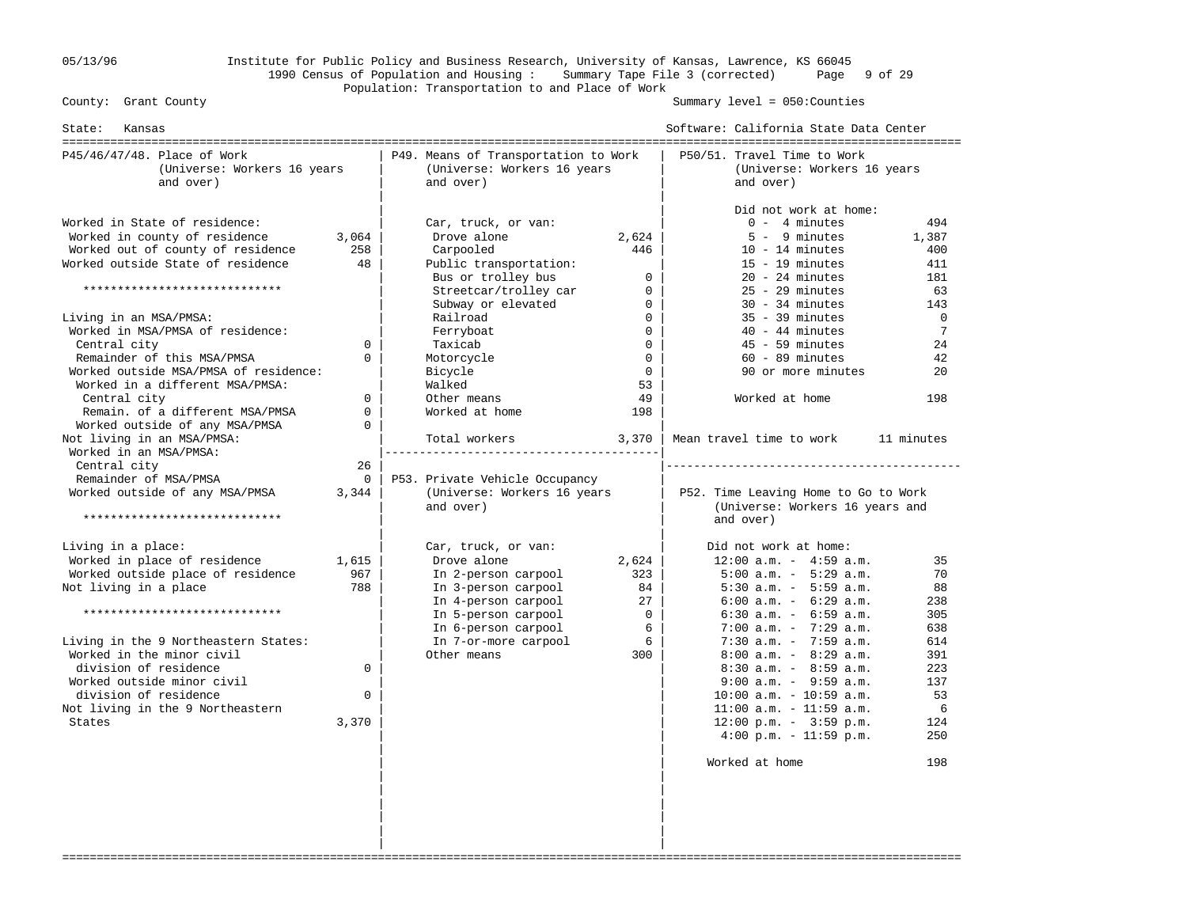## 05/13/96 Institute for Public Policy and Business Research, University of Kansas, Lawrence, KS 66045 1990 Census of Population and Housing : Summary Tape File 3 (corrected) Page 9 of 29 Population: Transportation to and Place of Work

Summary level =  $050$ : Counties

| State:<br>Kansas                                                                                                                                                                                                                                                                                                                                     |                                                             |                                                                                                                                                                                              |                                                                                                                | Software: California State Data Center                                                                                                                                                                                                                                                                                                                                                                                                                                                          |                                                                                                 |
|------------------------------------------------------------------------------------------------------------------------------------------------------------------------------------------------------------------------------------------------------------------------------------------------------------------------------------------------------|-------------------------------------------------------------|----------------------------------------------------------------------------------------------------------------------------------------------------------------------------------------------|----------------------------------------------------------------------------------------------------------------|-------------------------------------------------------------------------------------------------------------------------------------------------------------------------------------------------------------------------------------------------------------------------------------------------------------------------------------------------------------------------------------------------------------------------------------------------------------------------------------------------|-------------------------------------------------------------------------------------------------|
| P45/46/47/48. Place of Work<br>(Universe: Workers 16 years<br>and over)                                                                                                                                                                                                                                                                              |                                                             | P49. Means of Transportation to Work<br>(Universe: Workers 16 years<br>and over)                                                                                                             |                                                                                                                | P50/51. Travel Time to Work<br>(Universe: Workers 16 years<br>and over)                                                                                                                                                                                                                                                                                                                                                                                                                         |                                                                                                 |
| Worked in State of residence:<br>Worked in county of residence<br>Worked out of county of residence                                                                                                                                                                                                                                                  | 3,064<br>258                                                | Car, truck, or van:<br>Drove alone<br>Carpooled                                                                                                                                              | 2,624<br>446                                                                                                   | Did not work at home:<br>$0 - 4$ minutes<br>$5 - 9$ minutes<br>$10 - 14$ minutes                                                                                                                                                                                                                                                                                                                                                                                                                | 494<br>1,387<br>400                                                                             |
| Worked outside State of residence<br>*****************************                                                                                                                                                                                                                                                                                   | 48                                                          | Public transportation:<br>Bus or trolley bus<br>Streetcar/trolley car                                                                                                                        | $\Omega$<br>$\mathbf{0}$                                                                                       | $15 - 19$ minutes<br>$20 - 24$ minutes<br>$25 - 29$ minutes                                                                                                                                                                                                                                                                                                                                                                                                                                     | 411<br>181<br>63                                                                                |
| Living in an MSA/PMSA:<br>Worked in MSA/PMSA of residence:<br>Central city<br>Remainder of this MSA/PMSA<br>Worked outside MSA/PMSA of residence:<br>Worked in a different MSA/PMSA:<br>Central city<br>Remain. of a different MSA/PMSA<br>Worked outside of any MSA/PMSA                                                                            | $\Omega$<br>$\Omega$<br>$\Omega$<br>$\mathbf 0$<br>$\Omega$ | Subway or elevated<br>Railroad<br>Ferryboat<br>Taxicab<br>Motorcycle<br>Bicycle<br>Walked<br>Other means<br>Worked at home                                                                   | $\Omega$<br>$\overline{0}$<br>$\mathbf{0}$<br>$\mathbf 0$<br>$\mathbf{0}$<br>$\overline{0}$<br>53<br>49<br>198 | $30 - 34$ minutes<br>$35 - 39$ minutes<br>$40 - 44$ minutes<br>$45 - 59$ minutes<br>$60 - 89$ minutes<br>90 or more minutes<br>Worked at home                                                                                                                                                                                                                                                                                                                                                   | 143<br>$\mathbf 0$<br>$\overline{7}$<br>24<br>42<br>20<br>198                                   |
| Not living in an MSA/PMSA:<br>Worked in an MSA/PMSA:<br>Central city<br>Remainder of MSA/PMSA<br>Worked outside of any MSA/PMSA<br>*****************************                                                                                                                                                                                     | 26<br>$\mathbf{0}$<br>3,344                                 | Total workers<br>------------------------------------<br>P53. Private Vehicle Occupancy<br>(Universe: Workers 16 years<br>and over)                                                          | 3,370                                                                                                          | Mean travel time to work<br>P52. Time Leaving Home to Go to Work<br>(Universe: Workers 16 years and<br>and over)                                                                                                                                                                                                                                                                                                                                                                                | 11 minutes                                                                                      |
| Living in a place:<br>Worked in place of residence<br>Worked outside place of residence<br>Not living in a place<br>*****************************<br>Living in the 9 Northeastern States:<br>Worked in the minor civil<br>division of residence<br>Worked outside minor civil<br>division of residence<br>Not living in the 9 Northeastern<br>States | 1,615<br>967<br>788<br>$\Omega$<br>$\mathbf 0$<br>3,370     | Car, truck, or van:<br>Drove alone<br>In 2-person carpool<br>In 3-person carpool<br>In 4-person carpool<br>In 5-person carpool<br>In 6-person carpool<br>In 7-or-more carpool<br>Other means | 2,624<br>323<br>84<br>27<br>$\overline{0}$<br>6<br>6<br>300                                                    | Did not work at home:<br>$12:00$ a.m. - $4:59$ a.m.<br>$5:00$ a.m. - $5:29$ a.m.<br>$5:30$ a.m. - $5:59$ a.m.<br>$6:00$ a.m. - $6:29$ a.m.<br>$6:30$ a.m. - $6:59$ a.m.<br>$7:00$ a.m. $-7:29$ a.m.<br>$7:30$ a.m. - $7:59$ a.m.<br>$8:00$ a.m. - $8:29$ a.m.<br>$8:30$ a.m. - $8:59$ a.m.<br>$9:00$ a.m. - $9:59$ a.m.<br>$10:00$ a.m. - $10:59$ a.m.<br>$11:00$ a.m. - $11:59$ a.m.<br>$12:00 \text{ p.m.} - 3:59 \text{ p.m.}$<br>$4:00 \text{ p.m.} - 11:59 \text{ p.m.}$<br>Worked at home | 35<br>70<br>88<br>238<br>305<br>638<br>614<br>391<br>223<br>137<br>53<br>6<br>124<br>250<br>198 |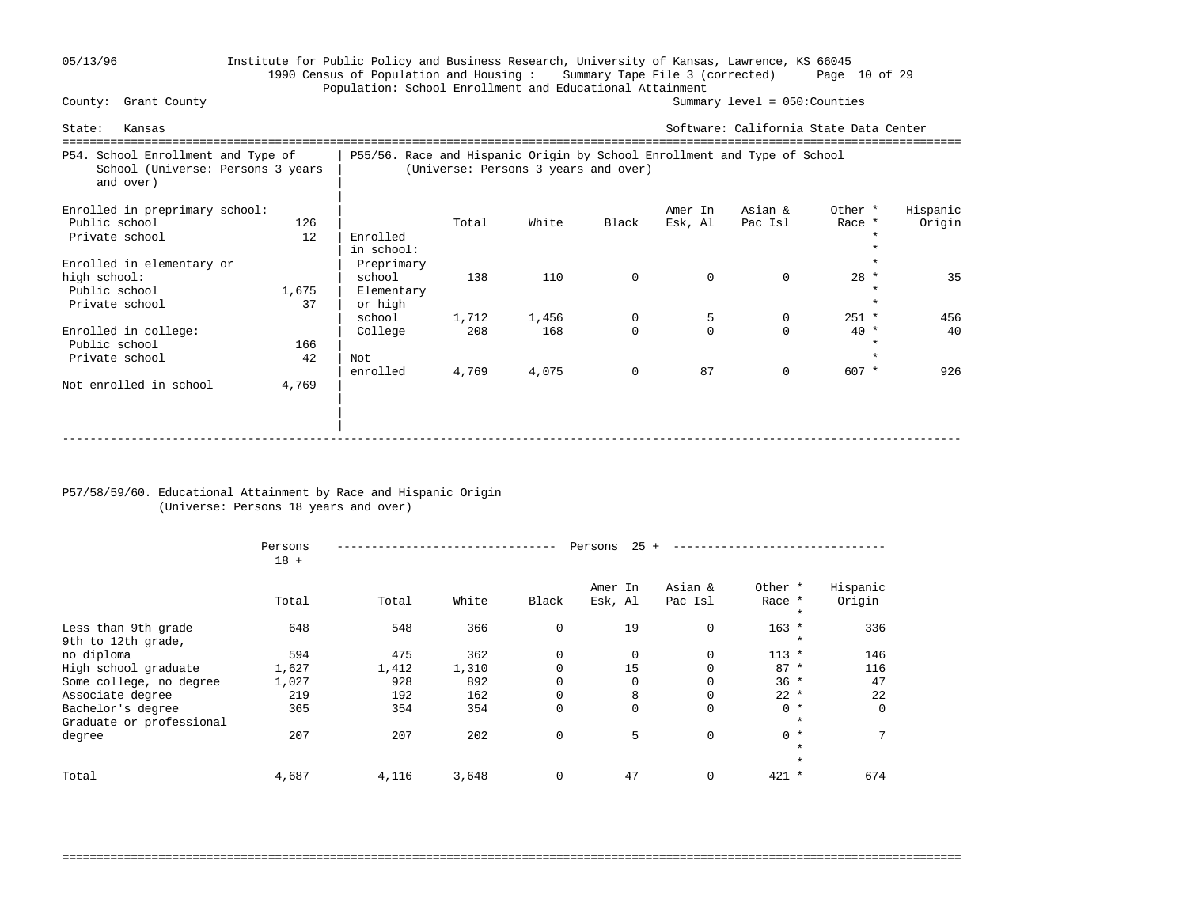## 05/13/96 Institute for Public Policy and Business Research, University of Kansas, Lawrence, KS 66045 1990 Census of Population and Housing : Summary Tape File 3 (corrected) Page 10 of 29 Population: School Enrollment and Educational Attainment<br>County: Grant County

Summary level =  $050$ : Counties

| Kansas<br>State:                                                                     |             |                                                                          |              |                                      |               |                     | Software: California State Data Center |                                        |                    |
|--------------------------------------------------------------------------------------|-------------|--------------------------------------------------------------------------|--------------|--------------------------------------|---------------|---------------------|----------------------------------------|----------------------------------------|--------------------|
| P54. School Enrollment and Type of<br>School (Universe: Persons 3 years<br>and over) |             | P55/56. Race and Hispanic Origin by School Enrollment and Type of School |              | (Universe: Persons 3 years and over) |               |                     |                                        |                                        |                    |
| Enrolled in preprimary school:<br>Public school<br>Private school                    | 126<br>12   | Enrolled<br>in school:                                                   | Total        | White                                | Black         | Amer In<br>Esk, Al  | Asian &<br>Pac Isl                     | Other *<br>Race *                      | Hispanic<br>Origin |
| Enrolled in elementary or<br>high school:<br>Public school<br>Private school         | 1,675<br>37 | Preprimary<br>school<br>Elementary<br>or high                            | 138          | 110                                  | $\mathbf 0$   | $\Omega$            | $\Omega$                               | $28 *$<br>$\star$                      | 35                 |
| Enrolled in college:<br>Public school<br>Private school                              | 166<br>42   | school<br>College<br>Not                                                 | 1,712<br>208 | 1,456<br>168                         | 0<br>$\Omega$ | 5<br>$\Omega$<br>87 | 0<br>$\Omega$<br>$\Omega$              | $251 *$<br>$40*$<br>$\star$<br>$607 *$ | 456<br>40          |
| Not enrolled in school                                                               | 4,769       | enrolled                                                                 | 4,769        | 4,075                                |               |                     |                                        |                                        | 926                |

### P57/58/59/60. Educational Attainment by Race and Hispanic Origin (Universe: Persons 18 years and over)

|                                               | Persons<br>$18 +$ |       |       |             | 25<br>Persons      |                    |                              |                    |
|-----------------------------------------------|-------------------|-------|-------|-------------|--------------------|--------------------|------------------------------|--------------------|
|                                               | Total             | Total | White | Black       | Amer In<br>Esk, Al | Asian &<br>Pac Isl | Other *<br>Race *<br>$\star$ | Hispanic<br>Origin |
| Less than 9th grade<br>9th to 12th grade,     | 648               | 548   | 366   | $\mathbf 0$ | 19                 | 0                  | $163 *$<br>$\star$           | 336                |
| no diploma                                    | 594               | 475   | 362   | 0           | $\mathbf 0$        | 0                  | $113 *$                      | 146                |
| High school graduate                          | 1,627             | 1,412 | 1,310 | $\Omega$    | 15                 | 0                  | $87 *$                       | 116                |
| Some college, no degree                       | 1,027             | 928   | 892   | 0           | $\Omega$           | 0                  | $36 *$                       | 47                 |
| Associate degree                              | 219               | 192   | 162   | 0           | 8                  | 0                  | $22 *$                       | 22                 |
| Bachelor's degree<br>Graduate or professional | 365               | 354   | 354   | 0           | $\Omega$           | 0                  | $0 *$<br>$\star$             | $\Omega$           |
| degree                                        | 207               | 207   | 202   | $\mathbf 0$ | 5                  | 0                  | $0 *$<br>$\star$             | 7                  |
|                                               |                   |       |       |             |                    |                    | $\star$                      |                    |
| Total                                         | 4,687             | 4,116 | 3,648 | $\mathbf 0$ | 47                 | 0                  | $421 *$                      | 674                |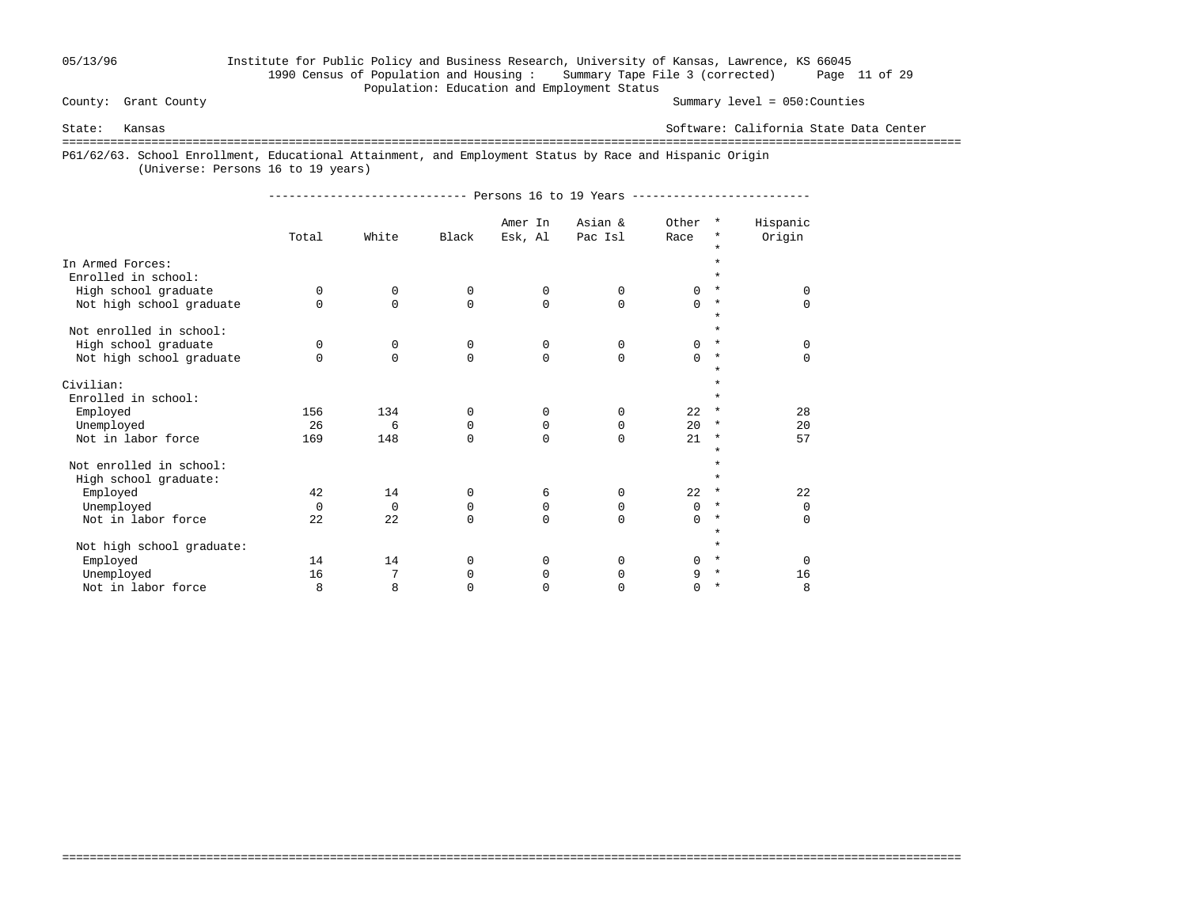## 05/13/96 Institute for Public Policy and Business Research, University of Kansas, Lawrence, KS 66045 1990 Census of Population and Housing : Summary Tape File 3 (corrected) Page 11 of 29 Population: Education and Employment Status

Summary level =  $050$ : Counties

State: Kansas Software: California State Data Center

===================================================================================================================================

===================================================================================================================================

P61/62/63. School Enrollment, Educational Attainment, and Employment Status by Race and Hispanic Origin

(Universe: Persons 16 to 19 years)

----------------------------- Persons 16 to 19 Years --------------------------

|                                         | Total    | White       | Black       | Amer In<br>Esk, Al | Asian &<br>Pac Isl | Other<br>Race | $\star$<br>*<br>$\star$ | Hispanic<br>Origin |
|-----------------------------------------|----------|-------------|-------------|--------------------|--------------------|---------------|-------------------------|--------------------|
| In Armed Forces:<br>Enrolled in school: |          |             |             |                    |                    |               | $\star$                 |                    |
| High school graduate                    | $\Omega$ | $\Omega$    | $\Omega$    | 0                  | 0                  | $\Omega$      | $\star$                 | $\Omega$           |
| Not high school graduate                | $\Omega$ | $\mathbf 0$ | 0           | $\mathbf 0$        | $\Omega$           | $\Omega$      | $\star$<br>$\star$      | $\Omega$           |
| Not enrolled in school:                 |          |             |             |                    |                    |               | $\star$                 |                    |
| High school graduate                    | 0        | $\mathbf 0$ | $\mathbf 0$ | 0                  | $\Omega$           | $\Omega$      | $\star$                 | $\mathbf 0$        |
| Not high school graduate                | $\Omega$ | $\Omega$    | $\Omega$    | $\Omega$           | $\Omega$           | $\Omega$      | $^\star$<br>$\star$     | $\Omega$           |
| Civilian:                               |          |             |             |                    |                    |               | $\star$                 |                    |
| Enrolled in school:                     |          |             |             |                    |                    |               | $\star$                 |                    |
| Employed                                | 156      | 134         | $\Omega$    | $\Omega$           | $\Omega$           | 22            | $^\ast$                 | 28                 |
| Unemployed                              | 26       | 6           | 0           | 0                  | 0                  | 20            | $\star$                 | 20                 |
| Not in labor force                      | 169      | 148         | $\Omega$    | $\Omega$           | $\Omega$           | 21            | $^\star$                | 57                 |
| Not enrolled in school:                 |          |             |             |                    |                    |               | $\star$<br>$\star$      |                    |
| High school graduate:                   |          |             |             |                    |                    |               | $\star$                 |                    |
| Employed                                | 42       | 14          | $\Omega$    | 6                  | $\Omega$           | 22            | $\ast$                  | 22                 |
| Unemployed                              | $\Omega$ | $\mathbf 0$ | 0           | 0                  | $\Omega$           | $\Omega$      | $^\star$                | $\overline{0}$     |
| Not in labor force                      | 22       | 22          | $\Omega$    | $\Omega$           | $\Omega$           | $\Omega$      | $\star$                 | $\Omega$           |
| Not high school graduate:               |          |             |             |                    |                    |               | $\star$<br>$\star$      |                    |
| Employed                                | 14       | 14          | $\Omega$    | 0                  | $\Omega$           | $\Omega$      | $\ast$                  | $\Omega$           |
| Unemployed                              | 16       | 7           | 0           | 0                  | 0                  | 9             | $\star$                 | 16                 |
| Not in labor force                      | 8        | 8           | $\Omega$    | $\Omega$           | $\Omega$           | $\Omega$      | $\star$                 | 8                  |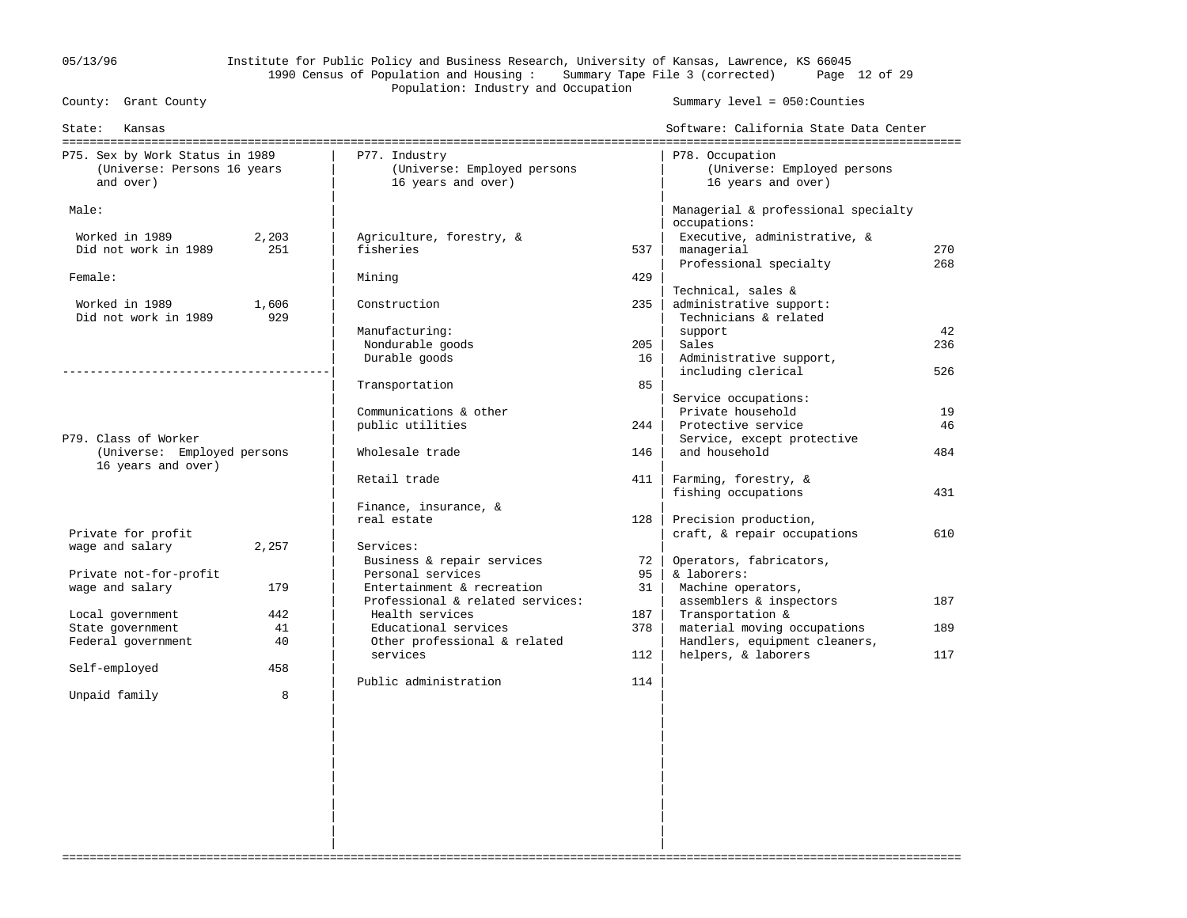05/13/96 Institute for Public Policy and Business Research, University of Kansas, Lawrence, KS 66045 1990 Census of Population and Housing : Summary Tape File 3 (corrected) Page 12 of 29 Population: Industry and Occupation<br>
County: Grant County

Summary level =  $050$ : Counties

| State:<br>Kansas                                                            |              |                                                                    |     | Software: California State Data Center<br>-------------------------------------- |     |
|-----------------------------------------------------------------------------|--------------|--------------------------------------------------------------------|-----|----------------------------------------------------------------------------------|-----|
| P75. Sex by Work Status in 1989<br>(Universe: Persons 16 years<br>and over) |              | P77. Industry<br>(Universe: Employed persons<br>16 years and over) |     | P78. Occupation<br>(Universe: Employed persons<br>16 years and over)             |     |
| Male:                                                                       |              |                                                                    |     | Managerial & professional specialty<br>occupations:                              |     |
| Worked in 1989                                                              | 2,203        | Agriculture, forestry, &                                           |     | Executive, administrative, &                                                     |     |
| Did not work in 1989                                                        | 251          | fisheries                                                          | 537 | managerial                                                                       | 270 |
|                                                                             |              |                                                                    |     | Professional specialty                                                           | 268 |
| Female:                                                                     |              | Mining                                                             | 429 |                                                                                  |     |
| Worked in 1989                                                              |              | Construction                                                       | 235 | Technical, sales &                                                               |     |
| Did not work in 1989                                                        | 1,606<br>929 |                                                                    |     | administrative support:<br>Technicians & related                                 |     |
|                                                                             |              | Manufacturing:                                                     |     | support                                                                          | 42  |
|                                                                             |              | Nondurable goods                                                   | 205 | Sales                                                                            | 236 |
|                                                                             |              | Durable goods                                                      | 16  | Administrative support,                                                          |     |
|                                                                             |              |                                                                    |     | including clerical                                                               | 526 |
|                                                                             |              | Transportation                                                     | 85  |                                                                                  |     |
|                                                                             |              |                                                                    |     | Service occupations:                                                             |     |
|                                                                             |              | Communications & other                                             |     | Private household                                                                | 19  |
| P79. Class of Worker                                                        |              | public utilities                                                   | 244 | Protective service<br>Service, except protective                                 | 46  |
| (Universe: Employed persons                                                 |              | Wholesale trade                                                    | 146 | and household                                                                    | 484 |
| 16 years and over)                                                          |              |                                                                    |     |                                                                                  |     |
|                                                                             |              | Retail trade                                                       | 411 | Farming, forestry, &                                                             |     |
|                                                                             |              |                                                                    |     | fishing occupations                                                              | 431 |
|                                                                             |              | Finance, insurance, &                                              |     |                                                                                  |     |
|                                                                             |              | real estate                                                        | 128 | Precision production,                                                            |     |
| Private for profit                                                          |              |                                                                    |     | craft, & repair occupations                                                      | 610 |
| wage and salary                                                             | 2,257        | Services:<br>Business & repair services                            | 72  | Operators, fabricators,                                                          |     |
| Private not-for-profit                                                      |              | Personal services                                                  | 95  | & laborers:                                                                      |     |
| wage and salary                                                             | 179          | Entertainment & recreation                                         | 31  | Machine operators,                                                               |     |
|                                                                             |              | Professional & related services:                                   |     | assemblers & inspectors                                                          | 187 |
| Local government                                                            | 442          | Health services                                                    | 187 | Transportation &                                                                 |     |
| State government                                                            | 41           | Educational services                                               | 378 | material moving occupations                                                      | 189 |
| Federal government                                                          | 40           | Other professional & related                                       |     | Handlers, equipment cleaners,                                                    |     |
|                                                                             |              | services                                                           | 112 | helpers, & laborers                                                              | 117 |
| Self-employed                                                               | 458          | Public administration                                              | 114 |                                                                                  |     |
| Unpaid family                                                               | 8            |                                                                    |     |                                                                                  |     |
|                                                                             |              |                                                                    |     |                                                                                  |     |
|                                                                             |              |                                                                    |     |                                                                                  |     |
|                                                                             |              |                                                                    |     |                                                                                  |     |
|                                                                             |              |                                                                    |     |                                                                                  |     |
|                                                                             |              |                                                                    |     |                                                                                  |     |
|                                                                             |              |                                                                    |     |                                                                                  |     |
|                                                                             |              |                                                                    |     |                                                                                  |     |
|                                                                             |              |                                                                    |     |                                                                                  |     |

===================================================================================================================================

 | | | | | |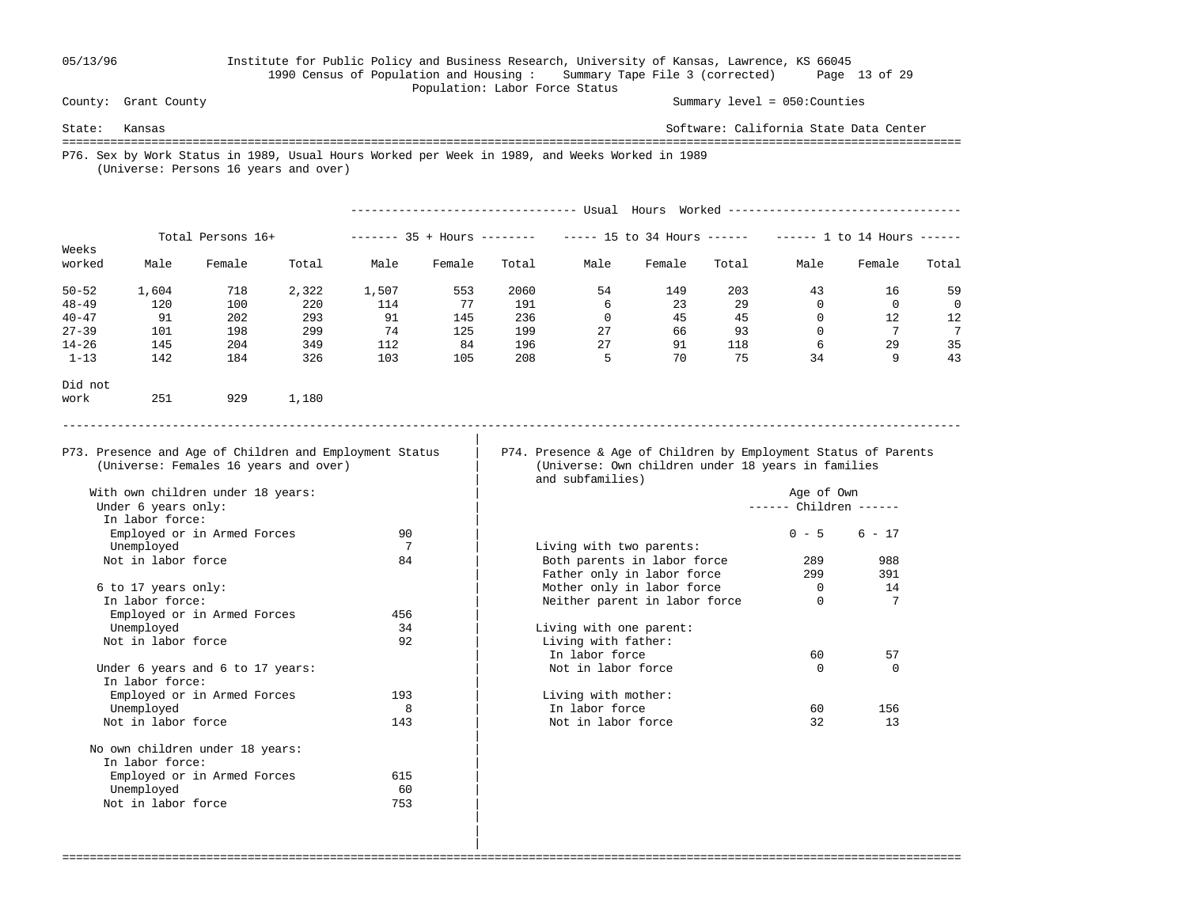### 05/13/96 Institute for Public Policy and Business Research, University of Kansas, Lawrence, KS 66045 1990 Census of Population and Housing : Summary Tape File 3 (corrected) Page 13 of 29 Population: Labor Force Status<br>
County: Grant County

Summary level =  $050$ : Counties

State: Kansas Software: California State Data Center =================================================================================================================================== P76. Sex by Work Status in 1989, Usual Hours Worked per Week in 1989, and Weeks Worked in 1989 (Universe: Persons 16 years and over) --------------------------------- Usual Hours Worked ----------------------------------

|                 |       | Total Persons 16+ |       | -------- | $35 + Hours$ ------- |       |      | $--- 15$ to 34 Hours $---$ |       | ------- | 1 to 14 Hours |       |
|-----------------|-------|-------------------|-------|----------|----------------------|-------|------|----------------------------|-------|---------|---------------|-------|
| Weeks<br>worked | Male  | Female            | Total | Male     | Female               | Total | Male | Female                     | Total | Male    | Female        | Total |
| $50 - 52$       | 1,604 | 718               | 2,322 | 1,507    | 553                  | 2060  | 54   | 149                        | 203   | 43      | 16            | 59    |
| $48 - 49$       | 120   | 100               | 220   | 114      | 77                   | 191   | 6    | 23                         | 29    |         | $\Omega$      | 0     |
| $40 - 47$       | 91    | 202               | 293   | 91       | 145                  | 236   |      | 45                         | 45    |         | 12            | 12    |
| $27 - 39$       | 101   | 198               | 299   | 74       | 125                  | 199   | 27   | 66                         | 93    |         |               | 7     |
| $14 - 26$       | 145   | 204               | 349   | 112      | 84                   | 196   | 27   | 91                         | 118   | 6       | 29            | 35    |
| $1 - 13$        | 142   | 184               | 326   | 103      | 105                  | 208   | ל    | 70                         | 75    | 34      | 9             | 43    |
|                 |       |                   |       |          |                      |       |      |                            |       |         |               |       |

-----------------------------------------------------------------------------------------------------------------------------------

===================================================================================================================================

- Did not work 251 929 1,180
- 

|

P73. Presence and Age of Children and Employment Status | P74. Presence & Age of Children by Employment Status of Parents (Universe: Females 16 years and over) | (Universe: Own children under 18 years in families (Universe: Own children under 18 years in families and subfamilies)

------ Children ------

| In labor force:                  |     |                               |          |             |
|----------------------------------|-----|-------------------------------|----------|-------------|
| Employed or in Armed Forces      | 90  |                               | $0 - 5$  | $6 - 17$    |
| Unemployed                       |     | Living with two parents:      |          |             |
| Not in labor force               | 84  | Both parents in labor force   | 289      | 988         |
|                                  |     | Father only in labor force    | 299      | 391         |
| 6 to 17 years only:              |     | Mother only in labor force    | 0        | 14          |
| In labor force:                  |     | Neither parent in labor force | $\Omega$ | $7^{\circ}$ |
| Employed or in Armed Forces      | 456 |                               |          |             |
| Unemployed                       | 34  | Living with one parent:       |          |             |
| Not in labor force               | 92  | Living with father:           |          |             |
|                                  |     | In labor force                | 60       | 57          |
| Under 6 years and 6 to 17 years: |     | Not in labor force            | $\Omega$ | $\Omega$    |
| In labor force:                  |     |                               |          |             |
| Employed or in Armed Forces      | 193 | Living with mother:           |          |             |
| Unemployed                       | 8   | In labor force                | 60       | 156         |
| Not in labor force               | 143 | Not in labor force            | 32       | 13          |

| With own children under 18 years: |     |                               | Age of Own |  |
|-----------------------------------|-----|-------------------------------|------------|--|
| Under 6 years only:               |     |                               | Children - |  |
| In labor force:                   |     |                               |            |  |
| Employed or in Armed Forces       | 90  |                               | $0 - 5$    |  |
| Unemployed                        |     | Living with two parents:      |            |  |
| Not in labor force                | 84  | Both parents in labor force   | 289        |  |
|                                   |     | Father only in labor force    | 299        |  |
| 6 to 17 years only:               |     | Mother only in labor force    | 0          |  |
| In labor force:                   |     | Neither parent in labor force | 0          |  |
| Employed or in Armed Forces       | 456 |                               |            |  |
| Unemployed                        | 34  | Living with one parent:       |            |  |
| Not in labor force                | 92  | Living with father:           |            |  |
|                                   |     | In labor force                | 60         |  |
| Under 6 years and 6 to 17 years:  |     | Not in labor force            | $\Omega$   |  |
| In labor force:                   |     |                               |            |  |
| Employed or in Armed Forces       | 193 | Living with mother:           |            |  |
| Unemployed                        | 8   | In labor force                | 60         |  |
| Not in labor force                | 143 | Not in labor force            | 32         |  |
| No own children under 18 years:   |     |                               |            |  |
| In labor force:                   |     |                               |            |  |
| Employed or in Armed Forces       | 615 |                               |            |  |
| Unemployed                        | 60  |                               |            |  |
| Not in labor force                | 753 |                               |            |  |

 | | |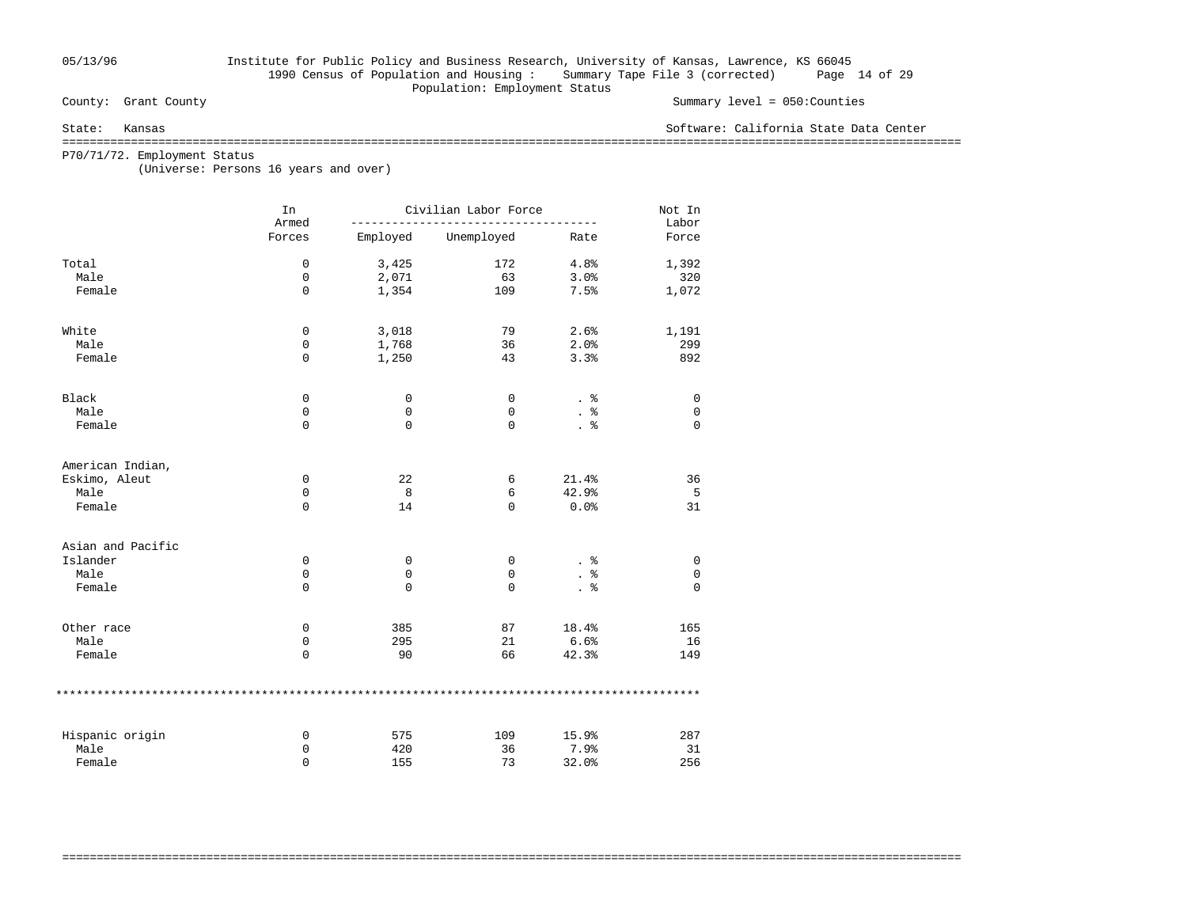## 05/13/96 Institute for Public Policy and Business Research, University of Kansas, Lawrence, KS 66045 1990 Census of Population and Housing : Summary Tape File 3 (corrected) Page 14 of 29 Population: Employment Status<br>
County: Grant County

### Summary level =  $050$ : Counties

State: Kansas Software: California State Data Center

===================================================================================================================================

P70/71/72. Employment Status

(Universe: Persons 16 years and over)

|                   | In<br>Armed |             | Civilian Labor Force |       | Not In<br>Labor |
|-------------------|-------------|-------------|----------------------|-------|-----------------|
|                   | Forces      | Employed    | Unemployed           | Rate  | Force           |
| Total             | $\mathsf 0$ | 3,425       | 172                  | 4.8%  | 1,392           |
| Male              | 0           | 2,071       | 63                   | 3.0%  | 320             |
| Female            | $\mathbf 0$ | 1,354       | 109                  | 7.5%  | 1,072           |
| White             | $\mathbf 0$ | 3,018       | 79                   | 2.6%  | 1,191           |
| Male              | 0           | 1,768       | 36                   | 2.0%  | 299             |
| Female            | $\mathbf 0$ | 1,250       | 43                   | 3.3%  | 892             |
| Black             | 0           | 0           | 0                    | . 응   | 0               |
| Male              | 0           | 0           | 0                    | . 응   | 0               |
| Female            | $\mathbf 0$ | $\mathbf 0$ | $\mathbf 0$          | . 응   | $\mathbf 0$     |
| American Indian,  |             |             |                      |       |                 |
| Eskimo, Aleut     | 0           | 22          | 6                    | 21.4% | 36              |
| Male              | 0           | 8           | 6                    | 42.9% | 5               |
| Female            | $\mathbf 0$ | 14          | $\Omega$             | 0.0%  | 31              |
| Asian and Pacific |             |             |                      |       |                 |
| Islander          | 0           | 0           | 0                    |       | 0               |
| Male              | 0           | 0           | $\mathbf 0$          | နွ    | 0               |
| Female            | $\mathbf 0$ | 0           | $\Omega$             | . 응   | $\mathbf 0$     |
| Other race        | 0           | 385         | 87                   | 18.4% | 165             |
| Male              | 0           | 295         | 21                   | 6.6%  | 16              |
| Female            | $\mathbf 0$ | 90          | 66                   | 42.3% | 149             |
|                   |             |             |                      |       |                 |
| Hispanic origin   | 0           | 575         | 109                  | 15.9% | 287             |
| Male              | 0           | 420         | 36                   | 7.9%  | 31              |
| Female            | $\Omega$    | 155         | 73                   | 32.0% | 256             |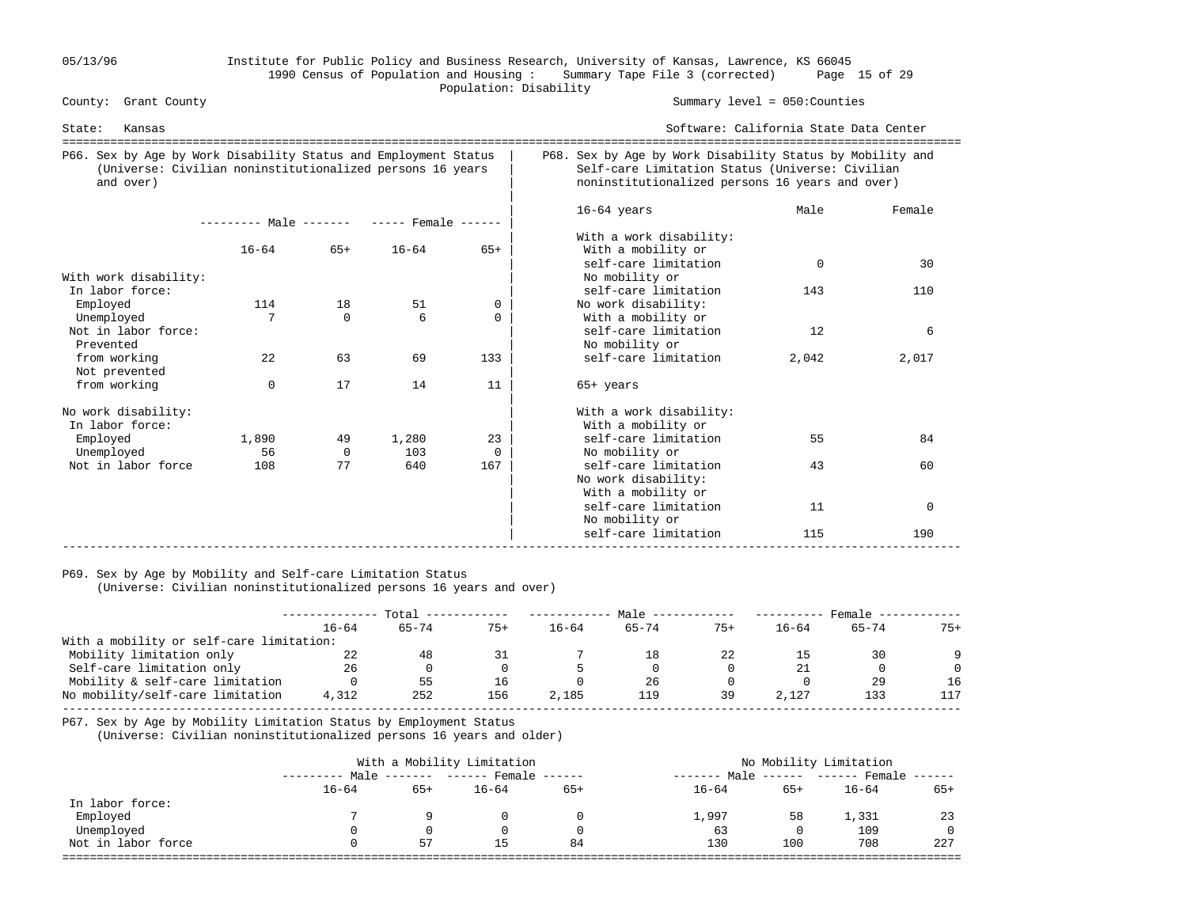### 05/13/96 Institute for Public Policy and Business Research, University of Kansas, Lawrence, KS 66045 1990 Census of Population and Housing : Summary Tape File 3 (corrected) Page 15 of 29 Population: Disability<br>
County: Grant County

Summary level =  $050$ : Counties

| State:<br>Kansas                                                                                                                          |                                            |                |              |                |                                                                       | Software: California State Data Center                                                                                                                          |             |  |  |
|-------------------------------------------------------------------------------------------------------------------------------------------|--------------------------------------------|----------------|--------------|----------------|-----------------------------------------------------------------------|-----------------------------------------------------------------------------------------------------------------------------------------------------------------|-------------|--|--|
| P66. Sex by Age by Work Disability Status and Employment Status<br>(Universe: Civilian noninstitutionalized persons 16 years<br>and over) |                                            |                |              |                |                                                                       | P68. Sex by Age by Work Disability Status by Mobility and<br>Self-care Limitation Status (Universe: Civilian<br>noninstitutionalized persons 16 years and over) |             |  |  |
|                                                                                                                                           | --------- Male ------- ----- Female ------ |                |              |                | $16-64$ years                                                         | Male                                                                                                                                                            | Female      |  |  |
|                                                                                                                                           | $16 - 64$                                  | $65+$          | $16 - 64$    | $65+$          | With a work disability:<br>With a mobility or<br>self-care limitation | $\mathbf 0$                                                                                                                                                     | 30          |  |  |
| With work disability:<br>In labor force:                                                                                                  |                                            |                |              |                | No mobility or<br>self-care limitation                                | 143                                                                                                                                                             | 110         |  |  |
| Employed<br>Unemployed                                                                                                                    | 114                                        | 18<br>$\Omega$ | 51<br>6      | 0<br>$\Omega$  | No work disability:<br>With a mobility or                             |                                                                                                                                                                 |             |  |  |
| Not in labor force:<br>Prevented                                                                                                          |                                            |                |              |                | self-care limitation<br>No mobility or                                | 12                                                                                                                                                              | 6           |  |  |
| from working<br>Not prevented                                                                                                             | 22                                         | 63             | 69           | 133            | self-care limitation                                                  | 2,042                                                                                                                                                           | 2,017       |  |  |
| from working                                                                                                                              | $\mathbf 0$                                | 17             | 14           | 11             | $65+$ years                                                           |                                                                                                                                                                 |             |  |  |
| No work disability:<br>In labor force:                                                                                                    |                                            |                |              |                | With a work disability:<br>With a mobility or                         |                                                                                                                                                                 |             |  |  |
| Employed<br>Unemployed                                                                                                                    | 1,890<br>56                                | 49<br>$\Omega$ | 1,280<br>103 | 23<br>$\Omega$ | self-care limitation<br>No mobility or                                | 55                                                                                                                                                              | 84          |  |  |
| Not in labor force                                                                                                                        | 108                                        | 77             | 640          | 167            | self-care limitation<br>No work disability:<br>With a mobility or     | 43                                                                                                                                                              | 60          |  |  |
|                                                                                                                                           |                                            |                |              |                | self-care limitation<br>No mobility or                                | 11                                                                                                                                                              | $\mathbf 0$ |  |  |
|                                                                                                                                           |                                            |                |              |                | self-care limitation                                                  | 115                                                                                                                                                             | 190         |  |  |

### P69. Sex by Age by Mobility and Self-care Limitation Status

(Universe: Civilian noninstitutionalized persons 16 years and over)

|                                          | Total     |           | Male  |           |           | Female |           |           |          |
|------------------------------------------|-----------|-----------|-------|-----------|-----------|--------|-----------|-----------|----------|
|                                          | $16 - 64$ | $65 - 74$ | $75+$ | $16 - 64$ | $65 - 74$ | $75+$  | $16 - 64$ | $65 - 74$ | $75+$    |
| With a mobility or self-care limitation: |           |           |       |           |           |        |           |           |          |
| Mobility limitation only                 | 22        | 48        |       |           |           | 22     |           | 30        | $\Omega$ |
| Self-care limitation only                | 26        |           |       |           |           |        | 21        |           | $\Omega$ |
| Mobility & self-care limitation          |           | 55        | 16    |           | 26        |        |           | 29        | 16       |
| No mobility/self-care limitation         | 4,312     | 252       | 156   | 2,185     | 119       | 39     | 2,127     | 133       | 117      |
|                                          |           |           |       |           |           |        |           |           |          |

P67. Sex by Age by Mobility Limitation Status by Employment Status

(Universe: Civilian noninstitutionalized persons 16 years and older)

|                    | With a Mobility Limitation |       |                                   |       | No Mobility Limitation |     |                             |       |  |
|--------------------|----------------------------|-------|-----------------------------------|-------|------------------------|-----|-----------------------------|-------|--|
|                    |                            |       | Male ------- ------ Female ------ |       | Male<br>--------       |     | $----- - ---$ Female $----$ |       |  |
|                    | $16 - 64$                  | $65+$ | $16 - 64$                         | $65+$ | $16 - 64$              | 65+ | $16 - 64$                   | $65+$ |  |
| In labor force:    |                            |       |                                   |       |                        |     |                             |       |  |
| Employed           |                            |       |                                   |       | 1,997                  | 58  | 1,331                       | 23    |  |
| Unemployed         |                            |       |                                   |       | 63                     |     | 109                         |       |  |
| Not in labor force |                            | 57    | ТP                                | 84    | 130                    | 100 | 708                         | 227   |  |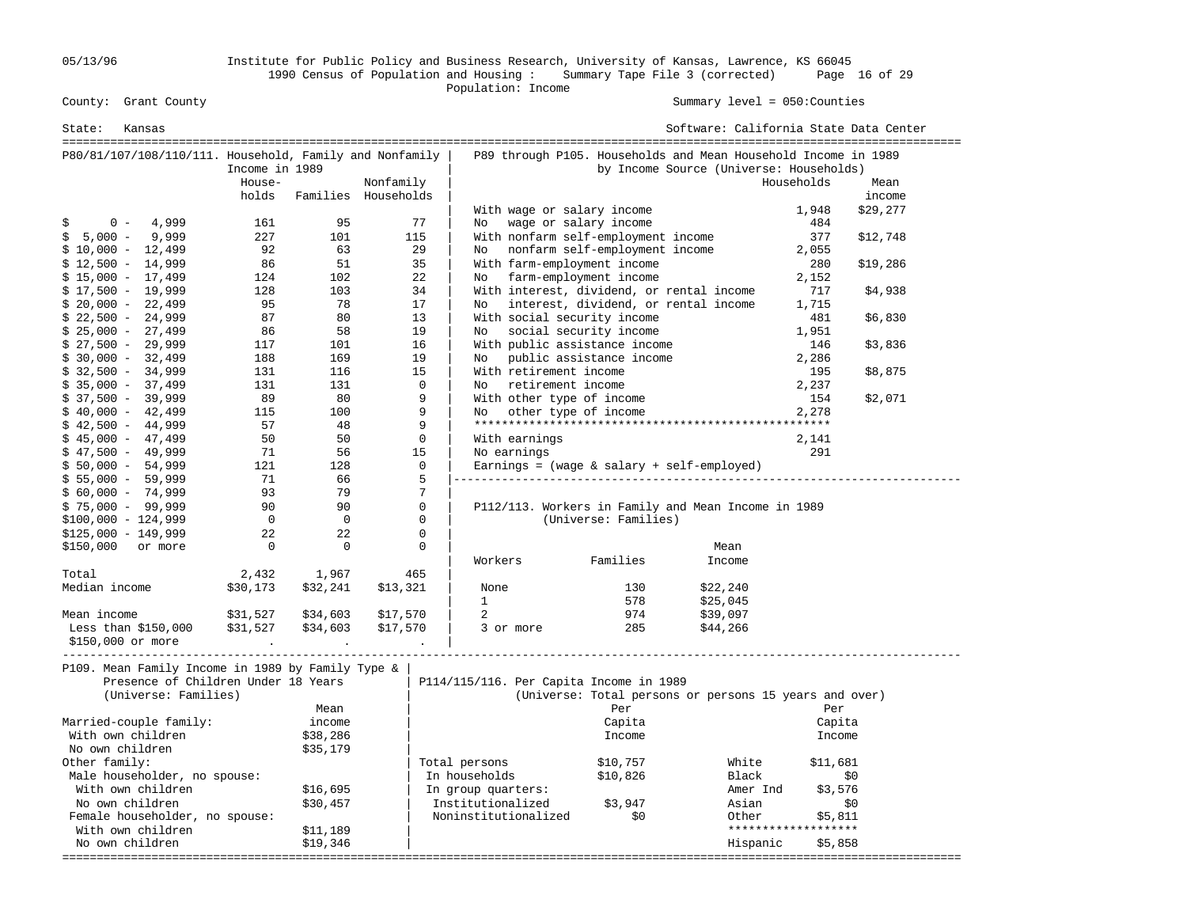05/13/96 Institute for Public Policy and Business Research, University of Kansas, Lawrence, KS 66045 1990 Census of Population and Housing : Summary Tape File 3 (corrected) Page 16 of 29 County: Grant County<br>
Population: Income<br>
Population: Income

| P89 through P105. Households and Mean Household Income in 1989<br>P80/81/107/108/110/111. Household, Family and Nonfamily<br>by Income Source (Universe: Households)<br>Income in 1989<br>House-<br>Nonfamily<br>Households<br>Mean<br>holds<br>Families Households<br>income<br>With wage or salary income<br>1,948<br>\$29,277<br>wage or salary income<br>$0 -$<br>4,999<br>161<br>95<br>77<br>\$<br>No<br>484<br>$5,000 -$<br>9,999<br>227<br>101<br>115<br>With nonfarm self-employment income<br>\$<br>377<br>\$12,748<br>nonfarm self-employment income<br>92<br>63<br>29<br>$$10,000 - 12,499$<br>No<br>2,055<br>35<br>With farm-employment income<br>86<br>51<br>280<br>\$19,286<br>102<br>22<br>farm-employment income<br>124<br>2,152<br>No<br>128<br>103<br>34<br>With interest, dividend, or rental income<br>717<br>\$4,938<br>95<br>78<br>interest, dividend, or rental income<br>17<br>1,715<br>No.<br>13<br>87<br>80<br>With social security income<br>481<br>\$6,830<br>86<br>58<br>19<br>social security income<br>1,951<br>No<br>$$27,500 - 29,999$<br>117<br>16<br>With public assistance income<br>101<br>146<br>\$3,836<br>19<br>public assistance income<br>$$30,000 - 32,499$<br>188<br>169<br>2,286<br>No<br>131<br>15<br>With retirement income<br>$$32,500 - 34,999$<br>116<br>195<br>\$8,875<br>$$35,000 - 37,499$<br>131<br>131<br>$\Omega$<br>No retirement income<br>2,237<br>9<br>$$37,500 - 39,999$<br>89<br>80<br>With other type of income<br>\$2,071<br>154<br>9<br>other type of income<br>$$40,000 - 42,499$<br>115<br>100<br>2,278<br>No.<br>9<br>57<br>48<br>$$42,500 - 44,999$<br>$\mathbf 0$<br>$$45,000 - 47,499$<br>50<br>50<br>With earnings<br>2,141<br>15<br>$$47,500 - 49,999$<br>71<br>56<br>No earnings<br>291<br>$\mathbf 0$<br>$$50,000 - 54,999$<br>121<br>128<br>Earnings = (wage $\&$ salary + self-employed)<br>5<br>$$55,000 - 59,999$<br>71<br>66<br>7<br>93<br>79<br>$$60,000 - 74,999$<br>P112/113. Workers in Family and Mean Income in 1989<br>$$75,000 - 99,999$<br>90<br>90<br>0<br>(Universe: Families)<br>$$100,000 - 124,999$<br>$\overline{0}$<br>$\overline{0}$<br>0<br>$\mathbf{0}$<br>22<br>22<br>$\mathbf 0$<br>$\Omega$<br>$\Omega$<br>Mean<br>Families<br>Workers<br>Income<br>2,432<br>1,967<br>465<br>\$22,240<br>\$30,173<br>\$32,241<br>\$13,321<br>130<br>None<br>$\mathbf{1}$<br>578<br>\$25,045<br>Mean income<br>\$31,527<br>\$34,603<br>\$17,570<br>2<br>974<br>\$39,097<br>\$31,527<br>285<br>Less than $$150,000$<br>\$34,603<br>\$17,570<br>3 or more<br>\$44,266<br>\$150,000 or more<br>P109. Mean Family Income in 1989 by Family Type &<br>Presence of Children Under 18 Years<br>P114/115/116. Per Capita Income in 1989<br>(Universe: Families)<br>(Universe: Total persons or persons 15 years and over)<br>Per<br>Mean<br>Per<br>Married-couple family:<br>Capita<br>Capita<br>income<br>With own children<br>\$38,286<br>Income<br>Income<br>No own children<br>\$35,179<br>Total persons<br>\$10,757<br>White<br>\$11,681<br>Male householder, no spouse:<br>\$10,826<br>In households<br>Black<br>\$0<br>With own children<br>\$3,576<br>\$16,695<br>In group quarters:<br>Amer Ind | State:<br>Kansas     |  |  |  | Software: California State Data Center |  |  |  |  |
|---------------------------------------------------------------------------------------------------------------------------------------------------------------------------------------------------------------------------------------------------------------------------------------------------------------------------------------------------------------------------------------------------------------------------------------------------------------------------------------------------------------------------------------------------------------------------------------------------------------------------------------------------------------------------------------------------------------------------------------------------------------------------------------------------------------------------------------------------------------------------------------------------------------------------------------------------------------------------------------------------------------------------------------------------------------------------------------------------------------------------------------------------------------------------------------------------------------------------------------------------------------------------------------------------------------------------------------------------------------------------------------------------------------------------------------------------------------------------------------------------------------------------------------------------------------------------------------------------------------------------------------------------------------------------------------------------------------------------------------------------------------------------------------------------------------------------------------------------------------------------------------------------------------------------------------------------------------------------------------------------------------------------------------------------------------------------------------------------------------------------------------------------------------------------------------------------------------------------------------------------------------------------------------------------------------------------------------------------------------------------------------------------------------------------------------------------------------------------------------------------------------------------------------------------------------------------------------------------------------------------------------------------------------------------------------------------------------------------------------------------------------------------------------------------------------------------------------------------------------------------------------------------------------------------------------------------------------------------------------------------------------------------------------------------------------------------------------------------------------------------------------------------------------------------------------|----------------------|--|--|--|----------------------------------------|--|--|--|--|
|                                                                                                                                                                                                                                                                                                                                                                                                                                                                                                                                                                                                                                                                                                                                                                                                                                                                                                                                                                                                                                                                                                                                                                                                                                                                                                                                                                                                                                                                                                                                                                                                                                                                                                                                                                                                                                                                                                                                                                                                                                                                                                                                                                                                                                                                                                                                                                                                                                                                                                                                                                                                                                                                                                                                                                                                                                                                                                                                                                                                                                                                                                                                                                                       |                      |  |  |  |                                        |  |  |  |  |
|                                                                                                                                                                                                                                                                                                                                                                                                                                                                                                                                                                                                                                                                                                                                                                                                                                                                                                                                                                                                                                                                                                                                                                                                                                                                                                                                                                                                                                                                                                                                                                                                                                                                                                                                                                                                                                                                                                                                                                                                                                                                                                                                                                                                                                                                                                                                                                                                                                                                                                                                                                                                                                                                                                                                                                                                                                                                                                                                                                                                                                                                                                                                                                                       |                      |  |  |  |                                        |  |  |  |  |
|                                                                                                                                                                                                                                                                                                                                                                                                                                                                                                                                                                                                                                                                                                                                                                                                                                                                                                                                                                                                                                                                                                                                                                                                                                                                                                                                                                                                                                                                                                                                                                                                                                                                                                                                                                                                                                                                                                                                                                                                                                                                                                                                                                                                                                                                                                                                                                                                                                                                                                                                                                                                                                                                                                                                                                                                                                                                                                                                                                                                                                                                                                                                                                                       |                      |  |  |  |                                        |  |  |  |  |
|                                                                                                                                                                                                                                                                                                                                                                                                                                                                                                                                                                                                                                                                                                                                                                                                                                                                                                                                                                                                                                                                                                                                                                                                                                                                                                                                                                                                                                                                                                                                                                                                                                                                                                                                                                                                                                                                                                                                                                                                                                                                                                                                                                                                                                                                                                                                                                                                                                                                                                                                                                                                                                                                                                                                                                                                                                                                                                                                                                                                                                                                                                                                                                                       |                      |  |  |  |                                        |  |  |  |  |
|                                                                                                                                                                                                                                                                                                                                                                                                                                                                                                                                                                                                                                                                                                                                                                                                                                                                                                                                                                                                                                                                                                                                                                                                                                                                                                                                                                                                                                                                                                                                                                                                                                                                                                                                                                                                                                                                                                                                                                                                                                                                                                                                                                                                                                                                                                                                                                                                                                                                                                                                                                                                                                                                                                                                                                                                                                                                                                                                                                                                                                                                                                                                                                                       |                      |  |  |  |                                        |  |  |  |  |
|                                                                                                                                                                                                                                                                                                                                                                                                                                                                                                                                                                                                                                                                                                                                                                                                                                                                                                                                                                                                                                                                                                                                                                                                                                                                                                                                                                                                                                                                                                                                                                                                                                                                                                                                                                                                                                                                                                                                                                                                                                                                                                                                                                                                                                                                                                                                                                                                                                                                                                                                                                                                                                                                                                                                                                                                                                                                                                                                                                                                                                                                                                                                                                                       |                      |  |  |  |                                        |  |  |  |  |
|                                                                                                                                                                                                                                                                                                                                                                                                                                                                                                                                                                                                                                                                                                                                                                                                                                                                                                                                                                                                                                                                                                                                                                                                                                                                                                                                                                                                                                                                                                                                                                                                                                                                                                                                                                                                                                                                                                                                                                                                                                                                                                                                                                                                                                                                                                                                                                                                                                                                                                                                                                                                                                                                                                                                                                                                                                                                                                                                                                                                                                                                                                                                                                                       | $$12,500 - 14,999$   |  |  |  |                                        |  |  |  |  |
|                                                                                                                                                                                                                                                                                                                                                                                                                                                                                                                                                                                                                                                                                                                                                                                                                                                                                                                                                                                                                                                                                                                                                                                                                                                                                                                                                                                                                                                                                                                                                                                                                                                                                                                                                                                                                                                                                                                                                                                                                                                                                                                                                                                                                                                                                                                                                                                                                                                                                                                                                                                                                                                                                                                                                                                                                                                                                                                                                                                                                                                                                                                                                                                       | $$15,000 - 17,499$   |  |  |  |                                        |  |  |  |  |
|                                                                                                                                                                                                                                                                                                                                                                                                                                                                                                                                                                                                                                                                                                                                                                                                                                                                                                                                                                                                                                                                                                                                                                                                                                                                                                                                                                                                                                                                                                                                                                                                                                                                                                                                                                                                                                                                                                                                                                                                                                                                                                                                                                                                                                                                                                                                                                                                                                                                                                                                                                                                                                                                                                                                                                                                                                                                                                                                                                                                                                                                                                                                                                                       | $$17,500 - 19,999$   |  |  |  |                                        |  |  |  |  |
|                                                                                                                                                                                                                                                                                                                                                                                                                                                                                                                                                                                                                                                                                                                                                                                                                                                                                                                                                                                                                                                                                                                                                                                                                                                                                                                                                                                                                                                                                                                                                                                                                                                                                                                                                                                                                                                                                                                                                                                                                                                                                                                                                                                                                                                                                                                                                                                                                                                                                                                                                                                                                                                                                                                                                                                                                                                                                                                                                                                                                                                                                                                                                                                       | $$20,000 - 22,499$   |  |  |  |                                        |  |  |  |  |
|                                                                                                                                                                                                                                                                                                                                                                                                                                                                                                                                                                                                                                                                                                                                                                                                                                                                                                                                                                                                                                                                                                                                                                                                                                                                                                                                                                                                                                                                                                                                                                                                                                                                                                                                                                                                                                                                                                                                                                                                                                                                                                                                                                                                                                                                                                                                                                                                                                                                                                                                                                                                                                                                                                                                                                                                                                                                                                                                                                                                                                                                                                                                                                                       | $$22,500 - 24,999$   |  |  |  |                                        |  |  |  |  |
|                                                                                                                                                                                                                                                                                                                                                                                                                                                                                                                                                                                                                                                                                                                                                                                                                                                                                                                                                                                                                                                                                                                                                                                                                                                                                                                                                                                                                                                                                                                                                                                                                                                                                                                                                                                                                                                                                                                                                                                                                                                                                                                                                                                                                                                                                                                                                                                                                                                                                                                                                                                                                                                                                                                                                                                                                                                                                                                                                                                                                                                                                                                                                                                       | $$25,000 - 27,499$   |  |  |  |                                        |  |  |  |  |
|                                                                                                                                                                                                                                                                                                                                                                                                                                                                                                                                                                                                                                                                                                                                                                                                                                                                                                                                                                                                                                                                                                                                                                                                                                                                                                                                                                                                                                                                                                                                                                                                                                                                                                                                                                                                                                                                                                                                                                                                                                                                                                                                                                                                                                                                                                                                                                                                                                                                                                                                                                                                                                                                                                                                                                                                                                                                                                                                                                                                                                                                                                                                                                                       |                      |  |  |  |                                        |  |  |  |  |
|                                                                                                                                                                                                                                                                                                                                                                                                                                                                                                                                                                                                                                                                                                                                                                                                                                                                                                                                                                                                                                                                                                                                                                                                                                                                                                                                                                                                                                                                                                                                                                                                                                                                                                                                                                                                                                                                                                                                                                                                                                                                                                                                                                                                                                                                                                                                                                                                                                                                                                                                                                                                                                                                                                                                                                                                                                                                                                                                                                                                                                                                                                                                                                                       |                      |  |  |  |                                        |  |  |  |  |
|                                                                                                                                                                                                                                                                                                                                                                                                                                                                                                                                                                                                                                                                                                                                                                                                                                                                                                                                                                                                                                                                                                                                                                                                                                                                                                                                                                                                                                                                                                                                                                                                                                                                                                                                                                                                                                                                                                                                                                                                                                                                                                                                                                                                                                                                                                                                                                                                                                                                                                                                                                                                                                                                                                                                                                                                                                                                                                                                                                                                                                                                                                                                                                                       |                      |  |  |  |                                        |  |  |  |  |
|                                                                                                                                                                                                                                                                                                                                                                                                                                                                                                                                                                                                                                                                                                                                                                                                                                                                                                                                                                                                                                                                                                                                                                                                                                                                                                                                                                                                                                                                                                                                                                                                                                                                                                                                                                                                                                                                                                                                                                                                                                                                                                                                                                                                                                                                                                                                                                                                                                                                                                                                                                                                                                                                                                                                                                                                                                                                                                                                                                                                                                                                                                                                                                                       |                      |  |  |  |                                        |  |  |  |  |
|                                                                                                                                                                                                                                                                                                                                                                                                                                                                                                                                                                                                                                                                                                                                                                                                                                                                                                                                                                                                                                                                                                                                                                                                                                                                                                                                                                                                                                                                                                                                                                                                                                                                                                                                                                                                                                                                                                                                                                                                                                                                                                                                                                                                                                                                                                                                                                                                                                                                                                                                                                                                                                                                                                                                                                                                                                                                                                                                                                                                                                                                                                                                                                                       |                      |  |  |  |                                        |  |  |  |  |
|                                                                                                                                                                                                                                                                                                                                                                                                                                                                                                                                                                                                                                                                                                                                                                                                                                                                                                                                                                                                                                                                                                                                                                                                                                                                                                                                                                                                                                                                                                                                                                                                                                                                                                                                                                                                                                                                                                                                                                                                                                                                                                                                                                                                                                                                                                                                                                                                                                                                                                                                                                                                                                                                                                                                                                                                                                                                                                                                                                                                                                                                                                                                                                                       |                      |  |  |  |                                        |  |  |  |  |
|                                                                                                                                                                                                                                                                                                                                                                                                                                                                                                                                                                                                                                                                                                                                                                                                                                                                                                                                                                                                                                                                                                                                                                                                                                                                                                                                                                                                                                                                                                                                                                                                                                                                                                                                                                                                                                                                                                                                                                                                                                                                                                                                                                                                                                                                                                                                                                                                                                                                                                                                                                                                                                                                                                                                                                                                                                                                                                                                                                                                                                                                                                                                                                                       |                      |  |  |  |                                        |  |  |  |  |
|                                                                                                                                                                                                                                                                                                                                                                                                                                                                                                                                                                                                                                                                                                                                                                                                                                                                                                                                                                                                                                                                                                                                                                                                                                                                                                                                                                                                                                                                                                                                                                                                                                                                                                                                                                                                                                                                                                                                                                                                                                                                                                                                                                                                                                                                                                                                                                                                                                                                                                                                                                                                                                                                                                                                                                                                                                                                                                                                                                                                                                                                                                                                                                                       |                      |  |  |  |                                        |  |  |  |  |
|                                                                                                                                                                                                                                                                                                                                                                                                                                                                                                                                                                                                                                                                                                                                                                                                                                                                                                                                                                                                                                                                                                                                                                                                                                                                                                                                                                                                                                                                                                                                                                                                                                                                                                                                                                                                                                                                                                                                                                                                                                                                                                                                                                                                                                                                                                                                                                                                                                                                                                                                                                                                                                                                                                                                                                                                                                                                                                                                                                                                                                                                                                                                                                                       |                      |  |  |  |                                        |  |  |  |  |
|                                                                                                                                                                                                                                                                                                                                                                                                                                                                                                                                                                                                                                                                                                                                                                                                                                                                                                                                                                                                                                                                                                                                                                                                                                                                                                                                                                                                                                                                                                                                                                                                                                                                                                                                                                                                                                                                                                                                                                                                                                                                                                                                                                                                                                                                                                                                                                                                                                                                                                                                                                                                                                                                                                                                                                                                                                                                                                                                                                                                                                                                                                                                                                                       |                      |  |  |  |                                        |  |  |  |  |
|                                                                                                                                                                                                                                                                                                                                                                                                                                                                                                                                                                                                                                                                                                                                                                                                                                                                                                                                                                                                                                                                                                                                                                                                                                                                                                                                                                                                                                                                                                                                                                                                                                                                                                                                                                                                                                                                                                                                                                                                                                                                                                                                                                                                                                                                                                                                                                                                                                                                                                                                                                                                                                                                                                                                                                                                                                                                                                                                                                                                                                                                                                                                                                                       |                      |  |  |  |                                        |  |  |  |  |
|                                                                                                                                                                                                                                                                                                                                                                                                                                                                                                                                                                                                                                                                                                                                                                                                                                                                                                                                                                                                                                                                                                                                                                                                                                                                                                                                                                                                                                                                                                                                                                                                                                                                                                                                                                                                                                                                                                                                                                                                                                                                                                                                                                                                                                                                                                                                                                                                                                                                                                                                                                                                                                                                                                                                                                                                                                                                                                                                                                                                                                                                                                                                                                                       |                      |  |  |  |                                        |  |  |  |  |
|                                                                                                                                                                                                                                                                                                                                                                                                                                                                                                                                                                                                                                                                                                                                                                                                                                                                                                                                                                                                                                                                                                                                                                                                                                                                                                                                                                                                                                                                                                                                                                                                                                                                                                                                                                                                                                                                                                                                                                                                                                                                                                                                                                                                                                                                                                                                                                                                                                                                                                                                                                                                                                                                                                                                                                                                                                                                                                                                                                                                                                                                                                                                                                                       |                      |  |  |  |                                        |  |  |  |  |
|                                                                                                                                                                                                                                                                                                                                                                                                                                                                                                                                                                                                                                                                                                                                                                                                                                                                                                                                                                                                                                                                                                                                                                                                                                                                                                                                                                                                                                                                                                                                                                                                                                                                                                                                                                                                                                                                                                                                                                                                                                                                                                                                                                                                                                                                                                                                                                                                                                                                                                                                                                                                                                                                                                                                                                                                                                                                                                                                                                                                                                                                                                                                                                                       | $$125,000 - 149,999$ |  |  |  |                                        |  |  |  |  |
|                                                                                                                                                                                                                                                                                                                                                                                                                                                                                                                                                                                                                                                                                                                                                                                                                                                                                                                                                                                                                                                                                                                                                                                                                                                                                                                                                                                                                                                                                                                                                                                                                                                                                                                                                                                                                                                                                                                                                                                                                                                                                                                                                                                                                                                                                                                                                                                                                                                                                                                                                                                                                                                                                                                                                                                                                                                                                                                                                                                                                                                                                                                                                                                       | \$150,000 or more    |  |  |  |                                        |  |  |  |  |
|                                                                                                                                                                                                                                                                                                                                                                                                                                                                                                                                                                                                                                                                                                                                                                                                                                                                                                                                                                                                                                                                                                                                                                                                                                                                                                                                                                                                                                                                                                                                                                                                                                                                                                                                                                                                                                                                                                                                                                                                                                                                                                                                                                                                                                                                                                                                                                                                                                                                                                                                                                                                                                                                                                                                                                                                                                                                                                                                                                                                                                                                                                                                                                                       |                      |  |  |  |                                        |  |  |  |  |
|                                                                                                                                                                                                                                                                                                                                                                                                                                                                                                                                                                                                                                                                                                                                                                                                                                                                                                                                                                                                                                                                                                                                                                                                                                                                                                                                                                                                                                                                                                                                                                                                                                                                                                                                                                                                                                                                                                                                                                                                                                                                                                                                                                                                                                                                                                                                                                                                                                                                                                                                                                                                                                                                                                                                                                                                                                                                                                                                                                                                                                                                                                                                                                                       | Total                |  |  |  |                                        |  |  |  |  |
|                                                                                                                                                                                                                                                                                                                                                                                                                                                                                                                                                                                                                                                                                                                                                                                                                                                                                                                                                                                                                                                                                                                                                                                                                                                                                                                                                                                                                                                                                                                                                                                                                                                                                                                                                                                                                                                                                                                                                                                                                                                                                                                                                                                                                                                                                                                                                                                                                                                                                                                                                                                                                                                                                                                                                                                                                                                                                                                                                                                                                                                                                                                                                                                       | Median income        |  |  |  |                                        |  |  |  |  |
|                                                                                                                                                                                                                                                                                                                                                                                                                                                                                                                                                                                                                                                                                                                                                                                                                                                                                                                                                                                                                                                                                                                                                                                                                                                                                                                                                                                                                                                                                                                                                                                                                                                                                                                                                                                                                                                                                                                                                                                                                                                                                                                                                                                                                                                                                                                                                                                                                                                                                                                                                                                                                                                                                                                                                                                                                                                                                                                                                                                                                                                                                                                                                                                       |                      |  |  |  |                                        |  |  |  |  |
|                                                                                                                                                                                                                                                                                                                                                                                                                                                                                                                                                                                                                                                                                                                                                                                                                                                                                                                                                                                                                                                                                                                                                                                                                                                                                                                                                                                                                                                                                                                                                                                                                                                                                                                                                                                                                                                                                                                                                                                                                                                                                                                                                                                                                                                                                                                                                                                                                                                                                                                                                                                                                                                                                                                                                                                                                                                                                                                                                                                                                                                                                                                                                                                       |                      |  |  |  |                                        |  |  |  |  |
|                                                                                                                                                                                                                                                                                                                                                                                                                                                                                                                                                                                                                                                                                                                                                                                                                                                                                                                                                                                                                                                                                                                                                                                                                                                                                                                                                                                                                                                                                                                                                                                                                                                                                                                                                                                                                                                                                                                                                                                                                                                                                                                                                                                                                                                                                                                                                                                                                                                                                                                                                                                                                                                                                                                                                                                                                                                                                                                                                                                                                                                                                                                                                                                       |                      |  |  |  |                                        |  |  |  |  |
|                                                                                                                                                                                                                                                                                                                                                                                                                                                                                                                                                                                                                                                                                                                                                                                                                                                                                                                                                                                                                                                                                                                                                                                                                                                                                                                                                                                                                                                                                                                                                                                                                                                                                                                                                                                                                                                                                                                                                                                                                                                                                                                                                                                                                                                                                                                                                                                                                                                                                                                                                                                                                                                                                                                                                                                                                                                                                                                                                                                                                                                                                                                                                                                       |                      |  |  |  |                                        |  |  |  |  |
|                                                                                                                                                                                                                                                                                                                                                                                                                                                                                                                                                                                                                                                                                                                                                                                                                                                                                                                                                                                                                                                                                                                                                                                                                                                                                                                                                                                                                                                                                                                                                                                                                                                                                                                                                                                                                                                                                                                                                                                                                                                                                                                                                                                                                                                                                                                                                                                                                                                                                                                                                                                                                                                                                                                                                                                                                                                                                                                                                                                                                                                                                                                                                                                       |                      |  |  |  |                                        |  |  |  |  |
|                                                                                                                                                                                                                                                                                                                                                                                                                                                                                                                                                                                                                                                                                                                                                                                                                                                                                                                                                                                                                                                                                                                                                                                                                                                                                                                                                                                                                                                                                                                                                                                                                                                                                                                                                                                                                                                                                                                                                                                                                                                                                                                                                                                                                                                                                                                                                                                                                                                                                                                                                                                                                                                                                                                                                                                                                                                                                                                                                                                                                                                                                                                                                                                       |                      |  |  |  |                                        |  |  |  |  |
|                                                                                                                                                                                                                                                                                                                                                                                                                                                                                                                                                                                                                                                                                                                                                                                                                                                                                                                                                                                                                                                                                                                                                                                                                                                                                                                                                                                                                                                                                                                                                                                                                                                                                                                                                                                                                                                                                                                                                                                                                                                                                                                                                                                                                                                                                                                                                                                                                                                                                                                                                                                                                                                                                                                                                                                                                                                                                                                                                                                                                                                                                                                                                                                       |                      |  |  |  |                                        |  |  |  |  |
|                                                                                                                                                                                                                                                                                                                                                                                                                                                                                                                                                                                                                                                                                                                                                                                                                                                                                                                                                                                                                                                                                                                                                                                                                                                                                                                                                                                                                                                                                                                                                                                                                                                                                                                                                                                                                                                                                                                                                                                                                                                                                                                                                                                                                                                                                                                                                                                                                                                                                                                                                                                                                                                                                                                                                                                                                                                                                                                                                                                                                                                                                                                                                                                       |                      |  |  |  |                                        |  |  |  |  |
|                                                                                                                                                                                                                                                                                                                                                                                                                                                                                                                                                                                                                                                                                                                                                                                                                                                                                                                                                                                                                                                                                                                                                                                                                                                                                                                                                                                                                                                                                                                                                                                                                                                                                                                                                                                                                                                                                                                                                                                                                                                                                                                                                                                                                                                                                                                                                                                                                                                                                                                                                                                                                                                                                                                                                                                                                                                                                                                                                                                                                                                                                                                                                                                       |                      |  |  |  |                                        |  |  |  |  |
|                                                                                                                                                                                                                                                                                                                                                                                                                                                                                                                                                                                                                                                                                                                                                                                                                                                                                                                                                                                                                                                                                                                                                                                                                                                                                                                                                                                                                                                                                                                                                                                                                                                                                                                                                                                                                                                                                                                                                                                                                                                                                                                                                                                                                                                                                                                                                                                                                                                                                                                                                                                                                                                                                                                                                                                                                                                                                                                                                                                                                                                                                                                                                                                       |                      |  |  |  |                                        |  |  |  |  |
|                                                                                                                                                                                                                                                                                                                                                                                                                                                                                                                                                                                                                                                                                                                                                                                                                                                                                                                                                                                                                                                                                                                                                                                                                                                                                                                                                                                                                                                                                                                                                                                                                                                                                                                                                                                                                                                                                                                                                                                                                                                                                                                                                                                                                                                                                                                                                                                                                                                                                                                                                                                                                                                                                                                                                                                                                                                                                                                                                                                                                                                                                                                                                                                       |                      |  |  |  |                                        |  |  |  |  |
|                                                                                                                                                                                                                                                                                                                                                                                                                                                                                                                                                                                                                                                                                                                                                                                                                                                                                                                                                                                                                                                                                                                                                                                                                                                                                                                                                                                                                                                                                                                                                                                                                                                                                                                                                                                                                                                                                                                                                                                                                                                                                                                                                                                                                                                                                                                                                                                                                                                                                                                                                                                                                                                                                                                                                                                                                                                                                                                                                                                                                                                                                                                                                                                       | Other family:        |  |  |  |                                        |  |  |  |  |
|                                                                                                                                                                                                                                                                                                                                                                                                                                                                                                                                                                                                                                                                                                                                                                                                                                                                                                                                                                                                                                                                                                                                                                                                                                                                                                                                                                                                                                                                                                                                                                                                                                                                                                                                                                                                                                                                                                                                                                                                                                                                                                                                                                                                                                                                                                                                                                                                                                                                                                                                                                                                                                                                                                                                                                                                                                                                                                                                                                                                                                                                                                                                                                                       |                      |  |  |  |                                        |  |  |  |  |
|                                                                                                                                                                                                                                                                                                                                                                                                                                                                                                                                                                                                                                                                                                                                                                                                                                                                                                                                                                                                                                                                                                                                                                                                                                                                                                                                                                                                                                                                                                                                                                                                                                                                                                                                                                                                                                                                                                                                                                                                                                                                                                                                                                                                                                                                                                                                                                                                                                                                                                                                                                                                                                                                                                                                                                                                                                                                                                                                                                                                                                                                                                                                                                                       |                      |  |  |  |                                        |  |  |  |  |
| No own children<br>\$30,457<br>Institutionalized<br>\$3,947<br>Asian<br>\$0                                                                                                                                                                                                                                                                                                                                                                                                                                                                                                                                                                                                                                                                                                                                                                                                                                                                                                                                                                                                                                                                                                                                                                                                                                                                                                                                                                                                                                                                                                                                                                                                                                                                                                                                                                                                                                                                                                                                                                                                                                                                                                                                                                                                                                                                                                                                                                                                                                                                                                                                                                                                                                                                                                                                                                                                                                                                                                                                                                                                                                                                                                           |                      |  |  |  |                                        |  |  |  |  |
| Noninstitutionalized<br>\$0<br>Female householder, no spouse:<br>Other<br>\$5,811                                                                                                                                                                                                                                                                                                                                                                                                                                                                                                                                                                                                                                                                                                                                                                                                                                                                                                                                                                                                                                                                                                                                                                                                                                                                                                                                                                                                                                                                                                                                                                                                                                                                                                                                                                                                                                                                                                                                                                                                                                                                                                                                                                                                                                                                                                                                                                                                                                                                                                                                                                                                                                                                                                                                                                                                                                                                                                                                                                                                                                                                                                     |                      |  |  |  |                                        |  |  |  |  |
| *******************<br>With own children<br>\$11,189                                                                                                                                                                                                                                                                                                                                                                                                                                                                                                                                                                                                                                                                                                                                                                                                                                                                                                                                                                                                                                                                                                                                                                                                                                                                                                                                                                                                                                                                                                                                                                                                                                                                                                                                                                                                                                                                                                                                                                                                                                                                                                                                                                                                                                                                                                                                                                                                                                                                                                                                                                                                                                                                                                                                                                                                                                                                                                                                                                                                                                                                                                                                  |                      |  |  |  |                                        |  |  |  |  |
| No own children<br>\$19,346<br>Hispanic<br>\$5,858                                                                                                                                                                                                                                                                                                                                                                                                                                                                                                                                                                                                                                                                                                                                                                                                                                                                                                                                                                                                                                                                                                                                                                                                                                                                                                                                                                                                                                                                                                                                                                                                                                                                                                                                                                                                                                                                                                                                                                                                                                                                                                                                                                                                                                                                                                                                                                                                                                                                                                                                                                                                                                                                                                                                                                                                                                                                                                                                                                                                                                                                                                                                    |                      |  |  |  |                                        |  |  |  |  |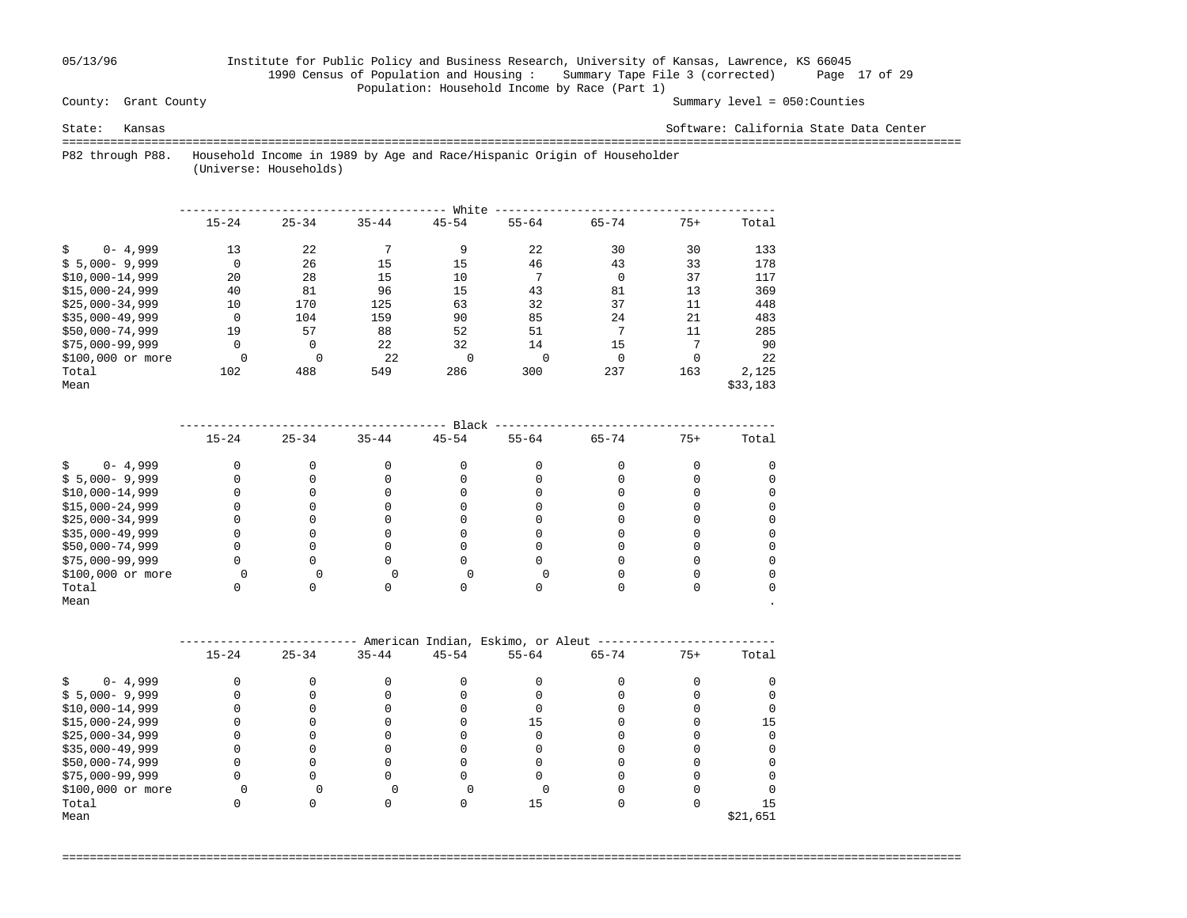## 05/13/96 Institute for Public Policy and Business Research, University of Kansas, Lawrence, KS 66045 1990 Census of Population and Housing : Summary Tape File 3 (corrected) Page 17 of 29 Population: Household Income by Race (Part 1)<br>County: Grant County

Summary level =  $050$ : Counties

State: Kansas Software: California State Data Center

===================================================================================================================================

 P82 through P88. Household Income in 1989 by Age and Race/Hispanic Origin of Householder (Universe: Households)

|                    |             |           |           | White     |              |           |          |          |
|--------------------|-------------|-----------|-----------|-----------|--------------|-----------|----------|----------|
|                    | $15 - 24$   | $25 - 34$ | $35 - 44$ | $45 - 54$ | $55 - 64$    | $65 - 74$ | $75+$    | Total    |
| $0 - 4,999$        | 13          | 22        |           | 9         | 22           | 30        | 30       | 133      |
| $$5,000-9,999$     | $\mathbf 0$ | 26        | 15        | 15        | 46           | 43        | 33       | 178      |
| $$10,000-14,999$   | 20          | 28        | 15        | 10        | $\mathbf{r}$ | 0         | 37       | 117      |
| $$15,000-24,999$   | 40          | 81        | 96        | 15        | 43           | 81        | 13       | 369      |
| $$25.000 - 34.999$ | 10          | 170       | 125       | 63        | 32           | 37        | 11       | 448      |
| $$35,000-49,999$   | $\mathbf 0$ | 104       | 159       | 90        | 85           | 24        | 21       | 483      |
| $$50,000-74,999$   | 19          | 57        | 88        | 52        | 51           | 7         | 11       | 285      |
| $$75,000-99,999$   | 0           | 0         | 22        | 32        | 14           | 15        | 7        | 90       |
| \$100,000 or more  |             |           | 22        | $\Omega$  | $\Omega$     | $\Omega$  | $\Omega$ | 22       |
| Total              | 102         | 488       | 549       | 286       | 300          | 237       | 163      | 2,125    |
| Mean               |             |           |           |           |              |           |          | \$33,183 |

|                   |           |           |           | Black     |           |           |       |       |
|-------------------|-----------|-----------|-----------|-----------|-----------|-----------|-------|-------|
|                   | $15 - 24$ | $25 - 34$ | $35 - 44$ | $45 - 54$ | $55 - 64$ | $65 - 74$ | $75+$ | Total |
| $0 - 4,999$       |           |           |           |           |           |           |       |       |
| $$5,000-9,999$    |           |           |           |           |           |           |       |       |
| $$10,000-14,999$  |           |           |           |           |           |           |       |       |
| $$15,000-24,999$  |           |           |           |           |           |           |       |       |
| $$25,000-34,999$  |           |           |           |           |           |           |       |       |
| $$35,000-49,999$  |           |           |           |           |           |           |       |       |
| \$50,000-74,999   |           |           |           |           |           |           |       |       |
| $$75,000-99,999$  |           |           |           |           |           |           |       |       |
| \$100,000 or more |           |           |           |           |           |           |       |       |
| Total             |           |           |           |           |           |           |       |       |
| Mean              |           |           |           |           |           |           |       |       |

|                   | American Indian, Eskimo, or Aleut |           |           |           |           |           |       |          |  |  |  |  |
|-------------------|-----------------------------------|-----------|-----------|-----------|-----------|-----------|-------|----------|--|--|--|--|
|                   | $15 - 24$                         | $25 - 34$ | $35 - 44$ | $45 - 54$ | $55 - 64$ | $65 - 74$ | $75+$ | Total    |  |  |  |  |
| $0 - 4,999$       |                                   |           |           |           |           |           |       |          |  |  |  |  |
| $$5,000-9,999$    |                                   |           |           |           |           |           |       |          |  |  |  |  |
| $$10,000-14,999$  |                                   |           |           |           |           |           |       |          |  |  |  |  |
| $$15,000-24,999$  |                                   |           |           |           | 15        |           |       | 15       |  |  |  |  |
| $$25,000-34,999$  |                                   |           |           |           |           |           |       |          |  |  |  |  |
| $$35,000-49,999$  |                                   |           |           |           |           |           |       |          |  |  |  |  |
| \$50,000-74,999   |                                   |           |           |           |           |           |       |          |  |  |  |  |
| $$75,000-99,999$  |                                   |           |           |           |           |           |       |          |  |  |  |  |
| \$100,000 or more |                                   |           |           |           |           |           |       |          |  |  |  |  |
| Total             |                                   |           |           |           | 15        |           |       | 15       |  |  |  |  |
| Mean              |                                   |           |           |           |           |           |       | \$21,651 |  |  |  |  |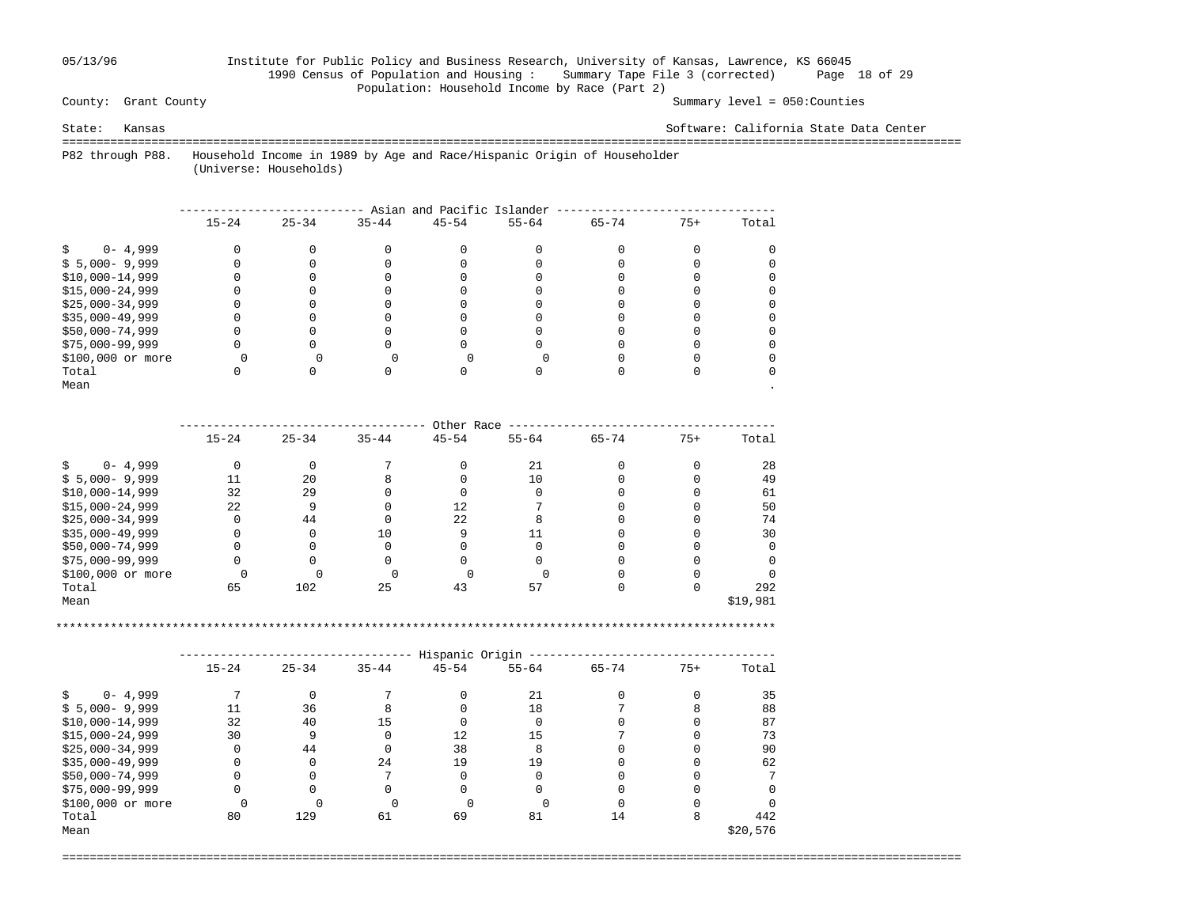## 05/13/96 Institute for Public Policy and Business Research, University of Kansas, Lawrence, KS 66045 1990 Census of Population and Housing : Summary Tape File 3 (corrected) Page 18 of 29 Population: Household Income by Race (Part 2)<br>County: Grant County

Summary level =  $050$ : Counties

State: Kansas Software: California State Data Center

===================================================================================================================================

 P82 through P88. Household Income in 1989 by Age and Race/Hispanic Origin of Householder (Universe: Households)

|                   | Asian and Pacific Islander |           |           |           |           |           |       |       |  |  |  |  |  |
|-------------------|----------------------------|-----------|-----------|-----------|-----------|-----------|-------|-------|--|--|--|--|--|
|                   | $15 - 24$                  | $25 - 34$ | $35 - 44$ | $45 - 54$ | $55 - 64$ | $65 - 74$ | $75+$ | Total |  |  |  |  |  |
| $0 - 4,999$       |                            |           |           |           |           |           |       |       |  |  |  |  |  |
| $$5,000-9,999$    |                            |           |           |           |           |           |       |       |  |  |  |  |  |
| $$10,000-14,999$  |                            |           |           |           |           |           |       |       |  |  |  |  |  |
| $$15,000-24,999$  |                            |           |           |           |           |           |       |       |  |  |  |  |  |
| $$25,000-34,999$  |                            |           |           |           |           |           |       |       |  |  |  |  |  |
| $$35,000-49,999$  |                            |           |           |           |           |           |       |       |  |  |  |  |  |
| \$50,000-74,999   |                            |           |           |           |           |           |       |       |  |  |  |  |  |
| $$75,000-99,999$  |                            |           |           |           |           |           |       |       |  |  |  |  |  |
| \$100,000 or more |                            |           |           |           |           |           |       |       |  |  |  |  |  |
| Total             |                            |           |           |           |           |           |       |       |  |  |  |  |  |
| Mean              |                            |           |           |           |           |           |       |       |  |  |  |  |  |

|                   | Other Race |           |           |           |           |           |       |          |  |  |  |  |
|-------------------|------------|-----------|-----------|-----------|-----------|-----------|-------|----------|--|--|--|--|
|                   | $15 - 24$  | $25 - 34$ | $35 - 44$ | $45 - 54$ | $55 - 64$ | $65 - 74$ | $75+$ | Total    |  |  |  |  |
| $0 - 4,999$       | O          |           |           |           | 21        |           |       | 28       |  |  |  |  |
| $$5,000-9,999$    | 11         | 20        |           |           | 10        |           |       | 49       |  |  |  |  |
| $$10,000-14,999$  | 32         | 29        |           |           |           |           |       | 61       |  |  |  |  |
| $$15,000-24,999$  | 22         | 9         |           | 12        |           |           |       | 50       |  |  |  |  |
| $$25,000-34,999$  | 0          | 44        |           | 22        |           |           |       | 74       |  |  |  |  |
| $$35,000-49,999$  | 0          | 0         | 10        |           |           |           |       | 30       |  |  |  |  |
| \$50,000-74,999   | 0          |           |           |           |           |           |       |          |  |  |  |  |
| $$75,000-99,999$  | 0          |           |           |           |           |           |       |          |  |  |  |  |
| \$100,000 or more |            |           |           |           |           |           |       |          |  |  |  |  |
| Total             | 65         | 102       | 25        | 43        | 57        |           |       | 292      |  |  |  |  |
| Mean              |            |           |           |           |           |           |       | \$19,981 |  |  |  |  |

\*\*\*\*\*\*\*\*\*\*\*\*\*\*\*\*\*\*\*\*\*\*\*\*\*\*\*\*\*\*\*\*\*\*\*\*\*\*\*\*\*\*\*\*\*\*\*\*\*\*\*\*\*\*\*\*\*\*\*\*\*\*\*\*\*\*\*\*\*\*\*\*\*\*\*\*\*\*\*\*\*\*\*\*\*\*\*\*\*\*\*\*\*\*\*\*\*\*\*\*\*\*\*\*\*

|                   | Hispanic Origin |           |           |           |           |           |       |          |  |  |  |  |  |
|-------------------|-----------------|-----------|-----------|-----------|-----------|-----------|-------|----------|--|--|--|--|--|
|                   | $15 - 24$       | $25 - 34$ | $35 - 44$ | $45 - 54$ | $55 - 64$ | $65 - 74$ | $75+$ | Total    |  |  |  |  |  |
| $0 - 4,999$       |                 |           |           |           | 21        |           |       | 35       |  |  |  |  |  |
| $$5,000-9,999$    | 11              | 36        |           |           | 18        |           |       | 88       |  |  |  |  |  |
| $$10,000-14,999$  | 32              | 40        | 15        |           |           |           |       | 87       |  |  |  |  |  |
| $$15,000-24,999$  | 30              | 9         |           | 12        | 15        |           |       | 73       |  |  |  |  |  |
| $$25,000-34,999$  |                 | 44        |           | 38        |           |           |       | 90       |  |  |  |  |  |
| $$35,000-49,999$  |                 |           | 24        | 19        | 19        |           |       | 62       |  |  |  |  |  |
| \$50,000-74,999   |                 |           |           |           |           |           |       |          |  |  |  |  |  |
| $$75,000-99,999$  |                 |           |           |           |           |           |       |          |  |  |  |  |  |
| \$100,000 or more |                 |           |           |           |           |           |       |          |  |  |  |  |  |
| Total             | 80              | 129       | 61        | 69        | 81        | 14        | 8     | 442      |  |  |  |  |  |
| Mean              |                 |           |           |           |           |           |       | \$20,576 |  |  |  |  |  |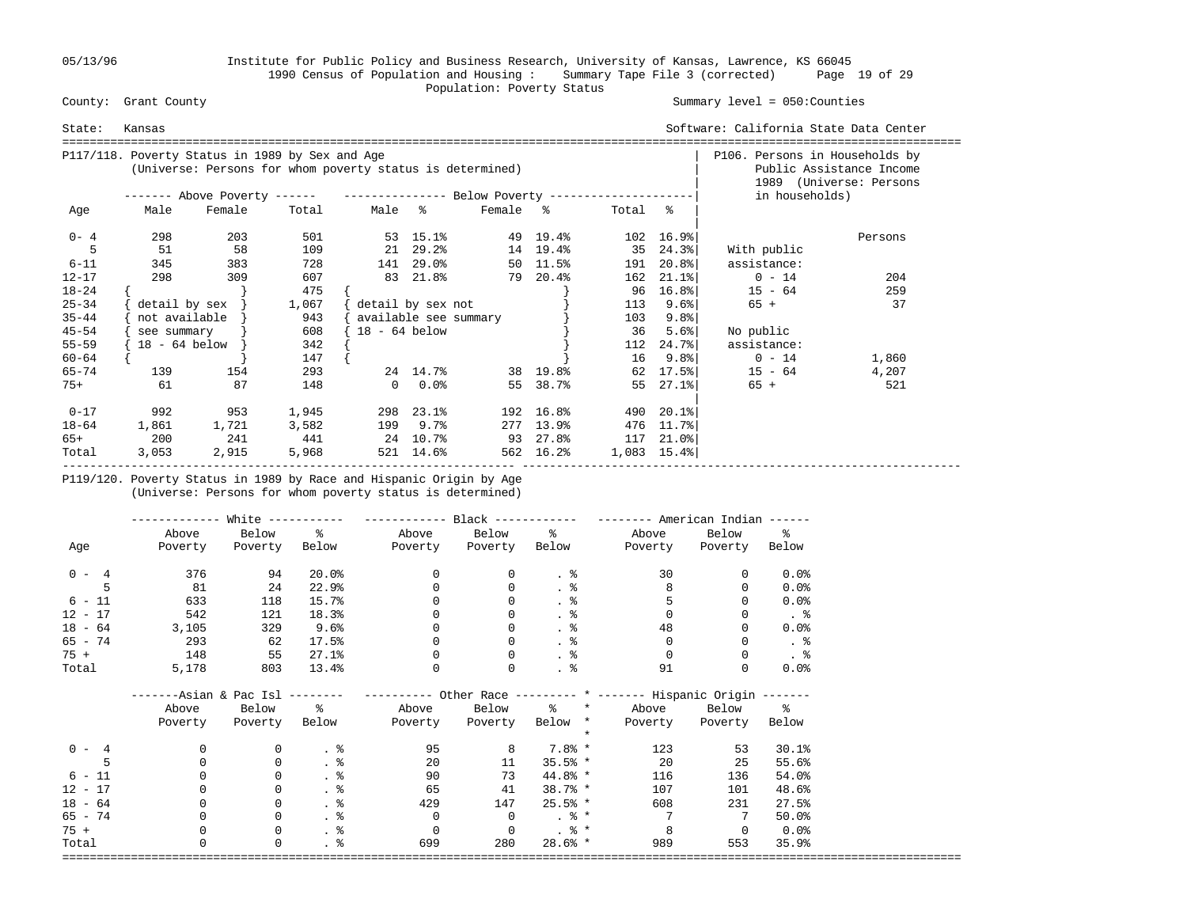05/13/96 Institute for Public Policy and Business Research, University of Kansas, Lawrence, KS 66045 1990 Census of Population and Housing : Summary Tape File 3 (corrected) Page 19 of 29 Population: Poverty Status<br>
County: Grant County

### Summary level =  $050$ : Counties

| State:    | Kansas        |                                                                                                              |       |                 |                       | Software: California State Data Center |                                                     |         |                              |                  |         |
|-----------|---------------|--------------------------------------------------------------------------------------------------------------|-------|-----------------|-----------------------|----------------------------------------|-----------------------------------------------------|---------|------------------------------|------------------|---------|
|           |               | P117/118. Poverty Status in 1989 by Sex and Age<br>(Universe: Persons for whom poverty status is determined) |       |                 |                       | P106. Persons in Households by         | Public Assistance Income<br>1989 (Universe: Persons |         |                              |                  |         |
|           |               | ------- Above Poverty ------ ---------------- Below Poverty --------------------                             |       |                 |                       |                                        |                                                     |         |                              | in households)   |         |
| Age       | Male          | Female                                                                                                       | Total | Male %          |                       | Female %                               |                                                     | Total % |                              |                  |         |
| $0 - 4$   | 298           | 203                                                                                                          | 501   |                 | 53 15.1%              |                                        | 49 19.4%                                            |         | 102 16.9%                    |                  | Persons |
|           | 51            | 58                                                                                                           | 109   |                 | 21 29.2%              |                                        | 14 19.4%                                            |         | 35 24.3%                     | With public      |         |
| $6 - 11$  | 345           | 383                                                                                                          | 728   |                 | 141 29.0%             |                                        | 50 11.5%                                            |         | 191 20.8%                    | assistance:      |         |
| $12 - 17$ | 298           | 309                                                                                                          | 607   |                 | 83 21.8%              |                                        | 79 20.4%                                            | 162     | $21.1$ $8$                   | $0 - 14$         | 204     |
| $18 - 24$ |               |                                                                                                              | 475   |                 |                       |                                        |                                                     | 96      | $16.8$ $ $                   | $15 - 64$        | 259     |
| $25 - 34$ |               | $\text{detail by sex }$                                                                                      | 1,067 |                 | detail by sex not     |                                        |                                                     | 113     | 9.6%                         | $65 +$           | 37      |
| $35 - 44$ | not available |                                                                                                              | 943   |                 | available see summary |                                        |                                                     | 103     | 9.8%                         |                  |         |
| $45 - 54$ | see summary   |                                                                                                              | 608   | $18 - 64$ below |                       |                                        |                                                     | 36      | 5.6%                         | No public        |         |
| $55 - 59$ | 18 - 64 below |                                                                                                              | 342   |                 |                       |                                        |                                                     | 112     | $24.7$ °                     | assistance:      |         |
| $60 - 64$ |               |                                                                                                              | 147   |                 |                       |                                        |                                                     | 16      | 9.8%                         | $0 - 14$         | 1,860   |
| $65 - 74$ | 139           | 154                                                                                                          | 293   |                 |                       | 24 14.7% 38 19.8%                      |                                                     | 62      |                              | $17.5\%$ 15 - 64 | 4,207   |
| $75+$     | 61            | 87                                                                                                           | 148   |                 | $0.0$ %               |                                        | 55 38.7%                                            |         | $55 \quad 27.1$ <sup>8</sup> | $65 +$           | 521     |
| $0 - 17$  | 992           | 953                                                                                                          | 1,945 |                 | 298 23.1%             |                                        | 192 16.8%                                           |         | 490 20.1%                    |                  |         |
| $18 - 64$ | 1,861         | 1,721                                                                                                        | 3,582 |                 | 199 9.7%              |                                        | 277 13.9%                                           | 476     | 11.7%                        |                  |         |
| 65+       | 200           | 241                                                                                                          | 441   | 24 10.7%        |                       |                                        | 93 27.8%                                            |         | 117 21.0%                    |                  |         |
| Total     | 3,053         | 2,915                                                                                                        | 5,968 |                 | 521 14.6%             |                                        | 562 16.2%                                           |         | $1,083$ 15.4%                |                  |         |

 P119/120. Poverty Status in 1989 by Race and Hispanic Origin by Age (Universe: Persons for whom poverty status is determined)

|           | ----------- | White $------$ |                       |                                                                                                   |                |                 | $------$ American Indian $---$ |                |                     |
|-----------|-------------|----------------|-----------------------|---------------------------------------------------------------------------------------------------|----------------|-----------------|--------------------------------|----------------|---------------------|
|           | Above       | Below          | $\sim$ 8              |                                                                                                   | Above Below %  |                 | Above                          | Below          | $\frac{1}{6}$       |
| Age       | Poverty     | Poverty        |                       | Below Poverty Poverty Below                                                                       |                |                 | Poverty                        | Poverty Below  |                     |
| $0 - 4$   | 376         | 94             | 20.0%                 | $\mathbf{0}$                                                                                      | 0              | . 응             | 30                             | 0              | $0.0$ $8$           |
|           | 81          | 24             | 22.9%                 | 0                                                                                                 | 0              | . $\frac{6}{6}$ | 8                              |                | 0.0%                |
| $6 - 11$  | 633         | 118            | 15.7%                 |                                                                                                   | $\Omega$       | . $\frac{6}{6}$ |                                |                | 0.0%                |
| $12 - 17$ | 542         | 121            | 18.3%                 |                                                                                                   | $\Omega$       | . $\frac{6}{9}$ | $\Omega$                       |                | . 응                 |
| $18 - 64$ | 3,105       | 329            | 9.6%                  | $\Omega$                                                                                          | $\Omega$       | $\frac{8}{3}$   | 48                             | $\Omega$       | 0.0%                |
| 65 - 74   | 293         | 62             | 17.5%                 | $\Omega$                                                                                          | $\Omega$       | . 응             | $\Omega$                       | $\Omega$       | . 응                 |
| $75 +$    | 148         | 55             | 27.1%                 | 0                                                                                                 | 0              | $\cdot$ %       | 0                              |                | .8                  |
| Total     | 5,178       | 803            | 13.4%                 | 0                                                                                                 | 0              | . $\frac{6}{6}$ | 91                             |                | 0.0%                |
|           |             |                |                       | -------Asian & Pac Isl -------- ---------- Other Race --------- * ------- Hispanic Origin ------- |                |                 |                                |                |                     |
|           | Above       | Below          | $\frac{1}{6}$         |                                                                                                   | Above Below    |                 | % * Above Below %              |                |                     |
|           | Poverty     | Poverty        | Below                 | Poverty                                                                                           | Poverty        | Below *         | Poverty                        | Poverty Below  |                     |
|           |             |                |                       |                                                                                                   |                | $\star$         |                                |                |                     |
| $0 - 4$   | 0           | 0              | $\cdot$ %             | 95                                                                                                | 8              | 7.8% *          | 123                            | 53             | 30.1%               |
|           | 0           | $\mathbf 0$    | $\frac{8}{3}$         | 20                                                                                                | 11             | $35.5%$ *       | 20                             | 25             | 55.6%               |
| $6 - 11$  |             | $\mathbf 0$    | $\frac{8}{3}$         | 90                                                                                                | 73             | $44.8%*$        | 116                            | 136            | 54.0%               |
| $12 - 17$ |             | 0              | $\cdot$ %             | 65                                                                                                | 41             | $38.7%$ *       | 107                            | 101            | 48.6%               |
| $18 - 64$ |             | $\mathbf 0$    | $\frac{8}{3}$         | 429                                                                                               | 147            | $25.5%$ *       | 608                            | 231            | 27.5%               |
| $65 - 74$ |             | 0              | . 응                   | $\overline{0}$                                                                                    | $\overline{0}$ | $.8*$           | 7                              | 7              | $50.0$ <sup>8</sup> |
| $75 +$    |             | $\mathbf 0$    | $\frac{8}{100}$       | $\mathbf 0$                                                                                       | $\overline{0}$ | $. \circ$ *     | 8                              | $\overline{0}$ | 0.0%                |
| Total     | $\Omega$    | $\mathbf 0$    | $\cdot$ $\frac{8}{6}$ | 699                                                                                               | 280            | $28.6%$ *       | 989                            | 553            | 35.9%               |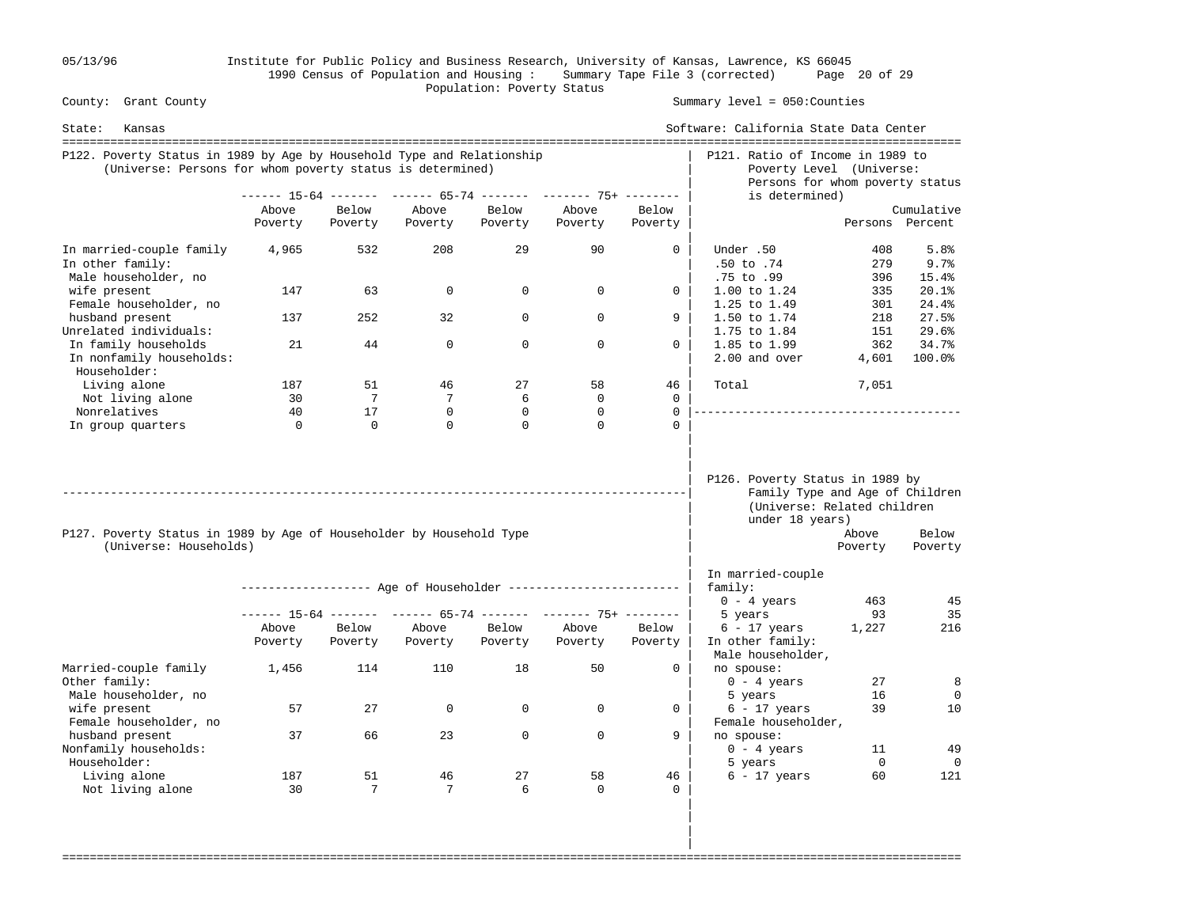05/13/96 Institute for Public Policy and Business Research, University of Kansas, Lawrence, KS 66045 1990 Census of Population and Housing : Summary Tape File 3 (corrected) Page 20 of 29 Population: Poverty Status<br>
County: Grant County

Summary level =  $050$ : Counties

| State:<br>Kansas                                                                                                                    |                  |                  |                  |                  |                                                                |                  | Software: California State Data Center                                                                               |                   |                       |
|-------------------------------------------------------------------------------------------------------------------------------------|------------------|------------------|------------------|------------------|----------------------------------------------------------------|------------------|----------------------------------------------------------------------------------------------------------------------|-------------------|-----------------------|
| P122. Poverty Status in 1989 by Age by Household Type and Relationship<br>(Universe: Persons for whom poverty status is determined) |                  |                  |                  |                  |                                                                |                  | P121. Ratio of Income in 1989 to<br>Poverty Level (Universe:<br>Persons for whom poverty status                      |                   |                       |
|                                                                                                                                     |                  |                  |                  |                  | ------ 15-64 ------- ------ 65-74 ------- ------- 75+ -------  |                  | is determined)                                                                                                       |                   |                       |
|                                                                                                                                     | Above            | Below            | Above            | Below            | Above                                                          | Below            |                                                                                                                      |                   | Cumulative            |
|                                                                                                                                     | Poverty          | Poverty          | Poverty          | Poverty          | Poverty                                                        | Poverty          |                                                                                                                      |                   | Persons Percent       |
| In married-couple family<br>In other family:<br>Male householder, no                                                                | 4,965            | 532              | 208              | 29               | 90                                                             | $\Omega$         | Under .50<br>$.50$ to $.74$<br>.75 to .99                                                                            | 408<br>279<br>396 | 5.8%<br>9.7%<br>15.4% |
| wife present<br>Female householder, no                                                                                              | 147              | 63               | 0                | $\mathbf 0$      | $\Omega$                                                       | $\Omega$         | 1.00 to 1.24<br>1.25 to 1.49                                                                                         | 335<br>301        | 20.1%<br>24.4%        |
| husband present<br>Unrelated individuals:                                                                                           | 137              | 252              | 32               | $\Omega$         | $\Omega$                                                       | 9                | 1.50 to 1.74<br>1.75 to 1.84                                                                                         | 218<br>151        | 27.5%<br>29.6%        |
| In family households<br>In nonfamily households:<br>Householder:                                                                    | 21               | 44               | $\Omega$         | $\Omega$         | $\Omega$                                                       | $\Omega$         | 1.85 to 1.99<br>2.00 and over                                                                                        | 362<br>4,601      | 34.7%<br>100.0%       |
| Living alone                                                                                                                        | 187              | 51               | 46               | 27               | 58                                                             | 46               | Total                                                                                                                | 7,051             |                       |
| Not living alone                                                                                                                    | 30               | 7                | 7                | 6                | $\mathbf{0}$                                                   | $\mathbf 0$      |                                                                                                                      |                   |                       |
| Nonrelatives                                                                                                                        | 40               | 17               | $\Omega$         | $\mathbf 0$      | $\mathbf 0$                                                    | $\Omega$         |                                                                                                                      |                   |                       |
| In group quarters                                                                                                                   | $\Omega$         | $\Omega$         | $\Omega$         | $\Omega$         | $\Omega$                                                       | $\Omega$         |                                                                                                                      |                   |                       |
| P127. Poverty Status in 1989 by Age of Householder by Household Type<br>(Universe: Households)                                      |                  |                  |                  |                  |                                                                |                  | P126. Poverty Status in 1989 by<br>Family Type and Age of Children<br>(Universe: Related children<br>under 18 years) | Above<br>Poverty  | Below<br>Poverty      |
|                                                                                                                                     |                  |                  |                  |                  |                                                                |                  | In married-couple                                                                                                    |                   |                       |
|                                                                                                                                     |                  |                  |                  |                  | ------------------ Age of Householder ------------------------ |                  | family:                                                                                                              |                   |                       |
|                                                                                                                                     |                  |                  |                  |                  |                                                                |                  | $0 - 4 \text{ years}$                                                                                                | 463               | 45                    |
|                                                                                                                                     |                  |                  |                  |                  | ------ 15-64 ------- ------ 65-74 ------- ------- 75+ -------- |                  | 5 years                                                                                                              | 93                | 35                    |
|                                                                                                                                     | Above<br>Poverty | Below<br>Poverty | Above<br>Poverty | Below<br>Poverty | Above<br>Poverty                                               | Below<br>Poverty | $6 - 17$ years<br>In other family:<br>Male householder,                                                              | 1,227             | 216                   |
| Married-couple family<br>Other family:                                                                                              | 1,456            | 114              | 110              | 18               | 50                                                             | $\mathbf{0}$     | no spouse:<br>$0 - 4$ years                                                                                          | 27                | 8                     |
| Male householder, no<br>wife present<br>Female householder, no                                                                      | 57               | 27               | $\Omega$         | $\Omega$         | $\Omega$                                                       | $\Omega$         | 5 years<br>$6 - 17$ years<br>Female householder,                                                                     | 16<br>39          | $\mathbf 0$<br>10     |
| husband present<br>Nonfamily households:<br>Householder:                                                                            | 37               | 66               | 23               | $\Omega$         | $\Omega$                                                       | 9                | no spouse:<br>$0 - 4 \text{ years}$                                                                                  | 11<br>$\mathbf 0$ | 49<br>$\mathbf 0$     |
| Living alone                                                                                                                        | 187              | 51               | 46               | 27               | 58                                                             | 46               | 5 years<br>$6 - 17$ years                                                                                            | 60                | 121                   |
| Not living alone                                                                                                                    | 30               | 7                | 7                | 6                | $\Omega$                                                       | $\mathbf 0$      |                                                                                                                      |                   |                       |

===================================================================================================================================

 | | |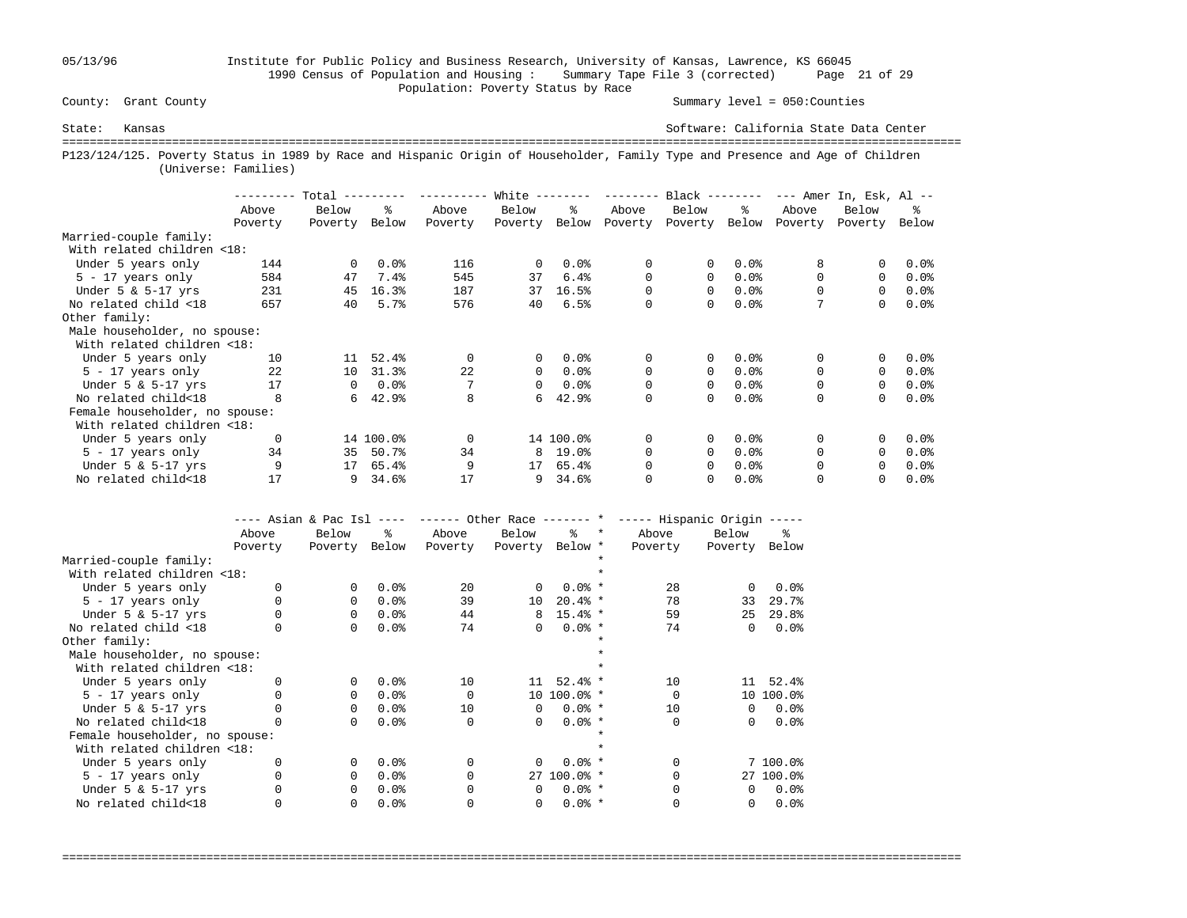## 05/13/96 Institute for Public Policy and Business Research, University of Kansas, Lawrence, KS 66045 1990 Census of Population and Housing : Summary Tape File 3 (corrected) Page 21 of 29 Population: Poverty Status by Race<br>
County: Grant County

Summary level =  $050$ : Counties

State: Kansas Software: California State Data Center =================================================================================================================================== P123/124/125. Poverty Status in 1989 by Race and Hispanic Origin of Householder, Family Type and Presence and Age of Children (Universe: Families)

|                                |          | Total    |           |          | White $--$   |           | $- - - - - - - -$ | $Black$ -------- |         |          | $---$ Amer In, Esk, Al $---$ |         |
|--------------------------------|----------|----------|-----------|----------|--------------|-----------|-------------------|------------------|---------|----------|------------------------------|---------|
|                                | Above    | Below    | °≈        | Above    | Below        | ዱ         | Above             | Below            | ႜ       | Above    | Below                        | ፠       |
|                                | Poverty  | Poverty  | Below     | Poverty  | Poverty      | Below     | Poverty           | Poverty          | Below   | Poverty  | Poverty                      | Below   |
| Married-couple family:         |          |          |           |          |              |           |                   |                  |         |          |                              |         |
| With related children <18:     |          |          |           |          |              |           |                   |                  |         |          |                              |         |
| Under 5 years only             | 144      | $\Omega$ | 0.0%      | 116      | $\Omega$     | $0.0$ %   | 0                 | 0                | 0.0%    | 8        | 0                            | 0.0%    |
| $5 - 17$ years only            | 584      | 47       | 7.4%      | 545      | 37           | 6.4%      | 0                 | $\Omega$         | 0.0%    | $\Omega$ | $\Omega$                     | $0.0$ % |
| Under $5 \& 5-17$ yrs          | 231      | 45       | 16.3%     | 187      | 37           | 16.5%     | $\Omega$          | 0                | 0.0%    | 0        | $\Omega$                     | $0.0$ % |
| No related child <18           | 657      | 40       | 5.7%      | 576      | 40           | 6.5%      | 0                 | 0                | 0.0%    | 7        | 0                            | 0.0%    |
| Other family:                  |          |          |           |          |              |           |                   |                  |         |          |                              |         |
| Male householder, no spouse:   |          |          |           |          |              |           |                   |                  |         |          |                              |         |
| With related children <18:     |          |          |           |          |              |           |                   |                  |         |          |                              |         |
| Under 5 years only             | 10       | 11       | 52.4%     | $\Omega$ | $\mathbf{0}$ | 0.0%      | 0                 | 0                | $0.0$ % | 0        | 0                            | 0.0%    |
| $5 - 17$ years only            | 22       | 10       | 31.3%     | 22       | $\Omega$     | $0.0$ $8$ | $\Omega$          | $\Omega$         | 0.0%    | $\Omega$ | $\Omega$                     | $0.0$ % |
| Under $5 \& 5-17$ yrs          | 17       | 0        | $0.0$ %   |          | $\Omega$     | $0.0$ %   | 0                 | 0                | 0.0%    | 0        | $\Omega$                     | $0.0$ % |
| No related child<18            | 8        | 6        | 42.9%     | 8        | б.           | 42.9%     | 0                 | 0                | 0.0%    | $\Omega$ | $\Omega$                     | 0.0%    |
| Female householder, no spouse: |          |          |           |          |              |           |                   |                  |         |          |                              |         |
| With related children <18:     |          |          |           |          |              |           |                   |                  |         |          |                              |         |
| Under 5 years only             | $\Omega$ |          | 14 100.0% | $\Omega$ |              | 14 100.0% | 0                 | 0                | 0.0%    | $\Omega$ |                              | 0.0%    |
| $5 - 17$ years only            | 34       | 35       | 50.7%     | 34       | 8            | 19.0%     | $\Omega$          | 0                | 0.0%    | $\Omega$ | $\Omega$                     | $0.0$ % |
| Under $5 \& 5-17$ yrs          | 9        | 17       | 65.4%     | 9        | 17           | 65.4%     | 0                 | 0                | 0.0%    | 0        | $\Omega$                     | 0.0%    |
| No related child<18            | 17       | 9        | 34.6%     | 17       | 9            | 34.6%     | 0                 | 0                | 0.0%    |          |                              | $0.0$ % |

|                                | ---- Asian & Pac Isl |          | $- - - - -$ | ------ Other Race ------- * |                 |              |         |              | ----- Hispanic Origin ----- |           |
|--------------------------------|----------------------|----------|-------------|-----------------------------|-----------------|--------------|---------|--------------|-----------------------------|-----------|
|                                | Above                | Below    | ፠           | Above                       | Below           | °≈           | $\star$ | Above        | Below                       | ⊱         |
|                                | Poverty              | Poverty  | Below       | Poverty                     | Poverty Below * |              |         | Poverty      | Poverty                     | Below     |
| Married-couple family:         |                      |          |             |                             |                 |              |         |              |                             |           |
| With related children <18:     |                      |          |             |                             |                 |              |         |              |                             |           |
| Under 5 years only             |                      | $\Omega$ | 0.0%        | $20^{\circ}$                | 0               | $0.0%$ *     |         | 28           | $\Omega$                    | 0.0%      |
| $5 - 17$ years only            |                      | 0        | 0.0%        | 39                          | 10              | $20.4%$ *    |         | 78           | 33                          | 29.7%     |
| Under $5 \& 5-17$ yrs          |                      | $\Omega$ | 0.0%        | 44                          | 8               | $15.4%$ *    |         | 59           | 25                          | 29.8%     |
| No related child <18           |                      | $\Omega$ | 0.0%        | 74                          | 0               | $0.0%$ *     |         | 74           | 0                           | 0.0%      |
| Other family:                  |                      |          |             |                             |                 |              |         |              |                             |           |
| Male householder, no spouse:   |                      |          |             |                             |                 |              |         |              |                             |           |
| With related children <18:     |                      |          |             |                             |                 |              |         |              |                             |           |
| Under 5 years only             |                      | $\Omega$ | 0.0%        | 10                          | 11              | $52.4%$ *    |         | 10           | 11                          | 52.4%     |
| $5 - 17$ years only            |                      | $\Omega$ | 0.0%        | $\Omega$                    |                 | 10 100.0% *  |         | <sup>0</sup> |                             | 10 100.0% |
| Under $5 \& 5-17$ yrs          |                      | $\Omega$ | 0.0%        | 10                          | $\Omega$        | $0.0%$ *     |         | 10           | $\Omega$                    | 0.0%      |
| No related child<18            |                      | $\Omega$ | 0.0%        | $\Omega$                    | $\Omega$        | $0.0%$ *     |         | U            | 0                           | 0.0%      |
| Female householder, no spouse: |                      |          |             |                             |                 |              |         |              |                             |           |
| With related children <18:     |                      |          |             |                             |                 |              |         |              |                             |           |
| Under 5 years only             |                      | $\Omega$ | 0.0%        | $\Omega$                    | $\Omega$        | $0.0%$ *     |         |              |                             | 7 100.0%  |
| 5 - 17 years only              |                      | $\Omega$ | 0.0%        | $\Omega$                    |                 | $27,100.0$ * |         |              |                             | 27 100.0% |
| Under $5 \& 5-17$ yrs          |                      | $\Omega$ | 0.0%        |                             | $\Omega$        | $0.0%$ *     |         |              | $\Omega$                    | 0.0%      |
| No related child<18            |                      | 0        | 0.0%        |                             | 0               | $0.0%$ *     |         |              | 0                           | 0.0%      |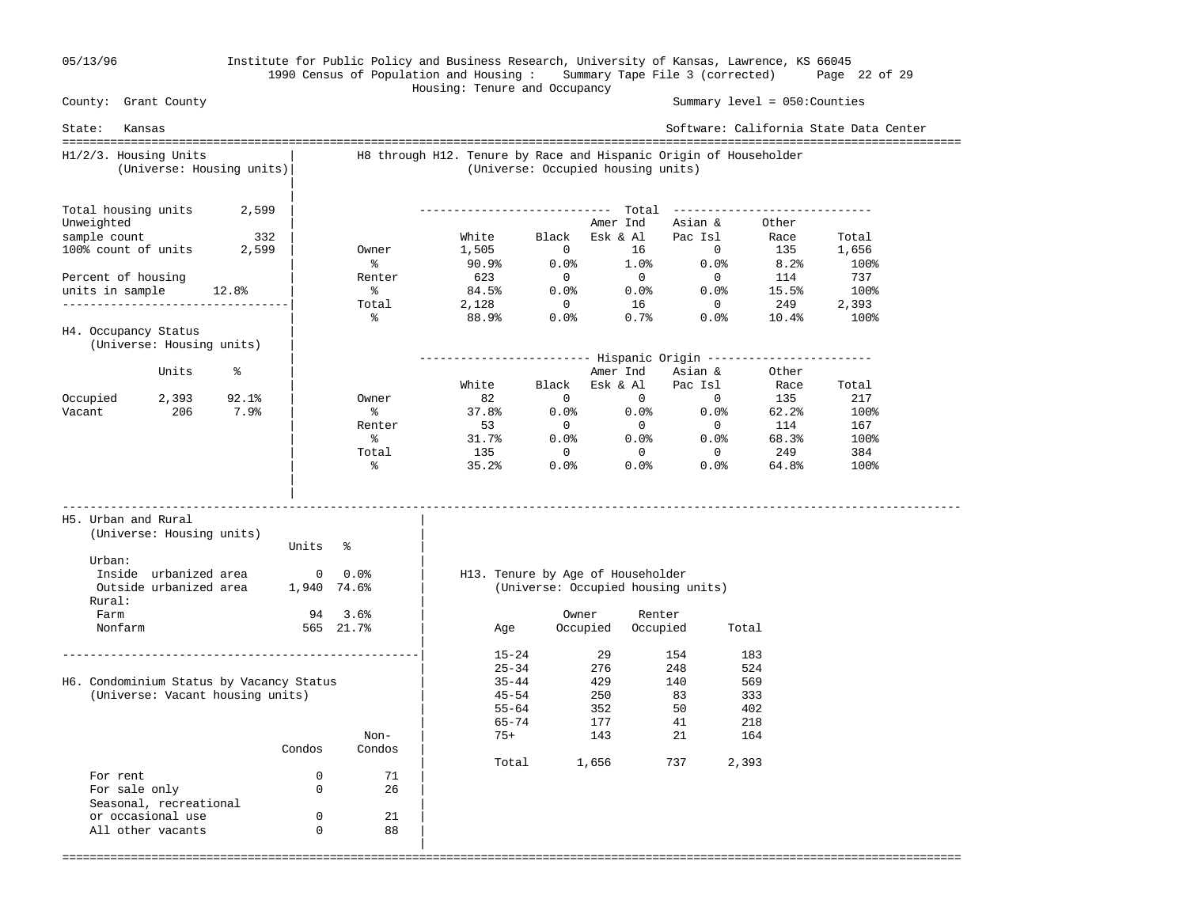|

### 05/13/96 Institute for Public Policy and Business Research, University of Kansas, Lawrence, KS 66045 1990 Census of Population and Housing : Summary Tape File 3 (corrected) Page 22 of 29 Housing: Tenure and Occupancy

 County: Grant County Summary level = 050:Counties State: Kansas Software: California State Data Center =================================================================================================================================== H1/2/3. Housing Units | H8 through H12. Tenure by Race and Hispanic Origin of Householder (Universe: Housing units)| (Universe: Occupied housing units) | Total housing units  $2,599$  | Total housing units 2,599 | ---------------------------- Total ----------------------------- Unweighted  $\begin{array}{c|cccc}\n\text{Unweighted} & & & \\
\text{sample count} & & 332 & & \\
\text{100% count of units} & 2,599 & & \\
\end{array}$  Owner  $\begin{array}{c|cccc}\n\text{White} & & \text{Black} & \text{Esk & A1} & \text{Pac Isl} & \text{Race} \\
\text{150% count of units} & 2,599 & & \\
\end{array}$  sample count 332 | White Black Esk & Al Pac Isl Race Total 100% count of units 2,599 | Owner 1,505 0 16 0 135 1,656 | % 90.9% 0.0% 1.0% 0.0% 8.2% 100% Percent of housing 1.599 | 1.505 0 0.0% 1.0% 0.0% 8.2% 100%<br>Percent of housing | Renter 623 0 0 0 114 737 units in sample 12.8% | % 84.5% 0.0% 0.0% 0.0% 15.5% 100% ---------------------------------| Total 2,128 0 16 0 249 2,393 | % 88.9% 0.0% 0.7% 0.0% 10.4% 100% H4. Occupancy Status (Universe: Housing units) | | ------------------------- Hispanic Origin ------------------------ % |<br>White Black Esk & Al Pacisl Race Total Race (1991)<br>December 2014 | White Black Esk & Al Pac Isl Race Total Occupied 2,393 92.1% | Owner 82 0 0 0<br>Vacant 206 7.9% | % 37.8% 0.0% 0.0% 0.0% Vacant 206 7.9% | % 37.8% 0.0% 0.0% 0.0% 62.2% 100%<br>Renter 53 0 0 0 114 167 | Renter 53 0 0 0 114 167  $\sim$  8 31.7% 0.0% 0.0% 68.3% 100% | Total 135 0 0 0 249 384  $\sim$  8 35.2% 0.0% 0.0% 64.8% 100% | | ----------------------------------------------------------------------------------------------------------------------------------- H5. Urban and Rural | (Universe: Housing units) | Units % Urban:  $\qquad \qquad \blacksquare$  Inside urbanized area 0 0.0% | H13. Tenure by Age of Householder Outside urbanized area 1,940 74.6% | (Universe: Occupied housing units) Rural: | Farm 94 3.6% | Owner Renter Nonfarm 565 21.7% | Age Occupied Occupied Total | ----------------------------------------------------| 15-24 29 154 183  $\begin{array}{|c|c|c|c|c|}\n\hline\n\text{25-34} & \text{276} & \text{248} & \text{524}\n\end{array}$ H6. Condominium Status by Vacancy Status | 35-44 429 140 569 (Universe: Vacant housing units)  $\begin{array}{ccc} | & 45-54 & 250 & 83 & 333 \\ | & 45-54 & 250 & 83 & 333 \\ 55-64 & 352 & 50 & 402 \\ \end{array}$  $|$  55-64 352 50 402 | 65-74 177 41 218 Non-  $\vert$  75+ 143 21 164 Condos Condos |  $\begin{array}{cccc} \n71 & 70 \text{t} & 1,656 & 737 & 2,393\n\end{array}$ For rent  $0$  71<br>For sale only  $0$  26 For sale only 0 26 | Seasonal, recreational or occasional use  $0$  21<br>all other vacants  $0$  88 All other vacants 0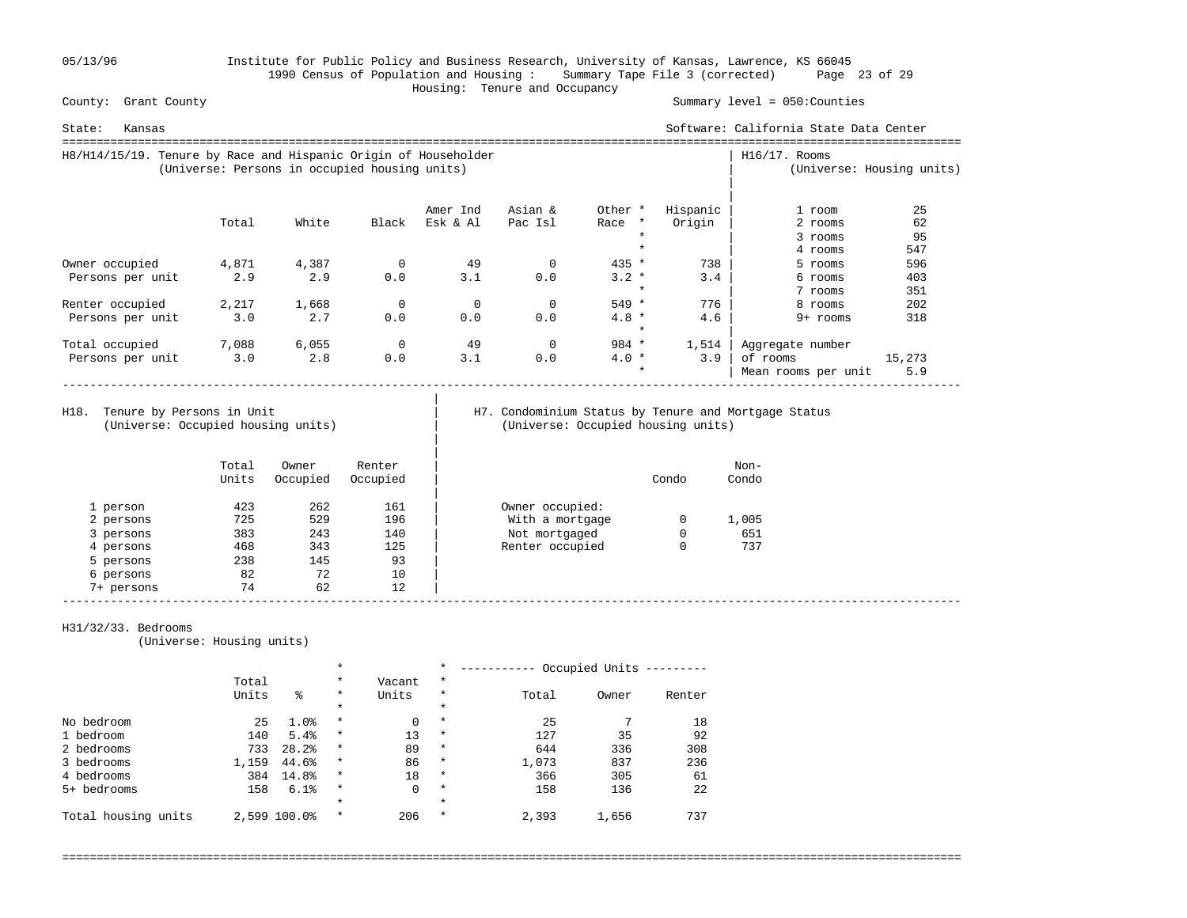05/13/96 Institute for Public Policy and Business Research, University of Kansas, Lawrence, KS 66045 1990 Census of Population and Housing : Summary Tape File 3 (corrected) Page 23 of 29 Housing: Tenure and Occupancy

Summary level =  $050$ : Counties

| Software: California State Data Center<br>State:<br>Kansas      |                                               |       |             |          |          |                    |          |                     |                           |  |
|-----------------------------------------------------------------|-----------------------------------------------|-------|-------------|----------|----------|--------------------|----------|---------------------|---------------------------|--|
| H8/H14/15/19. Tenure by Race and Hispanic Origin of Householder | (Universe: Persons in occupied housing units) |       |             |          |          |                    |          | $H16/17$ . Rooms    | (Universe: Housing units) |  |
|                                                                 |                                               |       |             | Amer Ind | Asian &  | Other *            | Hispanic | 1 room              | 25                        |  |
|                                                                 | Total                                         | White | Black       | Esk & Al | Pac Isl  | Race<br>$\star$    | Origin   | 2 rooms             | 62                        |  |
|                                                                 |                                               |       |             |          |          | $\star$            |          | 3 rooms             | 95                        |  |
|                                                                 |                                               |       |             |          |          | $\star$            |          | 4 rooms             | 547                       |  |
| Owner occupied                                                  | 4,871                                         | 4,387 | 0           | 49       | 0        | $435 *$            | 738      | 5 rooms             | 596                       |  |
| Persons per unit                                                | 2.9                                           | 2.9   | 0.0         | 3.1      | 0.0      | $3.2 *$            | 3.4      | 6 rooms             | 403                       |  |
|                                                                 |                                               |       |             |          |          | $\star$            |          | 7 rooms             | 351                       |  |
| Renter occupied                                                 | 2,217                                         | 1,668 | 0           | $\Omega$ | $\Omega$ | 549 *              | 776      | 8 rooms             | 202                       |  |
| Persons per unit                                                | 3.0                                           | 2.7   | 0.0         | 0.0      | 0.0      | $4.8 *$<br>$\star$ | 4.6      | $9+$ rooms          | 318                       |  |
| Total occupied                                                  | 7,088                                         | 6,055 | $\mathbf 0$ | 49       | 0        | $984 *$            | 1,514    | Aggregate number    |                           |  |
| Persons per unit                                                | 3.0                                           | 2.8   | 0.0         | 3.1      | 0.0      | $4.0*$             | 3.9      | of rooms            | 15,273                    |  |
|                                                                 |                                               |       |             |          |          | $\star$            |          | Mean rooms per unit | 5.9                       |  |

(Universe: Occupied housing units) | (Universe: Occupied housing units)

|

|

# H18. Tenure by Persons in Unit | H7. Condominium Status by Tenure and Mortgage Status (Universe: Occupied housing units)

|            | Total<br>Units | Owner<br>Occupied | Renter<br>Occupied |                 | Condo | Non-<br>Condo |
|------------|----------------|-------------------|--------------------|-----------------|-------|---------------|
| 1 person   | 423            | 262               | 161                | Owner occupied: |       |               |
| 2 persons  | 725            | 529               | 196                | With a mortgage | 0     | 1,005         |
| 3 persons  | 383            | 243               | 140                | Not mortgaged   | 0     | 651           |
| 4 persons  | 468            | 343               | 125                | Renter occupied |       | 737           |
| 5 persons  | 238            | 145               | 93                 |                 |       |               |
| 6 persons  | 82             | 72                | 10                 |                 |       |               |
| 7+ persons | 74             | 62                | 12                 |                 |       |               |

### H31/32/33. Bedrooms

(Universe: Housing units)

|                     | $\star$ |              |          | $\star$ | Occupied Units |       |       |        |
|---------------------|---------|--------------|----------|---------|----------------|-------|-------|--------|
|                     | Total   |              | $\star$  | Vacant  | $^\star$       |       |       |        |
|                     | Units   | ిక           | $\star$  | Units   | $\star$        | Total | Owner | Renter |
|                     |         |              | $\star$  |         | $\star$        |       |       |        |
| No bedroom          | 25      | 1.0%         | $\star$  | 0       | $\star$        | 25    |       | 18     |
| 1 bedroom           | 140     | 5.4%         | $^\star$ | 13      | $\star$        | 127   | 35    | 92     |
| 2 bedrooms          | 733     | 28.2%        | $\star$  | 89      | $\star$        | 644   | 336   | 308    |
| 3 bedrooms          | 1,159   | 44.6%        | $\star$  | 86      | $\star$        | 1,073 | 837   | 236    |
| 4 bedrooms          | 384     | 14.8%        | $\star$  | 18      | $\star$        | 366   | 305   | 61     |
| 5+ bedrooms         | 158     | 6.1%         | $\star$  | 0       | $\star$        | 158   | 136   | 22     |
|                     |         |              | $\star$  |         | $\star$        |       |       |        |
| Total housing units |         | 2,599 100.0% | $\star$  | 206     | $\star$        | 2,393 | 1,656 | 737    |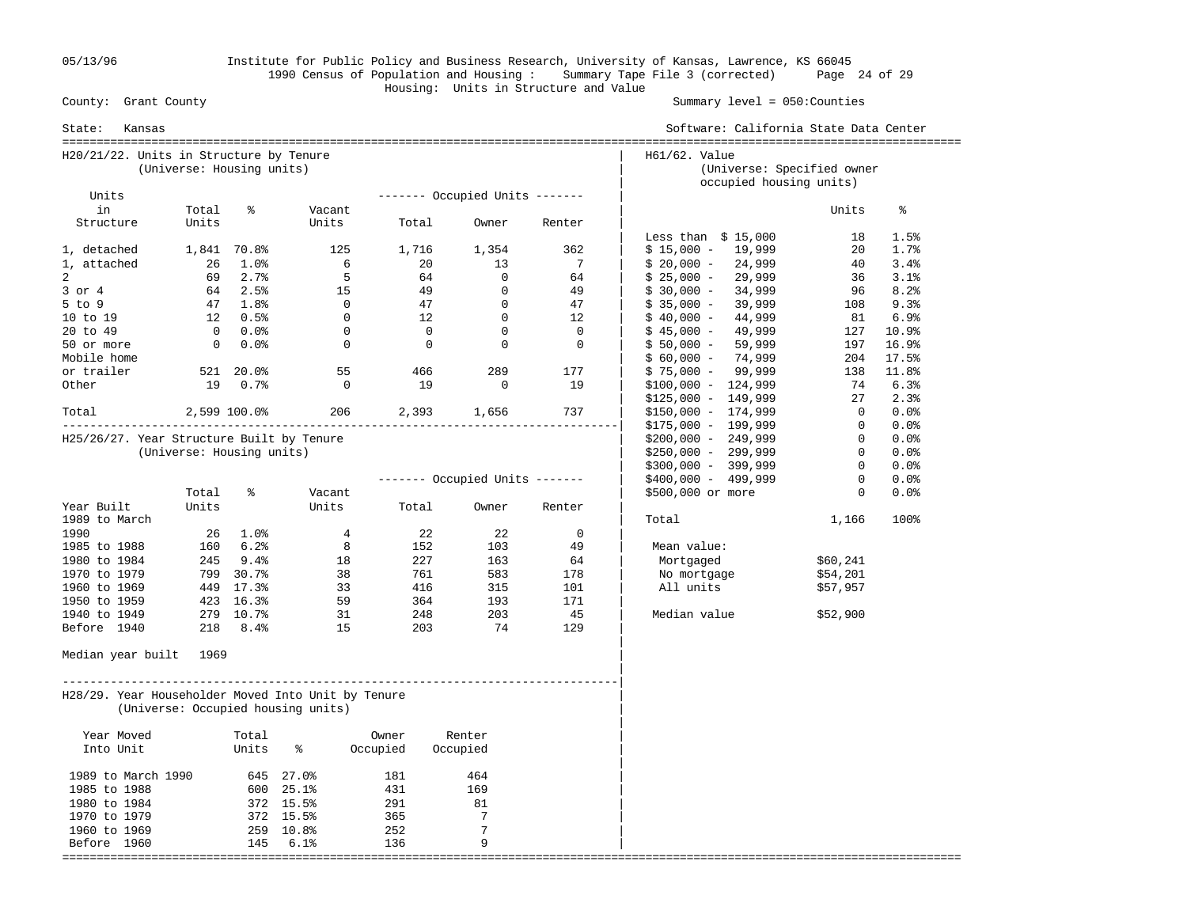05/13/96 Institute for Public Policy and Business Research, University of Kansas, Lawrence, KS 66045 1990 Census of Population and Housing : Summary Tape File 3 (corrected) Page 24 of 29 Housing: Units in Structure and Value

| State:<br>Kansas                                   |                                                                      |                                    |                                    |                |                                |               | Software: California State Data Center                |                |           |  |
|----------------------------------------------------|----------------------------------------------------------------------|------------------------------------|------------------------------------|----------------|--------------------------------|---------------|-------------------------------------------------------|----------------|-----------|--|
|                                                    | H20/21/22. Units in Structure by Tenure<br>(Universe: Housing units) |                                    |                                    |                |                                | H61/62. Value | (Universe: Specified owner<br>occupied housing units) |                |           |  |
| Units                                              |                                                                      |                                    |                                    |                | ------- Occupied Units ------- |               |                                                       |                |           |  |
| in                                                 | Total                                                                | ႜ                                  | Vacant                             |                |                                |               |                                                       | Units          | ႜ         |  |
| Structure                                          | Units                                                                |                                    | Units                              | Total          | Owner                          | Renter        |                                                       |                |           |  |
|                                                    |                                                                      |                                    |                                    |                |                                |               | Less than $$15,000$                                   | 18             | 1.5%      |  |
| 1, detached                                        |                                                                      | 1,841 70.8%                        | 125                                | 1,716          | 1,354                          | 362           | $$15,000 - 19,999$                                    | 20             | 1.7%      |  |
| 1, attached                                        | 26                                                                   | $1.0\%$                            | 6                                  | 20             | 13                             | 7             | $$20,000 - 24,999$                                    | 40             | 3.4%      |  |
| $\overline{2}$                                     | 69                                                                   | 2.7%                               | $5^{\circ}$                        | 64             | $\overline{0}$                 | 64            | $$25,000 -$<br>29,999                                 | 36             | 3.1%      |  |
| $3$ or $4$                                         |                                                                      | 64 2.5%                            | 15                                 | 49             | $\overline{0}$                 | 49            | $$30,000 - 34,999$                                    | 96             | 8.2%      |  |
| $5$ to $9$                                         |                                                                      | 47 1.8%                            | $\overline{0}$                     | 47             | $\overline{0}$                 | 47            | $$35,000 -$<br>39,999                                 | 108            | 9.3%      |  |
| 10 to 19                                           |                                                                      | $12 \t 0.5\}$                      | $\overline{0}$                     | 12             | $\overline{0}$                 | 12            | $$40,000 -$<br>44,999                                 | 81             | 6.9%      |  |
| 20 to 49                                           |                                                                      | $0.0\%$                            | $\Omega$                           | $\bigcirc$     | $\overline{0}$                 | $\Omega$      | 49,999<br>$$45,000 -$                                 |                | 127 10.9% |  |
| 50 or more                                         | $\overline{0}$                                                       | $0.0\%$                            | $\overline{0}$                     | $\overline{0}$ | $\overline{0}$                 | $\mathbf 0$   | $$50,000 -$<br>59,999                                 | 197            | 16.9%     |  |
| Mobile home                                        |                                                                      |                                    |                                    |                |                                |               | $$60,000 -$<br>74,999                                 | 204            | 17.5%     |  |
| or trailer                                         |                                                                      | 521 20.0%                          | 55                                 | 466            | 289                            | 177           | $$75,000 - 99,999$                                    | 138            | 11.8%     |  |
| Other                                              | 19                                                                   | 0.7%                               | $\Omega$                           | 19             | $\overline{0}$                 | 19            | $$100,000 - 124,999$                                  | 74             | 6.3%      |  |
|                                                    |                                                                      |                                    |                                    |                |                                |               | $$125,000 - 149,999$                                  | 27             | 2.3%      |  |
| Total                                              | 2,599 100.0%                                                         |                                    | 206                                | 2,393          | 1,656                          | 737           | $$150,000 - 174,999$                                  | $\overline{0}$ | 0.0%      |  |
|                                                    |                                                                      |                                    |                                    |                |                                |               | $$175,000 - 199,999$                                  | $\overline{0}$ | 0.0%      |  |
| H25/26/27. Year Structure Built by Tenure          |                                                                      |                                    |                                    |                |                                |               | $$200,000 - 249,999$                                  | $\overline{0}$ | 0.0%      |  |
|                                                    | (Universe: Housing units)                                            |                                    |                                    |                |                                |               | $$250,000 - 299,999$                                  | $\overline{0}$ | 0.0%      |  |
|                                                    |                                                                      |                                    |                                    |                |                                |               | $$300,000 - 399,999$                                  | $\overline{0}$ | $0.0$ %   |  |
|                                                    |                                                                      |                                    |                                    |                | ------- Occupied Units ------- |               | \$400,000 - 499,999                                   | $\Omega$       | 0.0%      |  |
|                                                    | Total                                                                | ి                                  | Vacant                             |                |                                |               | \$500,000 or more                                     | $\mathbf{0}$   | 0.0%      |  |
| Year Built                                         | Units                                                                |                                    | Units                              | Total          | Owner                          | Renter        |                                                       |                |           |  |
| 1989 to March                                      |                                                                      |                                    |                                    |                |                                | $\mathbf 0$   | Total                                                 | 1,166          | 100%      |  |
| 1990<br>1985 to 1988                               |                                                                      | $26 \t1.0$ <sup>2</sup><br>160 6.2 | $\overline{4}$<br>8 <sup>8</sup>   | 22<br>152      | 22<br>103                      | 49            | Mean value:                                           |                |           |  |
| 1980 to 1984                                       |                                                                      | 245 9.4%                           | 18                                 | 227            | 163                            | 64            | Mortgaged                                             | \$60,241       |           |  |
| 1970 to 1979                                       |                                                                      | 799 30.7%                          | 38                                 | 761            | 583                            | 178           | No mortgage                                           | \$54,201       |           |  |
| 1960 to 1969                                       |                                                                      | 449 17.3%                          | 33                                 | 416            | 315                            | 101           | All units                                             | \$57,957       |           |  |
| 1950 to 1959                                       |                                                                      | 423 16.3%                          | 59                                 | 364            | 193                            | 171           |                                                       |                |           |  |
| 1940 to 1949                                       |                                                                      | 279 10.7%                          | 31                                 | 248            | 203                            | 45            | Median value                                          | \$52,900       |           |  |
| Before 1940                                        |                                                                      | 218 8.4%                           | 15                                 | 203            | 74                             | 129           |                                                       |                |           |  |
| Median year built                                  | 1969                                                                 |                                    |                                    |                |                                |               |                                                       |                |           |  |
| H28/29. Year Householder Moved Into Unit by Tenure |                                                                      |                                    | (Universe: Occupied housing units) |                |                                |               |                                                       |                |           |  |
| Year Moved                                         |                                                                      | Total                              |                                    | Owner          | Renter                         |               |                                                       |                |           |  |
| Into Unit                                          |                                                                      | Units                              | ႜ                                  | Occupied       | Occupied                       |               |                                                       |                |           |  |
| 1989 to March 1990                                 |                                                                      |                                    | 645 27.0%                          | 181            | 464                            |               |                                                       |                |           |  |
| 1985 to 1988                                       |                                                                      |                                    | 600 25.1%                          | 431            | 169                            |               |                                                       |                |           |  |
| 1980 to 1984                                       |                                                                      |                                    | 372 15.5%                          | 291            | 81                             |               |                                                       |                |           |  |
| 1970 to 1979                                       |                                                                      |                                    | 372 15.5%                          | 365            | 7                              |               |                                                       |                |           |  |
| 1960 to 1969                                       |                                                                      |                                    | 259 10.8%                          | 252            | $7\phantom{.0}$                |               |                                                       |                |           |  |
| Before 1960                                        |                                                                      |                                    | $145$ 6.1%                         | 136            | 9                              |               |                                                       |                |           |  |
|                                                    |                                                                      |                                    |                                    |                |                                |               |                                                       |                |           |  |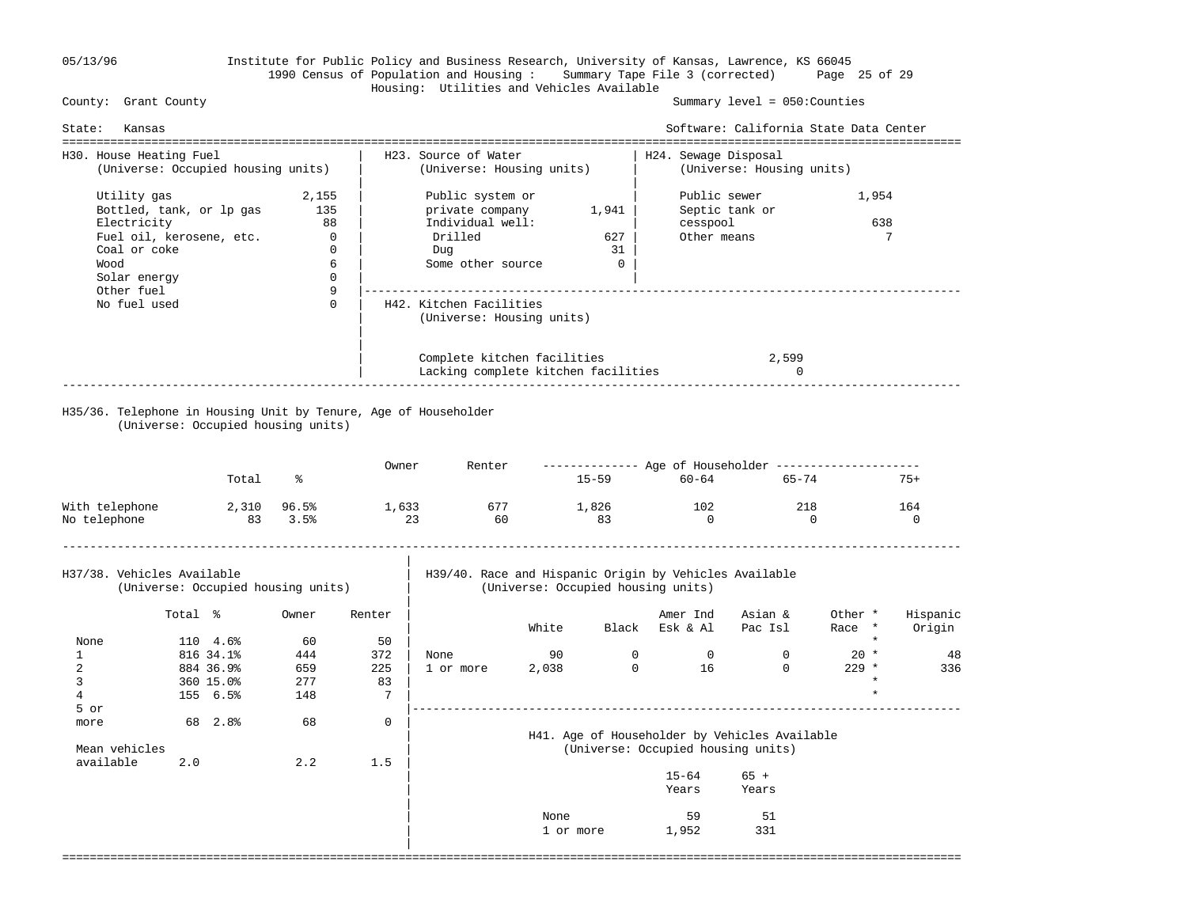|

## 05/13/96 Institute for Public Policy and Business Research, University of Kansas, Lawrence, KS 66045 1990 Census of Population and Housing : Summary Tape File 3 (corrected) Page 25 of 29 Housing: Utilities and Vehicles Available

### Summary level =  $050$ : Counties

| Kansas<br>State:                                                                                                                         |                                                                          |                                                                                                        |                                      |                                                                    |                    | Software: California State Data Center             |  |
|------------------------------------------------------------------------------------------------------------------------------------------|--------------------------------------------------------------------------|--------------------------------------------------------------------------------------------------------|--------------------------------------|--------------------------------------------------------------------|--------------------|----------------------------------------------------|--|
| H30. House Heating Fuel<br>(Universe: Occupied housing units)                                                                            |                                                                          | H23. Source of Water<br>H24. Sewage Disposal<br>(Universe: Housing units)<br>(Universe: Housing units) |                                      |                                                                    |                    |                                                    |  |
| Utility gas<br>Bottled, tank, or lp gas<br>Electricity<br>Fuel oil, kerosene, etc.<br>Coal or coke<br>Wood<br>Solar energy<br>Other fuel | 2,155<br>135<br>88<br>$\overline{0}$<br>$\mathbf{0}$<br>6<br>$\mathbf 0$ | Public system or<br>private company<br>Individual well:<br>Drilled<br>Dug<br>Some other source         | 1,941<br>627<br>31<br>$\overline{0}$ | Public sewer<br>Septic tank or<br>cesspool<br>Other means          |                    | 1,954<br>638<br>7                                  |  |
| No fuel used                                                                                                                             | 9<br>$\Omega$                                                            | H42. Kitchen Facilities<br>(Universe: Housing units)                                                   |                                      |                                                                    |                    |                                                    |  |
| H35/36. Telephone in Housing Unit by Tenure, Age of Householder<br>(Universe: Occupied housing units)                                    |                                                                          | Complete kitchen facilities<br>Lacking complete kitchen facilities                                     |                                      |                                                                    | 2,599<br>$\Omega$  |                                                    |  |
| Total                                                                                                                                    | ፠                                                                        | Owner<br>Renter                                                                                        | $15 - 59$                            | ------------- Age of Householder --------------------<br>$60 - 64$ | 65-74              | $75+$                                              |  |
| With telephone<br>2,310 96.5%<br>No telephone<br>83 3.5%                                                                                 |                                                                          | 1,633<br>677<br>23<br>60                                                                               | 1,826<br>83                          | 102<br>$\Omega$                                                    | 218<br>$\Omega$    | 164<br>$\Omega$                                    |  |
| H37/38. Vehicles Available<br>(Universe: Occupied housing units)                                                                         |                                                                          | H39/40. Race and Hispanic Origin by Vehicles Available<br>(Universe: Occupied housing units)           |                                      |                                                                    |                    |                                                    |  |
| Total %<br>110 4.6%<br>None                                                                                                              | Owner<br>Renter<br>60<br>50                                              | White                                                                                                  | Black                                | Amer Ind<br>Esk & Al                                               | Asian &<br>Pac Isl | Hispanic<br>Other *<br>Origin<br>Race *<br>$\star$ |  |

|               | 816 34.1% |      | 444 | 372         | None      | 90    |                                    |           |                                               | $20 *$  |         | 48  |
|---------------|-----------|------|-----|-------------|-----------|-------|------------------------------------|-----------|-----------------------------------------------|---------|---------|-----|
|               | 884 36.9% |      | 659 | 225         | 1 or more | 2,038 | 0                                  | 16        | 0                                             | $229$ * |         | 336 |
|               | 360 15.0% |      | 277 | 83          |           |       |                                    |           |                                               |         | *       |     |
|               | 155 6.5%  |      | 148 |             |           |       |                                    |           |                                               |         | $\star$ |     |
| 5 or          |           |      |     |             |           |       |                                    |           |                                               |         |         |     |
| more          | 68        | 2.8% | 68  | $\mathbf 0$ |           |       |                                    |           |                                               |         |         |     |
|               |           |      |     |             |           |       |                                    |           | H41. Age of Householder by Vehicles Available |         |         |     |
| Mean vehicles |           |      |     |             |           |       | (Universe: Occupied housing units) |           |                                               |         |         |     |
| available     | 2.0       |      | 2.2 | 1.5         |           |       |                                    |           |                                               |         |         |     |
|               |           |      |     |             |           |       |                                    | $15 - 64$ | $65 +$                                        |         |         |     |
|               |           |      |     |             |           |       |                                    | Years     | Years                                         |         |         |     |
|               |           |      |     |             |           |       |                                    |           |                                               |         |         |     |
|               |           |      |     |             |           |       |                                    | $  -$     | $ -$                                          |         |         |     |

| None 59 51 September 2016 1997 51 September 2016 1997 51 September 2017 51 September 2017 51 September 2017 51 September 2017 51 September 2017 51 September 2017 51 September 2017 51 September 2017 51 September 2017 51 S | 1 or more 1,952 331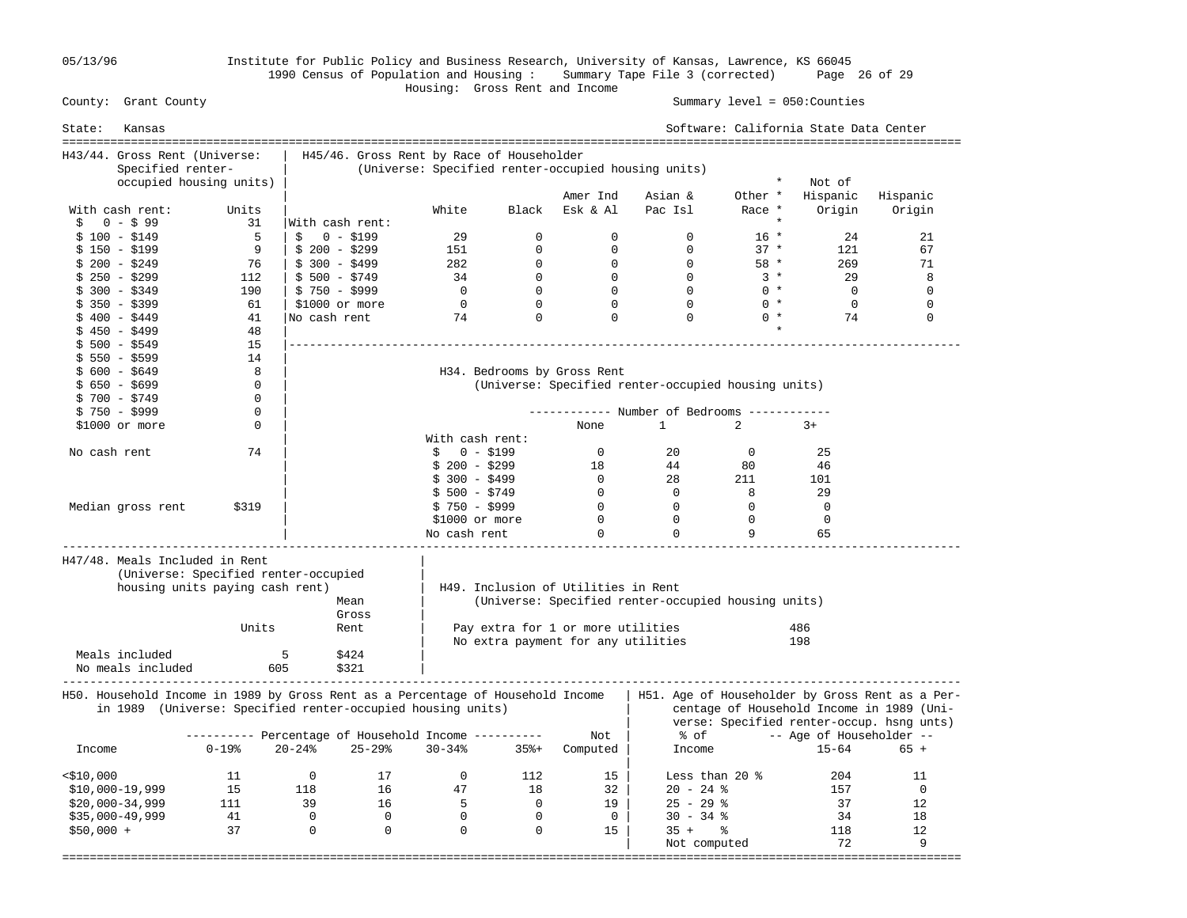05/13/96 Institute for Public Policy and Business Research, University of Kansas, Lawrence, KS 66045 1990 Census of Population and Housing : Summary Tape File 3 (corrected) Page 26 of 29

### Housing: Gross Rent and Income Summary level =  $050$ : Counties

| State:<br>Kansas                                                                |                                                                         |                          |                                           |                 |                |                                     |                                                     |                | Software: California State Data Center |                                                                                                                                           |
|---------------------------------------------------------------------------------|-------------------------------------------------------------------------|--------------------------|-------------------------------------------|-----------------|----------------|-------------------------------------|-----------------------------------------------------|----------------|----------------------------------------|-------------------------------------------------------------------------------------------------------------------------------------------|
| H43/44. Gross Rent (Universe:                                                   |                                                                         |                          | H45/46. Gross Rent by Race of Householder |                 |                |                                     |                                                     |                |                                        |                                                                                                                                           |
| Specified renter-                                                               |                                                                         |                          |                                           |                 |                |                                     | (Universe: Specified renter-occupied housing units) |                |                                        |                                                                                                                                           |
|                                                                                 | occupied housing units)                                                 |                          |                                           |                 |                |                                     |                                                     | $^\star$       | Not of                                 |                                                                                                                                           |
|                                                                                 |                                                                         |                          |                                           |                 |                | Amer Ind                            | Asian &                                             | Other *        | Hispanic                               | Hispanic                                                                                                                                  |
| With cash rent:                                                                 | Units                                                                   |                          |                                           | White           | Black          | Esk & Al                            | Pac Isl                                             | Race *         | Origin                                 | Origin                                                                                                                                    |
| \$<br>0 - \$99                                                                  | 31                                                                      | With cash rent:          |                                           |                 |                |                                     |                                                     | $\star$        |                                        |                                                                                                                                           |
| $$100 - $149$                                                                   | 5                                                                       | \$                       | $0 - $199$                                | 29              | $\Omega$       | $\Omega$                            | $\Omega$                                            | $16 *$         | 24                                     | 21                                                                                                                                        |
| $$150 - $199$                                                                   | 9                                                                       | $$200 - $299$            |                                           | 151             | $\mathbf 0$    | $\mathbf 0$                         | $\mathbf{0}$                                        | $37 *$         | 121                                    | 67                                                                                                                                        |
| $$200 - $249$                                                                   | - 76                                                                    | $$300 - $499$            |                                           | 282             | $\mathbf{0}$   | $\mathbf 0$                         | $\Omega$                                            | 58 *           | 269                                    | 71                                                                                                                                        |
| $$250 - $299$                                                                   | 112                                                                     | $$500 - $749$            |                                           | 34              | $\mathbf 0$    | $\overline{0}$                      | $\overline{0}$                                      | $3 *$          | 29                                     | 8                                                                                                                                         |
| $$300 - $349$                                                                   | 190                                                                     | $$750 - $999$            |                                           | $\overline{0}$  | $\mathbf 0$    | $\mathbf 0$                         | $\Omega$                                            | $0 *$          | $\overline{0}$                         | $\mathbf 0$                                                                                                                               |
| $$350 - $399$                                                                   | 61                                                                      | $$1000$ or more          |                                           | $\mathsf{O}$    | $\mathbf 0$    | $\Omega$                            | $\Omega$                                            | $0 *$          | $\Omega$                               | $\Omega$                                                                                                                                  |
| $$400 - $449$                                                                   | 41                                                                      | No cash rent             |                                           | 74              | $\Omega$       | $\Omega$                            | $\Omega$                                            | $0 *$          | 74                                     | $\Omega$                                                                                                                                  |
| $$450 - $499$                                                                   | 48                                                                      |                          |                                           |                 |                |                                     |                                                     |                |                                        |                                                                                                                                           |
| $$500 - $549$                                                                   | 15                                                                      |                          |                                           |                 |                |                                     |                                                     |                |                                        |                                                                                                                                           |
| $$550 - $599$                                                                   | 14                                                                      |                          |                                           |                 |                |                                     |                                                     |                |                                        |                                                                                                                                           |
| $$600 - $649$                                                                   | 8                                                                       |                          |                                           |                 |                | H34. Bedrooms by Gross Rent         |                                                     |                |                                        |                                                                                                                                           |
| $$650 - $699$                                                                   | $\mathbf 0$                                                             |                          |                                           |                 |                |                                     | (Universe: Specified renter-occupied housing units) |                |                                        |                                                                                                                                           |
| $$700 - $749$                                                                   | $\Omega$                                                                |                          |                                           |                 |                |                                     |                                                     |                |                                        |                                                                                                                                           |
|                                                                                 | 0                                                                       |                          |                                           |                 |                |                                     | ----------- Number of Bedrooms ------------         |                |                                        |                                                                                                                                           |
| $$750 - $999$                                                                   | 0                                                                       |                          |                                           |                 |                |                                     | $\mathbf{1}$                                        | $\overline{2}$ |                                        |                                                                                                                                           |
| \$1000 or more                                                                  |                                                                         |                          |                                           |                 |                | None                                |                                                     |                | $3+$                                   |                                                                                                                                           |
|                                                                                 |                                                                         |                          |                                           | With cash rent: |                |                                     |                                                     |                |                                        |                                                                                                                                           |
| No cash rent                                                                    | 74                                                                      |                          |                                           | \$              | $0 - $199$     | $\overline{0}$                      | 20                                                  | $\mathbf{0}$   | 25                                     |                                                                                                                                           |
|                                                                                 |                                                                         |                          |                                           | $$200 - $299$   |                | 18                                  | 44                                                  | 80             | 46                                     |                                                                                                                                           |
|                                                                                 |                                                                         |                          |                                           | $$300 - $499$   |                | $\overline{0}$                      | 28                                                  | 211            | 101                                    |                                                                                                                                           |
|                                                                                 |                                                                         |                          |                                           | $$500 - $749$   |                | $\bigcirc$                          | $\overline{0}$                                      | 8              | 29                                     |                                                                                                                                           |
| Median gross rent                                                               | \$319                                                                   |                          |                                           | $$750 - $999$   |                | $\overline{0}$                      | $\overline{0}$                                      | $\mathbf 0$    | $\mathbf 0$                            |                                                                                                                                           |
|                                                                                 |                                                                         |                          |                                           | \$1000 or more  |                | $\overline{0}$                      | $\overline{0}$                                      | $\Omega$       | $\mathbf 0$                            |                                                                                                                                           |
|                                                                                 |                                                                         |                          |                                           | No cash rent    |                | $\Omega$                            | $\mathbf 0$                                         | 9              | 65                                     |                                                                                                                                           |
| H47/48. Meals Included in Rent                                                  | (Universe: Specified renter-occupied<br>housing units paying cash rent) |                          | Mean<br>Gross                             |                 |                | H49. Inclusion of Utilities in Rent | (Universe: Specified renter-occupied housing units) |                |                                        |                                                                                                                                           |
|                                                                                 | Units                                                                   |                          | Rent                                      |                 |                | Pay extra for 1 or more utilities   |                                                     |                | 486                                    |                                                                                                                                           |
|                                                                                 |                                                                         |                          |                                           |                 |                | No extra payment for any utilities  |                                                     |                | 198                                    |                                                                                                                                           |
| Meals included<br>No meals included                                             | 605                                                                     | 5                        | \$424<br>\$321                            |                 |                |                                     |                                                     |                |                                        |                                                                                                                                           |
|                                                                                 |                                                                         |                          |                                           |                 |                |                                     |                                                     |                |                                        |                                                                                                                                           |
| H50. Household Income in 1989 by Gross Rent as a Percentage of Household Income | in 1989 (Universe: Specified renter-occupied housing units)             |                          |                                           |                 |                |                                     |                                                     |                |                                        | H51. Age of Householder by Gross Rent as a Per-<br>centage of Household Income in 1989 (Uni-<br>verse: Specified renter-occup. hsng unts) |
|                                                                                 | ---------- Percentage of Household Income ----------                    |                          |                                           |                 |                | Not                                 | % of                                                |                | -- Age of Householder --               |                                                                                                                                           |
| Income                                                                          | $0 - 19$ %                                                              | $20 - 24%$               | $25 - 29$                                 | $30 - 34%$      | $35% +$        | Computed                            | Income                                              |                | $15 - 64$                              | $65 +$                                                                                                                                    |
|                                                                                 |                                                                         |                          |                                           |                 |                |                                     |                                                     |                |                                        |                                                                                                                                           |
| $<$ \$10,000                                                                    | 11                                                                      | $\overline{\phantom{0}}$ | 17                                        | $\mathbf{0}$    | 112            | 15                                  | Less than 20 $\degree$                              |                | 204                                    | 11                                                                                                                                        |
| $$10,000-19,999$                                                                | 15                                                                      | 118                      | 16                                        | 47              | 18             | 32                                  | $20 - 24$ %                                         |                | 157                                    | $\mathbf 0$                                                                                                                               |
| $$20,000-34,999$                                                                | 111                                                                     | 39                       | 16                                        | $-5$            | $\overline{0}$ | 19                                  | $25 - 29$ %                                         |                | 37                                     | 12                                                                                                                                        |
| $$35,000-49,999$                                                                | 41                                                                      | $\overline{0}$           | $\overline{0}$                            | $\overline{0}$  | $\overline{0}$ | $\overline{0}$                      | $30 - 34$ %                                         |                | 34                                     | 18                                                                                                                                        |
| $$50,000 +$                                                                     | 37                                                                      | $\overline{0}$           | $\overline{0}$                            | $\Omega$        | $\Omega$       | 15                                  | $35 +$ $\frac{6}{3}$                                |                | 118                                    | 12                                                                                                                                        |
|                                                                                 |                                                                         |                          |                                           |                 |                |                                     | Not computed                                        |                | 72                                     | 9                                                                                                                                         |
|                                                                                 |                                                                         |                          |                                           |                 |                |                                     |                                                     |                | -------------------------------        |                                                                                                                                           |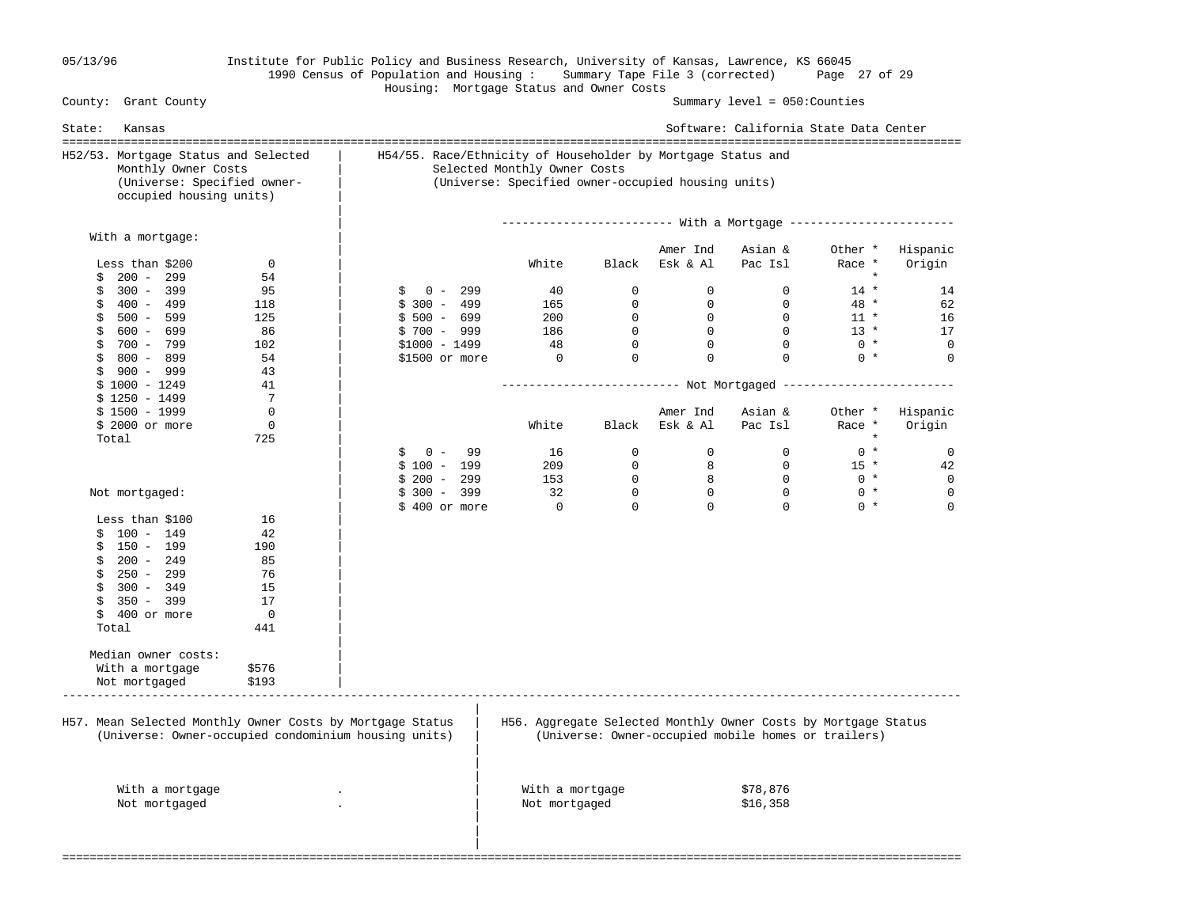| 05/13/96 |  |
|----------|--|
|          |  |

## 05/13/96 Institute for Public Policy and Business Research, University of Kansas, Lawrence, KS 66045 1990 Census of Population and Housing : Summary Tape File 3 (corrected) Page 27 of 29 Housing: Mortgage Status and Owner Costs

| H52/53. Mortgage Status and Selected                      |             | H54/55. Race/Ethnicity of Householder by Mortgage Status and |                                                                |                |                |                                                                   |         |             |  |  |
|-----------------------------------------------------------|-------------|--------------------------------------------------------------|----------------------------------------------------------------|----------------|----------------|-------------------------------------------------------------------|---------|-------------|--|--|
| Monthly Owner Costs                                       |             |                                                              | Selected Monthly Owner Costs                                   |                |                |                                                                   |         |             |  |  |
| (Universe: Specified owner-<br>occupied housing units)    |             |                                                              | (Universe: Specified owner-occupied housing units)             |                |                |                                                                   |         |             |  |  |
|                                                           |             |                                                              |                                                                |                |                | ------------------------ With a Mortgage ------------------------ |         |             |  |  |
| With a mortgage:                                          |             |                                                              |                                                                |                | Amer Ind       | Asian &                                                           | Other * | Hispanic    |  |  |
| Less than \$200                                           | $\mathbf 0$ |                                                              | White                                                          | Black          | Esk & Al       | Pac Isl                                                           | Race *  | Origin      |  |  |
| $200 - 299$<br>\$                                         | 54          |                                                              |                                                                |                |                |                                                                   | $\star$ |             |  |  |
| $300 - 399$<br>\$                                         | 95          | $0 - 299$<br>\$                                              | 40                                                             | $\mathbf 0$    | $\overline{0}$ | $\mathbf{0}$                                                      | $14 *$  | 14          |  |  |
| 400 - 499<br>\$                                           | 118         | $$300 - 499$                                                 | 165                                                            | $\mathbf{0}$   | $\mathbf 0$    | $\Omega$                                                          | 48 *    | 62          |  |  |
| 500 - 599<br>\$                                           | 125         | $$500 - 699$                                                 | 200                                                            | $\overline{0}$ | $\overline{0}$ | $\overline{0}$                                                    | $11 *$  | 16          |  |  |
| \$<br>600 - 699                                           | 86          | $$700 - 999$                                                 | 186                                                            | $\mathbf 0$    | $\overline{0}$ | $\mathbf 0$                                                       | $13 *$  | 17          |  |  |
| 700 - 799<br>\$                                           | 102         | $$1000 - 1499$                                               | 48                                                             | $\mathbf 0$    | $\mathbf 0$    | $\Omega$                                                          | $0 *$   | $\mathbf 0$ |  |  |
| $$800 - 899$                                              | 54          | \$1500 or more                                               | $\overline{0}$                                                 | $\mathbf 0$    | $\mathbf 0$    | $\Omega$                                                          | $0 *$   | $\mathbf 0$ |  |  |
| \$<br>900 - 999                                           | 43          |                                                              |                                                                |                |                |                                                                   |         |             |  |  |
| $$1000 - 1249$                                            | 41          |                                                              |                                                                |                |                |                                                                   |         |             |  |  |
| $$1250 - 1499$                                            | 7           |                                                              |                                                                |                |                |                                                                   |         |             |  |  |
| $$1500 - 1999$                                            | $\mathbf 0$ |                                                              |                                                                |                | Amer Ind       | Asian &                                                           | Other * | Hispanic    |  |  |
| $$2000$ or more                                           | $\mathbf 0$ |                                                              | White                                                          | Black          | Esk & Al       | Pac Isl                                                           | Race *  | Origin      |  |  |
| Total                                                     | 725         |                                                              |                                                                |                |                |                                                                   | $\star$ |             |  |  |
|                                                           |             | $0 -$<br>99<br>Ŝ                                             | 16                                                             | $\mathbf 0$    | $\Omega$       | $\Omega$                                                          | $0 *$   | 0           |  |  |
|                                                           |             | $$100 - 199$                                                 | 209                                                            | $\Omega$       | 8              | $\Omega$                                                          | $15 *$  | 42          |  |  |
|                                                           |             | $$200 - 299$                                                 | 153                                                            | $\mathbf 0$    | 8              | $\overline{0}$                                                    | $0 *$   | $\mathbf 0$ |  |  |
| Not mortgaged:                                            |             | $$300 - 399$                                                 | 32                                                             | $\mathbf 0$    | $\overline{0}$ | $\overline{0}$                                                    | $0 *$   | $\mathbf 0$ |  |  |
|                                                           |             | \$400 or more                                                | $\overline{0}$                                                 | $\Omega$       | $\Omega$       | $\Omega$                                                          | $0 *$   | $\mathbf 0$ |  |  |
| Less than \$100                                           | 16          |                                                              |                                                                |                |                |                                                                   |         |             |  |  |
| $$100 - 149$                                              | 42          |                                                              |                                                                |                |                |                                                                   |         |             |  |  |
| 150 - 199<br>\$                                           | 190         |                                                              |                                                                |                |                |                                                                   |         |             |  |  |
| $200 - 249$<br>\$                                         | 85          |                                                              |                                                                |                |                |                                                                   |         |             |  |  |
| \$<br>250 - 299                                           | 76          |                                                              |                                                                |                |                |                                                                   |         |             |  |  |
| $300 - 349$<br>\$                                         | 15          |                                                              |                                                                |                |                |                                                                   |         |             |  |  |
| \$<br>$350 - 399$                                         | 17          |                                                              |                                                                |                |                |                                                                   |         |             |  |  |
| \$<br>400 or more                                         | $\Omega$    |                                                              |                                                                |                |                |                                                                   |         |             |  |  |
| Total                                                     | 441         |                                                              |                                                                |                |                |                                                                   |         |             |  |  |
|                                                           |             |                                                              |                                                                |                |                |                                                                   |         |             |  |  |
| Median owner costs:                                       |             |                                                              |                                                                |                |                |                                                                   |         |             |  |  |
| With a mortgage                                           | \$576       |                                                              |                                                                |                |                |                                                                   |         |             |  |  |
|                                                           |             |                                                              |                                                                |                |                |                                                                   |         |             |  |  |
| Not mortgaged                                             | \$193       |                                                              |                                                                |                |                |                                                                   |         |             |  |  |
|                                                           |             |                                                              |                                                                |                |                |                                                                   |         |             |  |  |
| H57. Mean Selected Monthly Owner Costs by Mortgage Status |             |                                                              | H56. Aggregate Selected Monthly Owner Costs by Mortgage Status |                |                |                                                                   |         |             |  |  |
| (Universe: Owner-occupied condominium housing units)      |             |                                                              |                                                                |                |                | (Universe: Owner-occupied mobile homes or trailers)               |         |             |  |  |
|                                                           |             |                                                              |                                                                |                |                |                                                                   |         |             |  |  |
|                                                           |             |                                                              |                                                                |                |                |                                                                   |         |             |  |  |
| With a mortgage                                           |             |                                                              | With a mortgage                                                |                |                | \$78,876                                                          |         |             |  |  |
| Not mortgaged                                             |             |                                                              | Not mortgaged                                                  |                |                | \$16,358                                                          |         |             |  |  |
|                                                           |             |                                                              |                                                                |                |                |                                                                   |         |             |  |  |
|                                                           |             |                                                              |                                                                |                |                |                                                                   |         |             |  |  |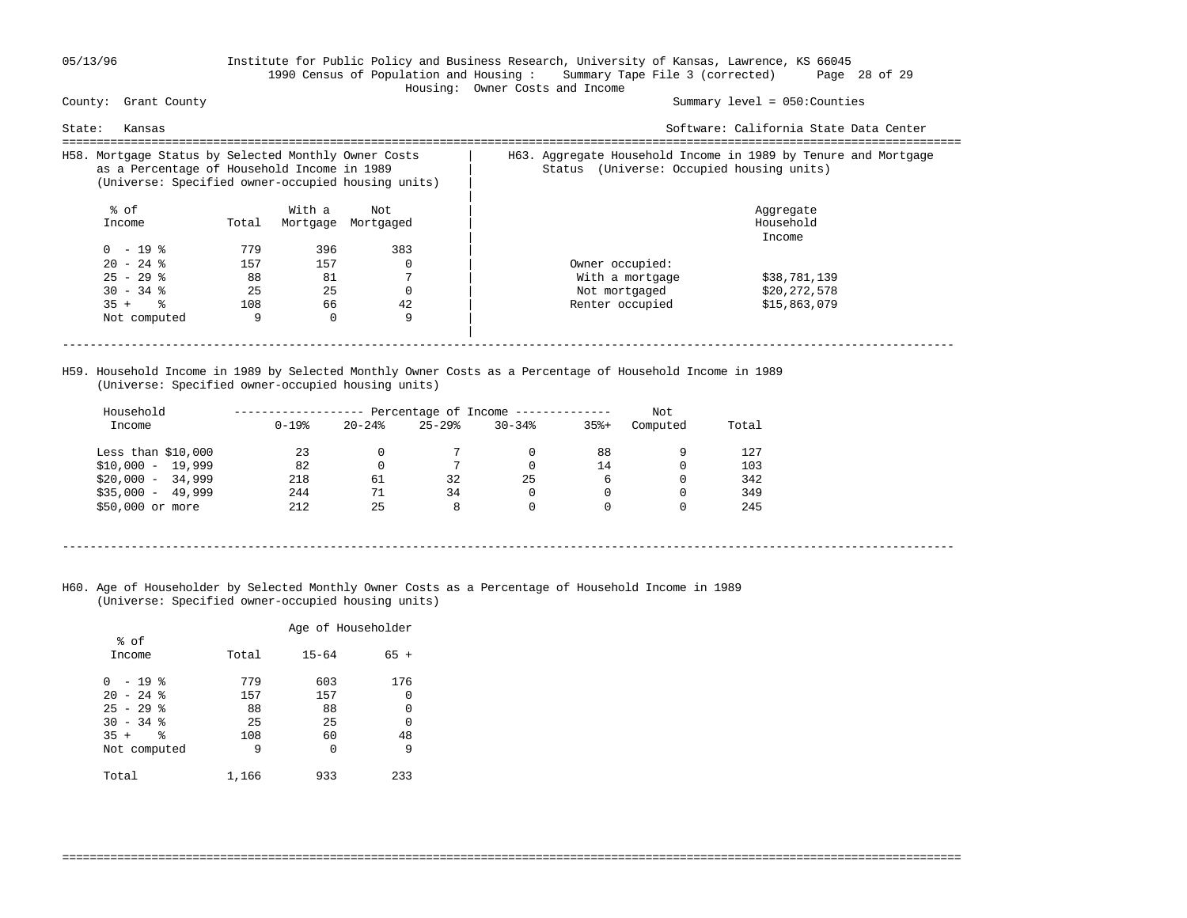### 05/13/96 Institute for Public Policy and Business Research, University of Kansas, Lawrence, KS 66045 1990 Census of Population and Housing : Summary Tape File 3 (corrected) Page 28 of 29 Housing: Owner Costs and Income

Summary level =  $050$ : Counties

| State:<br>Kansas                                                                                                                                          |       |          |           |                                                                                                                | Software: California State Data Center |
|-----------------------------------------------------------------------------------------------------------------------------------------------------------|-------|----------|-----------|----------------------------------------------------------------------------------------------------------------|----------------------------------------|
| H58. Mortgage Status by Selected Monthly Owner Costs<br>as a Percentage of Household Income in 1989<br>(Universe: Specified owner-occupied housing units) |       |          |           | H63. Aggregate Household Income in 1989 by Tenure and Mortgage<br>(Universe: Occupied housing units)<br>Status |                                        |
| % of                                                                                                                                                      |       | With a   | Not       |                                                                                                                | Aggregate                              |
| Income                                                                                                                                                    | Total | Mortgage | Mortgaged |                                                                                                                | Household                              |
|                                                                                                                                                           |       |          |           |                                                                                                                | Income                                 |
| $0 - 19$ %                                                                                                                                                | 779   | 396      | 383       |                                                                                                                |                                        |
| $20 - 24$ %                                                                                                                                               | 157   | 157      |           | Owner occupied:                                                                                                |                                        |
| $25 - 29$ %                                                                                                                                               | 88    | 81       |           | With a mortgage                                                                                                | \$38,781,139                           |
| $30 - 34$ %                                                                                                                                               | 25    | 25       | 0         | Not mortgaged                                                                                                  | \$20,272,578                           |
| $35 +$ $8$                                                                                                                                                | 108   | 66       | 42        | Renter occupied                                                                                                | \$15,863,079                           |
| Not computed                                                                                                                                              | 9     | $\Omega$ | 9         |                                                                                                                |                                        |
|                                                                                                                                                           |       |          |           |                                                                                                                |                                        |
|                                                                                                                                                           |       |          |           |                                                                                                                |                                        |

 H59. Household Income in 1989 by Selected Monthly Owner Costs as a Percentage of Household Income in 1989 (Universe: Specified owner-occupied housing units)

| Household           |            |           |           | Percentage of Income ----------- |         | Not      |       |
|---------------------|------------|-----------|-----------|----------------------------------|---------|----------|-------|
| Income              | $0 - 19$ % | $20 - 24$ | $25 - 29$ | $30 - 34$                        | $35% +$ | Computed | Total |
| Less than $$10,000$ | 23         |           |           |                                  | 88      |          | 127   |
| $$10,000 - 19,999$  | 82         |           | 7         |                                  | 14      |          | 103   |
| $$20,000 - 34,999$  | 218        | 61        | 32        | 25                               | 6       |          | 342   |
| $$35,000 - 49,999$  | 244        | 71        | 34        |                                  |         |          | 349   |
| \$50,000 or more    | 212        | 25        | 8         |                                  |         |          | 245   |

- ----------------------------------------------------------------------------------------------------------------------------------
- H60. Age of Householder by Selected Monthly Owner Costs as a Percentage of Household Income in 1989 (Universe: Specified owner-occupied housing units)

|                         | Age of Householder |           |        |  |  |  |  |
|-------------------------|--------------------|-----------|--------|--|--|--|--|
| % of                    |                    |           |        |  |  |  |  |
| Income                  | Total              | $15 - 64$ | $65 +$ |  |  |  |  |
| $-19$ %<br><sup>0</sup> | 779                | 603       | 176    |  |  |  |  |
| $20 - 24$ %             | 157                | 157       | 0      |  |  |  |  |
| $25 - 29$ %             | 88                 | 88        | 0      |  |  |  |  |
| $30 - 34$ %             | 25                 | 25        | 0      |  |  |  |  |
| 昙<br>$35 +$             | 108                | 60        | 48     |  |  |  |  |
| Not computed            | 9                  | U         | 9      |  |  |  |  |
| Total                   | 1,166              | 933       | 233    |  |  |  |  |